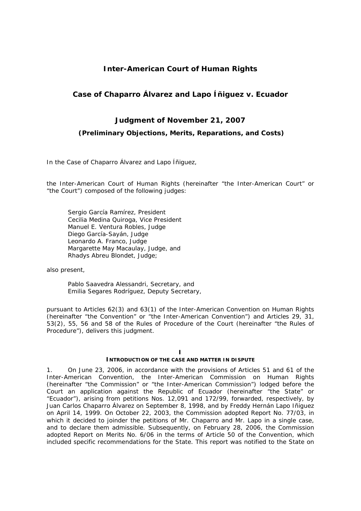# **Inter-American Court of Human Rights**

# **Case of Chaparro Álvarez and Lapo Íñiguez** *v.* **Ecuador**

# **Judgment of November 21, 2007**

# *(Preliminary Objections, Merits, Reparations, and Costs)*

In the *Case of Chaparro Álvarez and Lapo Íñiguez*,

the Inter-American Court of Human Rights (hereinafter "the Inter-American Court" or "the Court") composed of the following judges:

 Sergio García Ramírez, President Cecilia Medina Quiroga, Vice President Manuel E. Ventura Robles, Judge Diego García-Sayán, Judge Leonardo A. Franco, Judge Margarette May Macaulay, Judge, and Rhadys Abreu Blondet, Judge*;* 

also present,

Pablo Saavedra Alessandri, Secretary, and Emilia Segares Rodríguez, Deputy Secretary,

pursuant to Articles 62(3) and 63(1) of the Inter-American Convention on Human Rights (hereinafter "the Convention" or "the Inter-American Convention") and Articles 29, 31, 53(2), 55, 56 and 58 of the Rules of Procedure of the Court (hereinafter "the Rules of Procedure"), delivers this judgment.

# **INTRODUCTION OF THE CASE AND MATTER IN DISPUTE**

1. On June 23, 2006, in accordance with the provisions of Articles 51 and 61 of the Inter-American Convention, the Inter-American Commission on Human Rights (hereinafter "the Commission" or "the Inter-American Commission") lodged before the Court an application against the Republic of Ecuador (hereinafter "the State" or "Ecuador"), arising from petitions Nos. 12,091 and 172/99, forwarded, respectively, by Juan Carlos Chaparro Álvarez on September 8, 1998, and by Freddy Hernán Lapo Iñiguez on April 14, 1999. On October 22, 2003, the Commission adopted Report No. 77/03, in which it decided to joinder the petitions of Mr. Chaparro and Mr. Lapo in a single case, and to declare them admissible. Subsequently, on February 28, 2006, the Commission adopted Report on Merits No. 6/06 in the terms of Article 50 of the Convention, which included specific recommendations for the State. This report was notified to the State on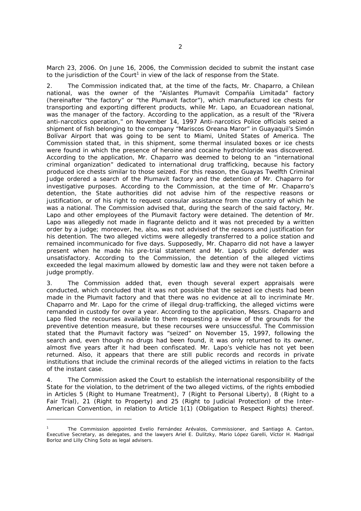March 23, 2006. On June 16, 2006, the Commission decided to submit the instant case to the jurisdiction of the Court<sup>1</sup> in view of the lack of response from the State.

2. The Commission indicated that, at the time of the facts, Mr. Chaparro, a Chilean national, was the owner of the "*Aislantes Plumavit Compañía Limitada*" factory (hereinafter "the factory" or "the Plumavit factor"), which manufactured ice chests for transporting and exporting different products, while Mr. Lapo, an Ecuadorean national, was the manager of the factory. According to the application, as a result of the "Rivera anti-narcotics operation," on November 14, 1997 Anti-narcotics Police officials seized a shipment of fish belonging to the company "*Mariscos Oreana Maror"* in Guayaquil's Simón Bolívar Airport that was going to be sent to Miami, United States of America. The Commission stated that, in this shipment, some thermal insulated boxes or ice chests were found in which the presence of heroine and cocaine hydrochloride was discovered. According to the application, Mr. Chaparro was deemed to belong to an "international criminal organization" dedicated to international drug trafficking, because his factory produced ice chests similar to those seized. For this reason, the Guayas Twelfth Criminal Judge ordered a search of the Plumavit factory and the detention of Mr. Chaparro for investigative purposes. According to the Commission, at the time of Mr. Chaparro's detention, the State authorities did not advise him of the respective reasons or justification, or of his right to request consular assistance from the country of which he was a national. The Commission advised that, during the search of the said factory, Mr. Lapo and other employees of the Plumavit factory were detained. The detention of Mr. Lapo was allegedly not made *in flagrante delicto* and it was not preceded by a written order by a judge; moreover, he, also, was not advised of the reasons and justification for his detention. The two alleged victims were allegedly transferred to a police station and remained incommunicado for five days. Supposedly, Mr. Chaparro did not have a lawyer present when he made his pre-trial statement and Mr. Lapo's public defender was unsatisfactory. According to the Commission, the detention of the alleged victims exceeded the legal maximum allowed by domestic law and they were not taken before a judge promptly.

3. The Commission added that, even though several expert appraisals were conducted, which concluded that it was not possible that the seized ice chests had been made in the Plumavit factory and that there was no evidence at all to incriminate Mr. Chaparro and Mr. Lapo for the crime of illegal drug-trafficking, the alleged victims were remanded in custody for over a year. According to the application, Messrs. Chaparro and Lapo filed the recourses available to them requesting a review of the grounds for the preventive detention measure, but these recourses were unsuccessful. The Commission stated that the Plumavit factory was "seized" on November 15, 1997, following the search and, even though no drugs had been found, it was only returned to its owner, almost five years after it had been confiscated. Mr. Lapo's vehicle has not yet been returned. Also, it appears that there are still public records and records in private institutions that include the criminal records of the alleged victims in relation to the facts of the instant case.

4. The Commission asked the Court to establish the international responsibility of the State for the violation, to the detriment of the two alleged victims, of the rights embodied in Articles 5 (Right to Humane Treatment), 7 (Right to Personal Liberty), 8 (Right to a Fair Trial), 21 (Right to Property) and 25 (Right to Judicial Protection) of the Inter-American Convention, in relation to Article 1(1) (Obligation to Respect Rights) thereof.

 $\overline{a}$ 

<sup>1</sup> The Commission appointed Evelio Fernández Arévalos, Commissioner, and Santiago A. Canton, Executive Secretary, as delegates, and the lawyers Ariel E. Dulitzky, Mario López Garelli, Víctor H. Madrigal Borloz and Lilly Ching Soto as legal advisers.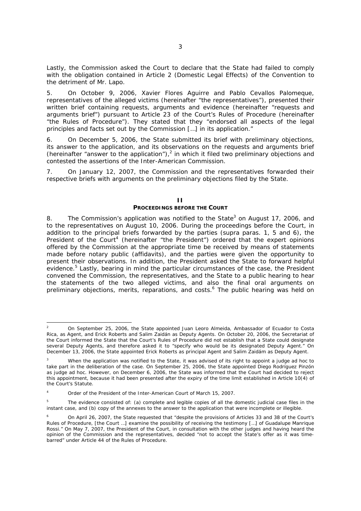Lastly, the Commission asked the Court to declare that the State had failed to comply with the obligation contained in Article 2 (Domestic Legal Effects) of the Convention to the detriment of Mr. Lapo.

5. On October 9, 2006, Xavier Flores Aguirre and Pablo Cevallos Palomeque, representatives of the alleged victims (hereinafter "the representatives"), presented their written brief containing requests, arguments and evidence (hereinafter "requests and arguments brief") pursuant to Article 23 of the Court's Rules of Procedure (hereinafter "the Rules of Procedure"). They stated that they "endorsed all aspects of the legal principles and facts set out by the Commission […] in its application."

6. On December 5, 2006, the State submitted its brief with preliminary objections, its answer to the application, and its observations on the requests and arguments brief (hereinafter "answer to the application"), $^2$  in which it filed two preliminary objections and contested the assertions of the Inter-American Commission.

7. On January 12, 2007, the Commission and the representatives forwarded their respective briefs with arguments on the preliminary objections filed by the State.

### **II**

## **PROCEEDINGS BEFORE THE COURT**

8. The Commission's application was notified to the State<sup>3</sup> on August 17, 2006, and to the representatives on August 10, 2006. During the proceedings before the Court, in addition to the principal briefs forwarded by the parties (*supra* paras. 1, 5 and 6), the President of the Court<sup>4</sup> (hereinafter "the President") ordered that the expert opinions offered by the Commission at the appropriate time be received by means of statements made before notary public (affidavits), and the parties were given the opportunity to present their observations. In addition, the President asked the State to forward helpful evidence.<sup>5</sup> Lastly, bearing in mind the particular circumstances of the case, the President convened the Commission, the representatives, and the State to a public hearing to hear the statements of the two alleged victims, and also the final oral arguments on preliminary objections, merits, reparations, and costs.<sup>6</sup> The public hearing was held on

 $\overline{a}$ 

<sup>2</sup> On September 25, 2006, the State appointed Juan Leoro Almeida, Ambassador of Ecuador to Costa Rica, as Agent, and Erick Roberts and Salim Zaidán as Deputy Agents. On October 20, 2006, the Secretariat of the Court informed the State that the Court's Rules of Procedure did not establish that a State could designate several Deputy Agents, and therefore asked it to "specify who would be its designated Deputy Agent." On December 13, 2006, the State appointed Erick Roberts as principal Agent and Salim Zaidám as Deputy Agent.

<sup>3</sup> When the application was notified to the State, it was advised of its right to appoint a judge *ad hoc* to take part in the deliberation of the case. On September 25, 2006, the State appointed Diego Rodríguez Pinzón as judge *ad hoc*. However, on December 6, 2006, the State was informed that the Court had decided to reject this appointment, because it had been presented after the expiry of the time limit established in Article 10(4) of the Court's Statute.

<sup>4</sup> Order of the President of the Inter-American Court of March 15, 2007.

<sup>5</sup> The evidence consisted of: (a) complete and legible copies of all the domestic judicial case files in the instant case, and (b) copy of the annexes to the answer to the application that were incomplete or illegible.

<sup>6</sup> On April 26, 2007, the State requested that "despite the provisions of Articles 33 and 38 of the Court's Rules of Procedure, [the Court …] examine the possibility of receiving the testimony […] of Guadalupe Manrique Rossi." On May 7, 2007, the President of the Court, in consultation with the other judges and having heard the opinion of the Commission and the representatives, decided "not to accept the State's offer as it was timebarred" under Article 44 of the Rules of Procedure.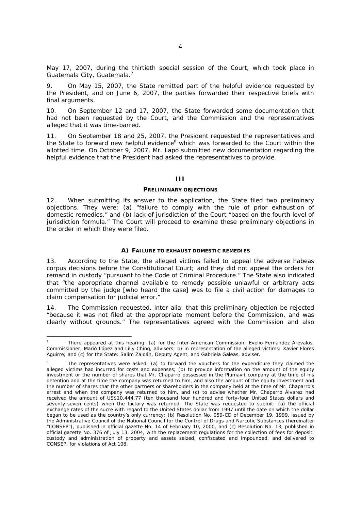May 17, 2007, during the thirtieth special session of the Court, which took place in Guatemala City, Guatemala.<sup>7</sup>

9. On May 15, 2007, the State remitted part of the helpful evidence requested by the President, and on June 6, 2007, the parties forwarded their respective briefs with final arguments.

10. On September 12 and 17, 2007, the State forwarded some documentation that had not been requested by the Court, and the Commission and the representatives alleged that it was time-barred.

11. On September 18 and 25, 2007, the President requested the representatives and the State to forward new helpful evidence<sup>8</sup> which was forwarded to the Court within the allotted time. On October 9, 2007, Mr. Lapo submitted new documentation regarding the helpful evidence that the President had asked the representatives to provide.

## **III**

#### **PRELIMINARY OBJECTIONS**

12. When submitting its answer to the application, the State filed two preliminary objections. They were: (a) "failure to comply with the rule of prior exhaustion of domestic remedies," and (b) lack of jurisdiction of the Court "based on the fourth level of jurisdiction formula." The Court will proceed to examine these preliminary objections in the order in which they were filed.

#### *A) FAILURE TO EXHAUST DOMESTIC REMEDIES*

13. According to the State, the alleged victims failed to appeal the adverse habeas corpus decisions before the Constitutional Court; and they did not appeal the orders for remand in custody "pursuant to the Code of Criminal Procedure." The State also indicated that "the appropriate channel available to remedy possible unlawful or arbitrary acts committed by the judge [who heard the case] was to file a civil action for damages to claim compensation for judicial error."

14. The Commission requested, *inter alia,* that this preliminary objection be rejected "because it was not filed at the appropriate moment before the Commission, and was clearly without grounds." The representatives agreed with the Commission and also

<sup>7</sup> There appeared at this hearing: (a) for the Inter-American Commission: Evelio Fernández Arévalos, Commissioner, Marió López and Lilly Ching, advisers; b) in representation of the alleged victims: Xavier Flores Aguirre; and (c) for the State: Salim Zaidán, Deputy Agent, and Gabriela Galeas, adviser.

<sup>8</sup> The representatives were asked: (a) to forward the vouchers for the expenditure they claimed the alleged victims had incurred for costs and expenses; (b) to provide information on the amount of the equity investment or the number of shares that Mr. Chaparro possessed in the Plumavit company at the time of his detention and at the time the company was returned to him, and also the amount of the equity investment and the number of shares that the other partners or shareholders in the company held at the time of Mr. Chaparro's arrest and when the company was returned to him, and (c) to advise whether Mr. Chaparro Álvarez had received the amount of US\$10,444.77 (ten thousand four hundred and forty-four United States dollars and seventy-seven cents) when the factory was returned. The State was requested to submit: (a) the official exchange rates of the sucre with regard to the United States dollar from 1997 until the date on which the dollar began to be used as the country's only currency; (b) Resolution No. 059-CD of December 19, 1999, issued by the Administrative Council of the National Council for the Control of Drugs and Narcotic Substances (hereinafter "CONSEP"), published in official gazette No. 14 of February 10, 2000, and (c) Resolution No. 13, published in official gazette No. 376 of July 13, 2004, with the replacement regulations for the collection of fees for deposit, custody and administration of property and assets seized, confiscated and impounded, and delivered to CONSEP, for violations of Act 108.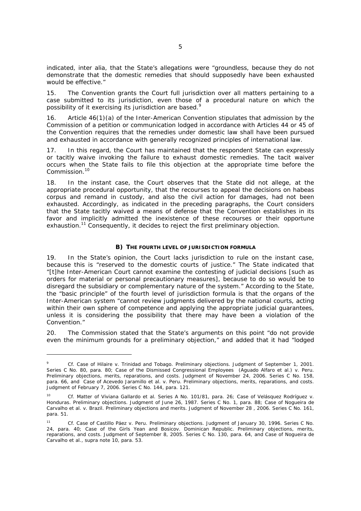indicated, *inter alia,* that the State's allegations were "groundless, because they do not demonstrate that the domestic remedies that should supposedly have been exhausted would be effective."

15. The Convention grants the Court full jurisdiction over all matters pertaining to a case submitted to its jurisdiction, even those of a procedural nature on which the possibility of it exercising its jurisdiction are based.9

16. Article 46(1)(a) of the Inter-American Convention stipulates that admission by the Commission of a petition or communication lodged in accordance with Articles 44 or 45 of the Convention requires that the remedies under domestic law shall have been pursued and exhausted in accordance with generally recognized principles of international law.

17. In this regard, the Court has maintained that the respondent State can expressly or tacitly waive invoking the failure to exhaust domestic remedies. The tacit waiver occurs when the State fails to file this objection at the appropriate time before the Commission.<sup>10</sup>

18*.* In the instant case, the Court observes that the State did not allege, at the appropriate procedural opportunity, that the recourses to appeal the decisions on habeas corpus and remand in custody, and also the civil action for damages, had not been exhausted. Accordingly, as indicated in the preceding paragraphs, the Court considers that the State tacitly waived a means of defense that the Convention establishes in its favor and implicitly admitted the inexistence of these recourses or their opportune exhaustion.<sup>11</sup> Consequently, it decides to reject the first preliminary objection.

# *B) THE FOURTH LEVEL OF JURISDICTION FORMULA*

19. In the State's opinion, the Court lacks jurisdiction to rule on the instant case, because this is "reserved to the domestic courts of justice." The State indicated that "[t]he Inter-American Court cannot examine the contesting of judicial decisions [such as orders for material or personal precautionary measures], because to do so would be to disregard the subsidiary or complementary nature of the system." According to the State, the "basic principle" of the fourth level of jurisdiction formula is that the organs of the Inter-American system "cannot review judgments delivered by the national courts, acting within their own sphere of competence and applying the appropriate judicial guarantees, unless it is considering the possibility that there may have been a violation of the Convention."

20. The Commission stated that the State's arguments on this point "do not provide even the minimum grounds for a preliminary objection," and added that it had "lodged

<sup>9</sup> *Cf. Case of Hilaire v. Trinidad and Tobago. Preliminary objections.* Judgment of September 1, 2001. Series C No. 80, para. 80; *Case of the Dismissed Congressional Employees (Aguado Alfaro et al.) v. Peru. Preliminary objections, merits, reparations, and costs.* Judgment of November 24, 2006. Series C No. 158, para. 66, and *Case of Acevedo Jaramillo et al. v. Peru. Preliminary objections, merits, reparations, and costs.* Judgment of February 7, 2006. Series C No. 144, para. 121.

<sup>10</sup> *Cf. Matter of Viviana Gallardo et al.* Series A No. 101/81, para. 26; *Case of Velásquez Rodríguez v. Honduras. Preliminary objections*. Judgment of June 26, 1987. Series C No. 1, para. 88; *Case of Nogueira de Carvalho et al. v. Brazil. Preliminary objections and merits*. Judgment of November 28 , 2006. Series C No. 161, para. 51.

<sup>11</sup> *Cf. Case of Castillo Páez v. Peru. Preliminary objections*. Judgment of January 30, 1996. Series C No. 24, para. 40; *Case of the Girls Yean and Bosicov. Dominican Republic. Preliminary objections, merits, reparations, and costs*. Judgment of September 8, 2005. Series C No. 130, para. 64, and *Case of Nogueira de Carvalho et al.*, *supra* note 10, para. 53.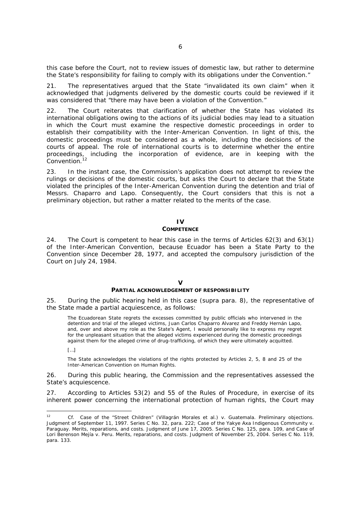this case before the Court, not to review issues of domestic law, but rather to determine the State's responsibility for failing to comply with its obligations under the Convention."

21. The representatives argued that the State "invalidated its own claim" when it acknowledged that judgments delivered by the domestic courts could be reviewed if it was considered that "there may have been a violation of the Convention."

22. The Court reiterates that clarification of whether the State has violated its international obligations owing to the actions of its judicial bodies may lead to a situation in which the Court must examine the respective domestic proceedings in order to establish their compatibility with the Inter-American Convention. In light of this, the domestic proceedings must be considered as a whole, including the decisions of the courts of appeal. The role of international courts is to determine whether the entire proceedings, including the incorporation of evidence, are in keeping with the Convention.<sup>12</sup>

23. In the instant case, the Commission's application does not attempt to review the rulings or decisions of the domestic courts, but asks the Court to declare that the State violated the principles of the Inter-American Convention during the detention and trial of Messrs. Chaparro and Lapo. Consequently, the Court considers that this is not a preliminary objection, but rather a matter related to the merits of the case.

# **IV**

#### **COMPETENCE**

24. The Court is competent to hear this case in the terms of Articles 62(3) and 63(1) of the Inter-American Convention, because Ecuador has been a State Party to the Convention since December 28, 1977, and accepted the compulsory jurisdiction of the Court on July 24, 1984.

#### $\mathbf{v}$

#### **PARTIAL ACKNOWLEDGEMENT OF RESPONSIBILITY**

25. During the public hearing held in this case (*supra* para. 8), the representative of the State made a partial acquiescence, as follows:

The Ecuadorean State regrets the excesses committed by public officials who intervened in the detention and trial of the alleged victims, Juan Carlos Chaparro Alvarez and Freddy Hernán Lapo, and, over and above my role as the State's Agent, I would personally like to express my regret for the unpleasant situation that the alleged victims experienced during the domestic proceedings against them for the alleged crime of drug-trafficking, of which they were ultimately acquitted.

[…]

The State acknowledges the violations of the rights protected by Articles 2, 5, 8 and 25 of the Inter-American Convention on Human Rights.

26. During this public hearing, the Commission and the representatives assessed the State's acquiescence.

27. According to Articles 53(2) and 55 of the Rules of Procedure, in exercise of its inherent power concerning the international protection of human rights, the Court may

<sup>12</sup> *Cf. Case of the "Street Children" (Villagrán Morales et al.) v. Guatemala. Preliminary objections*. Judgment of September 11, 1997. Series C No. 32, para. 222; *Case of the Yakye Axa Indigenous Community v. Paraguay. Merits, reparations, and costs*. Judgment of June 17, 2005. Series C No. 125, para. 109, and *Case of Lori Berenson Mejía v. Peru. Merits, reparations, and costs*. Judgment of November 25, 2004. Series C No. 119, para. 133.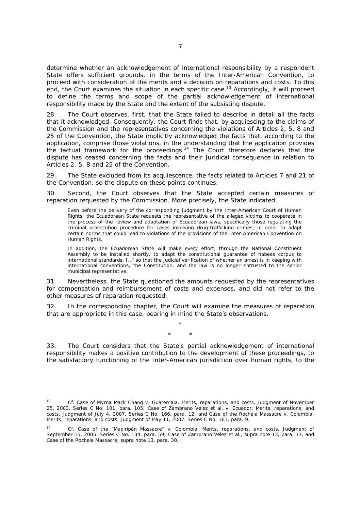determine whether an acknowledgement of international responsibility by a respondent State offers sufficient grounds, in the terms of the Inter-American Convention, to proceed with consideration of the merits and a decision on reparations and costs. To this end, the Court examines the situation in each specific case.<sup>13</sup> Accordingly, it will proceed to define the terms and scope of the partial acknowledgement of international responsibility made by the State and the extent of the subsisting dispute.

28. The Court observes, first, that the State failed to describe in detail all the facts that it acknowledged. Consequently, the Court finds that, by acquiescing to the claims of the Commission and the representatives concerning the violations of Articles 2, 5, 8 and 25 of the Convention, the State implicitly acknowledged the facts that, according to the application, comprise those violations, in the understanding that the application provides the factual framework for the proceedings.14 The Court therefore declares that the dispute has ceased concerning the facts and their juridical consequence in relation to Articles 2, 5, 8 and 25 of the Convention.

29. The State excluded from its acquiescence, the facts related to Articles 7 and 21 of the Convention, so the dispute on these points continues.

30. Second, the Court observes that the State accepted certain measures of reparation requested by the Commission. More precisely, the State indicated:

Even before the delivery of the corresponding judgment by the Inter-American Court of Human Rights, the Ecuadorean State requests the representative of the alleged victims to cooperate in the process of the review and adaptation of Ecuadorean laws, specifically those regulating the criminal prosecution procedure for cases involving drug-trafficking crimes, in order to adapt certain norms that could lead to violations of the provisions of the Inter-American Convention on Human Rights.

In addition, the Ecuadorean State will make every effort, through the National Constituent Assembly to be installed shortly, to adapt the constitutional guarantee of habeas corpus to international standards, […] so that the judicial verification of whether an arrest is in keeping with international conventions, the Constitution, and the law is no longer entrusted to the senior municipal representative.

31. Nevertheless, the State questioned the amounts requested by the representatives for compensation and reimbursement of costs and expenses, and did not refer to the other measures of reparation requested.

32. In the corresponding chapter, the Court will examine the measures of reparation that are appropriate in this case, bearing in mind the State's observations.

> \* \* \*

33. The Court considers that the State's partial acknowledgement of international responsibility makes a positive contribution to the development of these proceedings, to the satisfactory functioning of the Inter-American jurisdiction over human rights, to the

 $13$ <sup>13</sup> *Cf. Case of Myrna Mack Chang v. Guatemala. Merits, reparations, and costs*. Judgment of November 25, 2003. Series C No. 101, para. 105; *Case of Zambrano Vélez et al. v. Ecuador. Merits, reparations, and costs.* Judgment of July 4, 2007. Series C No. 166*,* para. 12, and *Case of the Rochela Massacre v. Colombia*. *Merits, reparations, and costs.* Judgment of May 11, 2007. Series C No. 163, para. 9.

<sup>14</sup> *Cf. Case of the "Mapiripán Massacre" v. Colombia*. *Merits, reparations, and costs*. Judgment of September 15, 2005. Series C No. 134, para. 59; *Case of Zambrano Vélez et al., supra* note 13, para. 17*,* and *Case of the Rochela Massacre, supra* note 13, para. 30.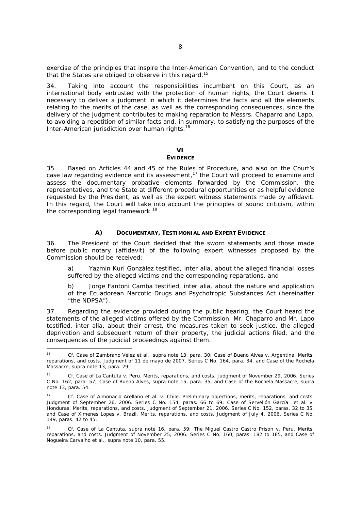exercise of the principles that inspire the Inter-American Convention, and to the conduct that the States are obliged to observe in this regard.<sup>15</sup>

34. Taking into account the responsibilities incumbent on this Court, as an international body entrusted with the protection of human rights, the Court deems it necessary to deliver a judgment in which it determines the facts and all the elements relating to the merits of the case, as well as the corresponding consequences, since the delivery of the judgment contributes to making reparation to Messrs. Chaparro and Lapo, to avoiding a repetition of similar facts and, in summary, to satisfying the purposes of the Inter-American jurisdiction over human rights.<sup>16</sup>

#### **VI EVIDENCE**

35. Based on Articles 44 and 45 of the Rules of Procedure, and also on the Court's case law regarding evidence and its assessment, $17$  the Court will proceed to examine and assess the documentary probative elements forwarded by the Commission, the representatives, and the State at different procedural opportunities or as helpful evidence requested by the President, as well as the expert witness statements made by affidavit. In this regard, the Court will take into account the principles of sound criticism, within the corresponding legal framework.<sup>18</sup>

# *A) DOCUMENTARY, TESTIMONIAL AND EXPERT EVIDENCE*

36. The President of the Court decided that the sworn statements and those made before public notary (affidavit) of the following expert witnesses proposed by the Commission should be received:

*a) Yazmín Kuri González* testified, *inter alia*, about the alleged financial losses suffered by the alleged victims and the corresponding reparations, and

*b) Jorge Fantoni Camba* testified, *inter alia,* about the nature and application of the Ecuadorean Narcotic Drugs and Psychotropic Substances Act (hereinafter "the NDPSA").

37. Regarding the evidence provided during the public hearing, the Court heard the statements of the alleged victims offered by the Commission. Mr. Chaparro and Mr. Lapo testified, *inter alia,* about their arrest, the measures taken to seek justice, the alleged deprivation and subsequent return of their property, the judicial actions filed, and the consequences of the judicial proceedings against them.

<sup>15</sup> *Cf. Case of Zambrano Vélez et al., supra* note 13, para. 30*; Case of Bueno Alves v. Argentina. Merits, reparations, and costs.* Judgment of 11 de mayo de 2007. Series C No. 164, para. 34*, and Case of the Rochela Massacre*, *supra* note 13, para. 29.

<sup>16</sup> *Cf. Case of La Cantuta v. Peru. Merits, reparations, and costs.* Judgment of November 29, 2006. Series C No. 162, para. 57; *Case of Bueno Alves, supra* note 15, para. 35*, and Case of the Rochela Massacre, supra*  note 13, para. 54.

<sup>17</sup> *Cf. Case of Almonacid Arellano et al. v. Chile*. *Preliminary objections, merits, reparations, and costs.* Judgment of September 26, 2006. Series C No. 154, paras. 66 to 69; *Case of Servellón García et al. v. Honduras. Merits, reparations, and costs*. Judgment of September 21, 2006. Series C No. 152, paras. 32 to 35, and *Case of Ximenes Lopes v. Brazil. Merits, reparations, and costs.* Judgment of July 4, 2006. Series C No. 149, paras. 42 to 45.

<sup>18</sup> *Cf. Case of La Cantuta*, *supra* note 16, para. 59; *The Miguel Castro Castro Prison v. Peru. Merits, reparations, and costs.* Judgment of November 25, 2006. Series C No. 160, paras. 182 to 185, and *Case of Nogueira Carvalho et al.*, *supra* note 10, para. 55.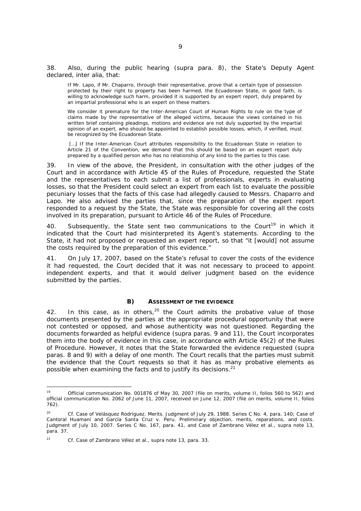38. Also, during the public hearing (*supra* para. 8), the State's Deputy Agent declared, *inter alia,* that:

If Mr. Lapo, if Mr. Chaparro, through their representative, prove that a certain type of possession protected by their right to property has been harmed, the Ecuadorean State, in good faith, is willing to acknowledge such harm, provided it is supported by an expert report, duly prepared by an impartial professional who is an expert on these matters.

We consider it premature for the Inter-American Court of Human Rights to rule on the type of claims made by the representative of the alleged victims, because the views contained in his written brief containing pleadings, motions and evidence are not duly supported by the impartial opinion of an expert, who should be appointed to establish possible losses, which, if verified, must be recognized by the Ecuadorean State.

[...] If the Inter-American Court attributes responsibility to the Ecuadorean State in relation to Article 21 of the Convention, we demand that this should be based on an expert report duly prepared by a qualified person who has no relationship of any kind to the parties to this case.

39. In view of the above, the President, in consultation with the other judges of the Court and in accordance with Article 45 of the Rules of Procedure, requested the State and the representatives to each submit a list of professionals, experts in evaluating losses, so that the President could select an expert from each list to evaluate the possible pecuniary losses that the facts of this case had allegedly caused to Messrs. Chaparro and Lapo. He also advised the parties that, since the preparation of the expert report responded to a request by the State, the State was responsible for covering all the costs involved in its preparation, pursuant to Article 46 of the Rules of Procedure.

40. Subsequently, the State sent two communications to the Court<sup>19</sup> in which it indicated that the Court had misinterpreted its Agent's statements. According to the State, it had not proposed or requested an expert report, so that "it [would] not assume the costs required by the preparation of this evidence."

41. On July 17, 2007, based on the State's refusal to cover the costs of the evidence it had requested, the Court decided that it was not necessary to proceed to appoint independent experts, and that it would deliver judgment based on the evidence submitted by the parties.

## *B) ASSESSMENT OF THE EVIDENCE*

42. In this case, as in others,  $20$  the Court admits the probative value of those documents presented by the parties at the appropriate procedural opportunity that were not contested or opposed, and whose authenticity was not questioned. Regarding the documents forwarded as helpful evidence (*supra* paras. 9 and 11), the Court incorporates them into the body of evidence in this case, in accordance with Article 45(2) of the Rules of Procedure. However, it notes that the State forwarded the evidence requested (*supra* paras. 8 and 9) with a delay of one month. The Court recalls that the parties must submit the evidence that the Court requests so that it has as many probative elements as possible when examining the facts and to justify its decisions.<sup>21</sup>

 $19$ Official communication No. 001876 of May 30, 2007 (file on merits, volume II, folios 560 to 562) and official communication No. 2062 of June 11, 2007, received on June 12, 2007 (file on merits, volume II, folios 762).

<sup>20</sup> *Cf. Case of Velásquez Rodríguez.* Merits. Judgment of July 29, 1988. Series C No. 4, para. 140; *Case of Cantoral Huamaní and García Santa Cruz v. Peru. Preliminary objection, merits, reparations, and costs.* Judgment of July 10, 2007. Series C No. 167, para. 41, and *Case of Zambrano Vélez et al.*, *supra* note 13, para. 37.

<sup>21</sup> *Cf. Case of Zambrano Vélez et al.*, *supra* note 13, para. 33.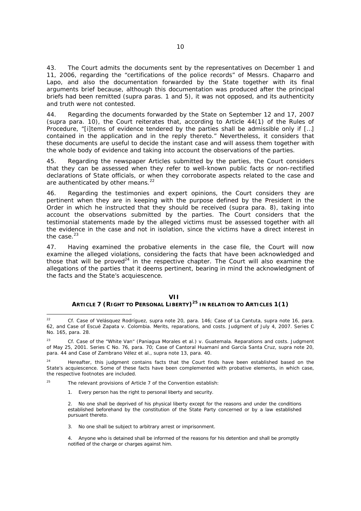43. The Court admits the documents sent by the representatives on December 1 and 11, 2006, regarding the "certifications of the police records" of Messrs. Chaparro and Lapo, and also the documentation forwarded by the State together with its final arguments brief because, although this documentation was produced after the principal briefs had been remitted (*supra* paras. 1 and 5), it was not opposed, and its authenticity and truth were not contested.

44. Regarding the documents forwarded by the State on September 12 and 17, 2007 (*supra* para. 10), the Court reiterates that, according to Article 44(1) of the Rules of Procedure, "[i]tems of evidence tendered by the parties shall be admissible only if [...] contained in the application and in the reply thereto." Nevertheless, it considers that these documents are useful to decide the instant case and will assess them together with the whole body of evidence and taking into account the observations of the parties.

45. Regarding the newspaper Articles submitted by the parties, the Court considers that they can be assessed when they refer to well-known public facts or non-rectified declarations of State officials, or when they corroborate aspects related to the case and are authenticated by other means.<sup>22</sup>

46. Regarding the testimonies and expert opinions, the Court considers they are pertinent when they are in keeping with the purpose defined by the President in the Order in which he instructed that they should be received (*supra* para. 8), taking into account the observations submitted by the parties. The Court considers that the testimonial statements made by the alleged victims must be assessed together with all the evidence in the case and not in isolation, since the victims have a direct interest in the case. $23$ 

47. Having examined the probative elements in the case file, the Court will now examine the alleged violations, considering the facts that have been acknowledged and those that will be proved<sup>24</sup> in the respective chapter. The Court will also examine the allegations of the parties that it deems pertinent, bearing in mind the acknowledgment of the facts and the State's acquiescence.

### **VII ARTICLE 7 (RIGHT TO PERSONAL LIBERTY)25 IN RELATION TO ARTICLES 1(1)**

- 1. Every person has the right to personal liberty and security.
- 2. No one shall be deprived of his physical liberty except for the reasons and under the conditions established beforehand by the constitution of the State Party concerned or by a law established pursuant thereto.
- 3. No one shall be subject to arbitrary arrest or imprisonment.

 $22$ <sup>22</sup> *Cf. Case of Velásquez Rodríguez*, *supra* note 20, para. 146; *Case of La Cantuta*, *supra* note 16, para. 62, and *Case of Escué Zapata v. Colombia. Merits, reparations, and costs.* Judgment of July 4, 2007. Series C No. 165, para. 28.

<sup>23</sup> *Cf. Case of the "White Van" (Paniagua Morales et al.) v. Guatemala*. *Reparations and costs*. Judgment of May 25, 2001. Series C No. 76, para. 70; *Case of Cantoral Huamaní and García Santa Cruz, supra* note 20, para. 44 and *Case of Zambrano Vélez et al.*, *supra* note 13, para. 40.

Hereafter, this judgment contains facts that the Court finds have been established based on the State's acquiescence. Some of these facts have been complemented with probative elements, in which case, the respective footnotes are included.

The relevant provisions of Article 7 of the Convention establish:

<sup>4.</sup> Anyone who is detained shall be informed of the reasons for his detention and shall be promptly notified of the charge or charges against him.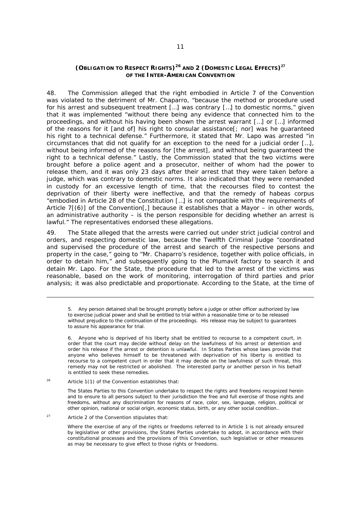# **(OBLIGATION TO RESPECT RIGHTS)26 AND 2 (DOMESTIC LEGAL EFFECTS)<sup>27</sup> OF THE INTER-AMERICAN CONVENTION**

48. The Commission alleged that the right embodied in Article 7 of the Convention was violated to the detriment of Mr. Chaparro, "because the method or procedure used for his arrest and subsequent treatment […] was contrary […] to domestic norms," given that it was implemented "without there being any evidence that connected him to the proceedings, and without his having been shown the arrest warrant [...] or [...] informed of the reasons for it [and of] his right to consular assistance[; nor] was he guaranteed his right to a technical defense." Furthermore, it stated that Mr. Lapo was arrested "in circumstances that did not qualify for an exception to the need for a judicial order […], without being informed of the reasons for [the arrest], and without being guaranteed the right to a technical defense." Lastly, the Commission stated that the two victims were brought before a police agent and a prosecutor, neither of whom had the power to release them, and it was only 23 days after their arrest that they were taken before a judge, which was contrary to domestic norms. It also indicated that they were remanded in custody for an excessive length of time, that the recourses filed to contest the deprivation of their liberty were ineffective, and that the remedy of habeas corpus "embodied in Article 28 of the Constitution […] is not compatible with the requirements of Article 7[(6)] of the Convention[,] because it establishes that a Mayor – in other words, an administrative authority – is the person responsible for deciding whether an arrest is lawful." The representatives endorsed these allegations.

49. The State alleged that the arrests were carried out under strict judicial control and orders, and respecting domestic law, because the Twelfth Criminal Judge "coordinated and supervised the procedure of the arrest and search of the respective persons and property in the case," going to "Mr. Chaparro's residence, together with police officials, in order to detain him," and subsequently going to the Plumavit factory to search it and detain Mr. Lapo. For the State, the procedure that led to the arrest of the victims was reasonable, based on the work of monitoring, interrogation of third parties and prior analysis; it was also predictable and proportionate. According to the State, at the time of

<sup>5.</sup> Any person detained shall be brought promptly before a judge or other officer authorized by law to exercise judicial power and shall be entitled to trial within a reasonable time or to be released without prejudice to the continuation of the proceedings. His release may be subject to guarantees to assure his appearance for trial.

<sup>6.</sup> Anyone who is deprived of his liberty shall be entitled to recourse to a competent court, in order that the court may decide without delay on the lawfulness of his arrest or detention and order his release if the arrest or detention is unlawful. In States Parties whose laws provide that anyone who believes himself to be threatened with deprivation of his liberty is entitled to recourse to a competent court in order that it may decide on the lawfulness of such threat, this remedy may not be restricted or abolished. The interested party or another person in his behalf is entitled to seek these remedies.

<sup>26</sup> Article 1(1) of the Convention establishes that:

The States Parties to this Convention undertake to respect the rights and freedoms recognized herein and to ensure to all persons subject to their jurisdiction the free and full exercise of those rights and freedoms, without any discrimination for reasons of race, color, sex, language, religion, political or other opinion, national or social origin, economic status, birth, or any other social condition..

<sup>27</sup> Article 2 of the Convention stipulates that:

Where the exercise of any of the rights or freedoms referred to in Article 1 is not already ensured by legislative or other provisions, the States Parties undertake to adopt, in accordance with their constitutional processes and the provisions of this Convention, such legislative or other measures as may be necessary to give effect to those rights or freedoms.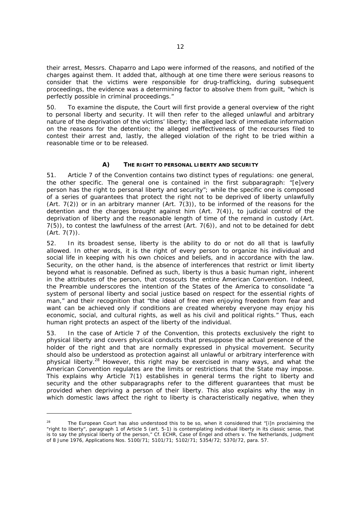their arrest, Messrs. Chaparro and Lapo were informed of the reasons, and notified of the charges against them. It added that, although at one time there were serious reasons to consider that the victims were responsible for drug-trafficking, during subsequent proceedings, the evidence was a determining factor to absolve them from guilt, "which is perfectly possible in criminal proceedings."

50. To examine the dispute, the Court will first provide a general overview of the right to personal liberty and security. It will then refer to the alleged unlawful and arbitrary nature of the deprivation of the victims' liberty; the alleged lack of immediate information on the reasons for the detention; the alleged ineffectiveness of the recourses filed to contest their arrest and, lastly, the alleged violation of the right to be tried within a reasonable time or to be released.

## *A) THE RIGHT TO PERSONAL LIBERTY AND SECURITY*

51. Article 7 of the Convention contains two distinct types of regulations: one general, the other specific. The general one is contained in the first subparagraph: "[e]very person has the right to personal liberty and security"; while the specific one is composed of a series of guarantees that protect the right not to be deprived of liberty unlawfully (Art.  $7(2)$ ) or in an arbitrary manner (Art.  $7(3)$ ), to be informed of the reasons for the detention and the charges brought against him (Art. 7(4)), to judicial control of the deprivation of liberty and the reasonable length of time of the remand in custody (Art. 7(5)), to contest the lawfulness of the arrest (Art. 7(6)), and not to be detained for debt  $(Art. 7(7))$ .

52. In its broadest sense, liberty is the ability to do or not do all that is lawfully allowed. In other words, it is the right of every person to organize his individual and social life in keeping with his own choices and beliefs, and in accordance with the law. Security, on the other hand, is the absence of interferences that restrict or limit liberty beyond what is reasonable. Defined as such, liberty is thus a basic human right, inherent in the attributes of the person, that crosscuts the entire American Convention. Indeed, the Preamble underscores the intention of the States of the America to consolidate "a system of personal liberty and social justice based on respect for the essential rights of man," and their recognition that "the ideal of free men enjoying freedom from fear and want can be achieved only if conditions are created whereby everyone may enjoy his economic, social, and cultural rights, as well as his civil and political rights." Thus, each human right protects an aspect of the liberty of the individual.

53. In the case of Article 7 of the Convention, this protects exclusively the right to physical liberty and covers physical conducts that presuppose the actual presence of the holder of the right and that are normally expressed in physical movement. Security should also be understood as protection against all unlawful or arbitrary interference with physical liberty.28 However, this right may be exercised in many ways, and what the American Convention regulates are the limits or restrictions that the State may impose. This explains why Article 7(1) establishes in general terms the right to liberty and security and the other subparagraphs refer to the different guarantees that must be provided when depriving a person of their liberty. This also explains why the way in which domestic laws affect the right to liberty is characteristically negative, when they

l

The European Court has also understood this to be so, when it considered that "[i]n proclaiming the "right to liberty", paragraph 1 of Article 5 (art. 5-1) is contemplating individual liberty in its classic sense, that is to say the physical liberty of the person," *Cf. ECHR, Case of Engel and others v. The Netherlands,* Judgment of 8 June 1976, Applications Nos. 5100/71; 5101/71; 5102/71; 5354/72; 5370/72, para. 57.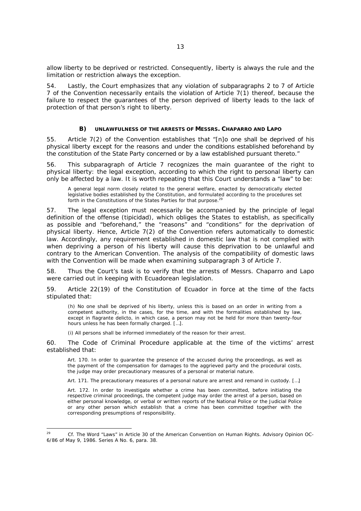allow liberty to be deprived or restricted. Consequently, liberty is always the rule and the limitation or restriction always the exception.

54. Lastly, the Court emphasizes that any violation of subparagraphs 2 to 7 of Article 7 of the Convention necessarily entails the violation of Article 7(1) thereof, because the failure to respect the guarantees of the person deprived of liberty leads to the lack of protection of that person's right to liberty.

#### *B) UNLAWFULNESS OF THE ARRESTS OF MESSRS. CHAPARRO AND LAPO*

55. Article 7(2) of the Convention establishes that "[n]o one shall be deprived of his physical liberty except for the reasons and under the conditions established beforehand by the constitution of the State Party concerned or by a law established pursuant thereto."

56. This subparagraph of Article 7 recognizes the main guarantee of the right to physical liberty: the legal exception, according to which the right to personal liberty can only be affected by a law. It is worth repeating that this Court understands a "law" to be:

A general legal norm closely related to the general welfare, enacted by democratically elected legislative bodies established by the Constitution, and formulated according to the procedures set forth in the Constitutions of the States Parties for that purpose.<sup>29</sup>

57. The legal exception must necessarily be accompanied by the principle of legal definition of the offense (*tipicidad*), which obliges the States to establish, as specifically as possible and "beforehand," the "reasons" and "conditions" for the deprivation of physical liberty. Hence, Article 7(2) of the Convention refers automatically to domestic law. Accordingly, any requirement established in domestic law that is not complied with when depriving a person of his liberty will cause this deprivation to be unlawful and contrary to the American Convention. The analysis of the compatibility of domestic laws with the Convention will be made when examining subparagraph 3 of Article 7.

58. Thus the Court's task is to verify that the arrests of Messrs. Chaparro and Lapo were carried out in keeping with Ecuadorean legislation.

59. Article 22(19) of the Constitution of Ecuador in force at the time of the facts stipulated that:

(h) No one shall be deprived of his liberty, unless this is based on an order in writing from a competent authority, in the cases, for the time, and with the formalities established by law, except *in flagrante delicto,* in which case, a person may not be held for more than twenty-four hours unless he has been formally charged. […].

(i) All persons shall be informed immediately of the reason for their arrest.

60. The Code of Criminal Procedure applicable at the time of the victims' arrest established that:

Art. 170. In order to guarantee the presence of the accused during the proceedings, as well as the payment of the compensation for damages to the aggrieved party and the procedural costs, the judge may order precautionary measures of a personal or material nature.

Art. 171. The precautionary measures of a personal nature are arrest and remand in custody. […]

Art. 172. In order to investigate whether a crime has been committed, before initiating the respective criminal proceedings, the competent judge may order the arrest of a person, based on either personal knowledge, or verbal or written reports of the National Police or the Judicial Police or any other person which establish that a crime has been committed together with the corresponding presumptions of responsibility.

<sup>29</sup> *Cf. The Word "Laws" in Article 30 of the American Convention on Human Rights*. Advisory Opinion OC-6/86 of May 9, 1986. Series A No. 6, para. 38.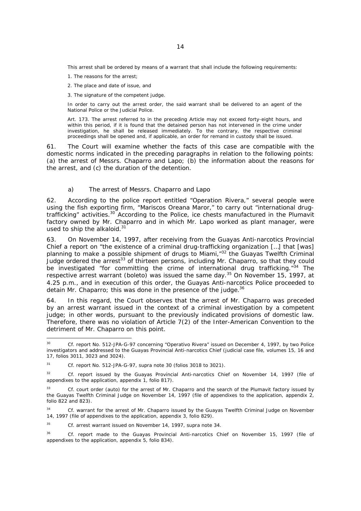This arrest shall be ordered by means of a warrant that shall include the following requirements:

- 1. The reasons for the arrest;
- 2. The place and date of issue, and
- 3. The signature of the competent judge.

In order to carry out the arrest order, the said warrant shall be delivered to an agent of the National Police or the Judicial Police.

Art. 173. The arrest referred to in the preceding Article may not exceed forty-eight hours, and within this period, if it is found that the detained person has not intervened in the crime under investigation, he shall be released immediately. To the contrary, the respective criminal proceedings shall be opened and, if applicable, an order for remand in custody shall be issued.

61. The Court will examine whether the facts of this case are compatible with the domestic norms indicated in the preceding paragraphs in relation to the following points: (a) the arrest of Messrs. Chaparro and Lapo; (b) the information about the reasons for the arrest, and (c) the duration of the detention.

## *a) The arrest of Messrs. Chaparro and Lapo*

62. According to the police report entitled "Operation Rivera," several people were using the fish exporting firm, *"Mariscos Oreana Maror,"* to carry out "international drugtrafficking" activities.<sup>30</sup> According to the Police, ice chests manufactured in the Plumavit factory owned by Mr. Chaparro and in which Mr. Lapo worked as plant manager, were used to ship the alkaloid.<sup>31</sup>

63. On November 14, 1997, after receiving from the Guayas Anti-narcotics Provincial Chief a report on "the existence of a criminal drug-trafficking organization […] that [was] planning to make a possible shipment of drugs to Miami, $n^{32}$  the Guayas Twelfth Criminal Judge ordered the arrest<sup>33</sup> of thirteen persons, including Mr. Chaparro, so that they could be investigated "for committing the crime of international drug trafficking."<sup>34</sup> The respective arrest warrant (*boleto*) was issued the same day.35 On November 15, 1997, at 4.25 p.m., and in execution of this order, the Guayas Anti-narcotics Police proceeded to detain Mr. Chaparro; this was done in the presence of the judge.<sup>36</sup>

64. In this regard, the Court observes that the arrest of Mr. Chaparro was preceded by an arrest warrant issued in the context of a criminal investigation by a competent judge; in other words, pursuant to the previously indicated provisions of domestic law. Therefore, there was no violation of Article 7(2) of the Inter-American Convention to the detriment of Mr. Chaparro on this point.

Cf. warrant for the arrest of Mr. Chaparro issued by the Guayas Twelfth Criminal Judge on November 14, 1997 (file of appendixes to the application, appendix 3, folio 829).

35 *Cf.* arrest warrant issued on November 14, 1997, *supra* note 34.

36 *Cf.* report made to the Guayas Provincial Anti-narcotics Chief on November 15, 1997 (file of appendixes to the application, appendix 5, folio 834).

 $30<sup>2</sup>$ 30 *Cf.* report No. 512-JPA-G-97 concerning "Operativo Rivera" issued on December 4, 1997, by two Police investigators and addressed to the Guayas Provincial Anti-narcotics Chief (judicial case file, volumes 15, 16 and 17, folios 3011, 3023 and 3024).

<sup>31</sup> *Cf.* report No. 512-JPA-G-97, *supra* note 30 (folios 3018 to 3021).

<sup>32</sup> *Cf.* report issued by the Guayas Provincial Anti-narcotics Chief on November 14, 1997 (file of appendixes to the application, appendix 1, folio 817).

<sup>33</sup> *Cf.* court order (*auto*) for the arrest of Mr. Chaparro and the search of the Plumavit factory issued by the Guayas Twelfth Criminal Judge on November 14, 1997 (file of appendixes to the application, appendix 2, folio 822 and 823).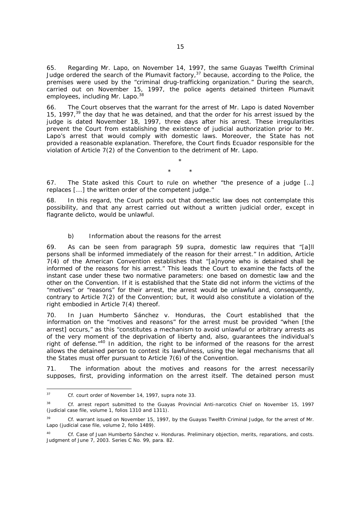65. Regarding Mr. Lapo, on November 14, 1997, the same Guayas Twelfth Criminal Judge ordered the search of the Plumavit factory,37 because, according to the Police, the premises were used by the "criminal drug-trafficking organization." During the search, carried out on November 15, 1997, the police agents detained thirteen Plumavit employees, including Mr. Lapo.<sup>38</sup>

66. The Court observes that the warrant for the arrest of Mr. Lapo is dated November 15, 1997, $39$  the day that he was detained, and that the order for his arrest issued by the judge is dated November 18, 1997, three days after his arrest. These irregularities prevent the Court from establishing the existence of judicial authorization prior to Mr. Lapo's arrest that would comply with domestic laws. Moreover, the State has not provided a reasonable explanation. Therefore, the Court finds Ecuador responsible for the violation of Article 7(2) of the Convention to the detriment of Mr. Lapo.

67. The State asked this Court to rule on whether "the presence of a judge […] replaces [...] the written order of the competent judge."

\* \* \*

68. In this regard, the Court points out that domestic law does not contemplate this possibility, and that any arrest carried out without a written judicial order, except *in flagrante delicto,* would be unlawful.

## *b) Information about the reasons for the arrest*

69. As can be seen from paragraph 59 *supra*, domestic law requires that "[a]ll persons shall be informed immediately of the reason for their arrest." In addition, Article 7(4) of the American Convention establishes that "[a]nyone who is detained shall be informed of the reasons for his arrest." This leads the Court to examine the facts of the instant case under these two normative parameters: one based on domestic law and the other on the Convention. If it is established that the State did not inform the victims of the "motives" or "reasons" for their arrest, the arrest would be unlawful and, consequently, contrary to Article 7(2) of the Convention; but, it would also constitute a violation of the right embodied in Article 7(4) thereof.

70. In *Juan Humberto Sánchez v. Honduras,* the Court established that the information on the "motives and reasons" for the arrest must be provided "when [the arrest] occurs," as this "constitutes a mechanism to avoid unlawful or arbitrary arrests as of the very moment of the deprivation of liberty and, also, guarantees the individual's right of defense."40 In addition, the right to be informed of the reasons for the arrest allows the detained person to contest its lawfulness, using the legal mechanisms that all the States must offer pursuant to Article 7(6) of the Convention.

71. The information about the motives and reasons for the arrest necessarily supposes, first, providing information on the arrest itself. The detained person must

 $37$ 37 Cf. court order of November 14, 1997, *supra* note 33.

<sup>38</sup> *Cf.* arrest report submitted to the Guayas Provincial Anti-narcotics Chief on November 15, 1997 (judicial case file, volume 1, folios 1310 and 1311).

<sup>39</sup> *Cf.* warrant issued on November 15, 1997, by the Guayas Twelfth Criminal Judge, for the arrest of Mr. Lapo (judicial case file, volume 2, folio 1489).

<sup>40</sup> *Cf. Case of Juan Humberto Sánchez v. Honduras. Preliminary objection, merits, reparations, and costs.* Judgment of June 7, 2003. Series C No. 99, para. 82.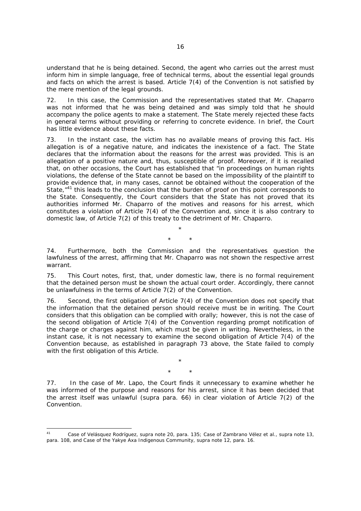understand that he is being detained. Second, the agent who carries out the arrest must inform him in simple language, free of technical terms, about the essential legal grounds and facts on which the arrest is based. Article  $7(4)$  of the Convention is not satisfied by the mere mention of the legal grounds.

72. In this case, the Commission and the representatives stated that Mr. Chaparro was not informed that he was being detained and was simply told that he should accompany the police agents to make a statement. The State merely rejected these facts in general terms without providing or referring to concrete evidence. In brief, the Court has little evidence about these facts.

73. In the instant case, the victim has no available means of proving this fact. His allegation is of a negative nature, and indicates the inexistence of a fact. The State declares that the information about the reasons for the arrest was provided. This is an allegation of a positive nature and, thus, susceptible of proof. Moreover, if it is recalled that, on other occasions, the Court has established that "in proceedings on human rights violations, the defense of the State cannot be based on the impossibility of the plaintiff to provide evidence that, in many cases, cannot be obtained without the cooperation of the State, $n^{41}$  this leads to the conclusion that the burden of proof on this point corresponds to the State. Consequently, the Court considers that the State has not proved that its authorities informed Mr. Chaparro of the motives and reasons for his arrest, which constitutes a violation of Article 7(4) of the Convention and, since it is also contrary to domestic law, of Article 7(2) of this treaty to the detriment of Mr. Chaparro.

> \* \* \*

74. Furthermore, both the Commission and the representatives question the lawfulness of the arrest, affirming that Mr. Chaparro was not shown the respective arrest warrant.

75. This Court notes, first, that, under domestic law, there is no formal requirement that the detained person must be shown the actual court order. Accordingly, there cannot be unlawfulness in the terms of Article 7(2) of the Convention.

76. Second, the first obligation of Article 7(4) of the Convention does not specify that the information that the detained person should receive must be in writing. The Court considers that this obligation can be complied with orally; however, this is not the case of the second obligation of Article 7(4) of the Convention regarding prompt notification of the charge or charges against him, which must be given in writing. Nevertheless, in the instant case, it is not necessary to examine the second obligation of Article 7(4) of the Convention because, as established in paragraph 73 above, the State failed to comply with the first obligation of this Article.

> \* \* \*

77. In the case of Mr. Lapo, the Court finds it unnecessary to examine whether he was informed of the purpose and reasons for his arrest, since it has been decided that the arrest itself was unlawful (*supra* para. 66) in clear violation of Article 7(2) of the Convention.

<sup>41</sup> *Case of Velásquez Rodríguez*, *supra* note 20, para. 135; *Case of Zambrano Vélez et al.*, *supra* note 13, para. 108, and *Case of the Yakye Axa Indigenous Community*, *supra* note 12, para. 16.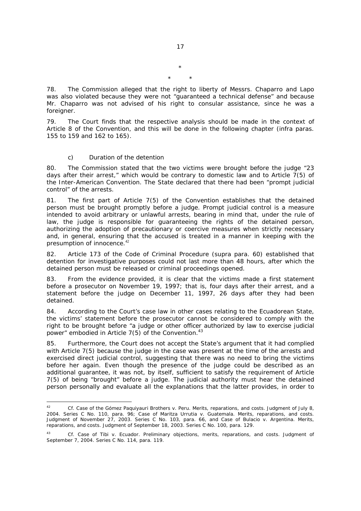17

\* \* \*

78. The Commission alleged that the right to liberty of Messrs. Chaparro and Lapo was also violated because they were not "guaranteed a technical defense" and because Mr. Chaparro was not advised of his right to consular assistance, since he was a foreigner.

79. The Court finds that the respective analysis should be made in the context of Article 8 of the Convention, and this will be done in the following chapter (*infra* paras. 155 to 159 and 162 to 165).

# *c) Duration of the detention*

80. The Commission stated that the two victims were brought before the judge "23 days after their arrest," which would be contrary to domestic law and to Article 7(5) of the Inter-American Convention. The State declared that there had been "prompt judicial control" of the arrests.

81. The first part of Article 7(5) of the Convention establishes that the detained person must be brought promptly before a judge. Prompt judicial control is a measure intended to avoid arbitrary or unlawful arrests, bearing in mind that, under the rule of law, the judge is responsible for guaranteeing the rights of the detained person, authorizing the adoption of precautionary or coercive measures when strictly necessary and, in general, ensuring that the accused is treated in a manner in keeping with the presumption of innocence.<sup>42</sup>

82. Article 173 of the Code of Criminal Procedure (*supra* para. 60) established that detention for investigative purposes could not last more than 48 hours, after which the detained person must be released or criminal proceedings opened.

83. From the evidence provided, it is clear that the victims made a first statement before a prosecutor on November 19, 1997; that is, four days after their arrest, and a statement before the judge on December 11, 1997, 26 days after they had been detained.

84. According to the Court's case law in other cases relating to the Ecuadorean State, the victims' statement before the prosecutor cannot be considered to comply with the right to be brought before "a judge or other officer authorized by law to exercise judicial power" embodied in Article  $7(5)$  of the Convention.<sup>43</sup>

85. Furthermore, the Court does not accept the State's argument that it had complied with Article 7(5) because the judge in the case was present at the time of the arrests and exercised direct judicial control, suggesting that there was no need to bring the victims before her again. Even though the presence of the judge could be described as an additional guarantee, it was not, by itself, sufficient to satisfy the requirement of Article 7(5) of being "brought" before a judge. The judicial authority must hear the detained person personally and evaluate all the explanations that the latter provides, in order to

 $42$ <sup>42</sup> *Cf. Case of the Gómez Paquiyauri Brothers v. Peru. Merits, reparations, and costs.* Judgment of July 8, 2004. Series C No. 110, para. 96; *Case of Maritza Urrutia v. Guatemala. Merits, reparations, and costs.* Judgment of November 27, 2003. Series C No. 103*,* para. 66, and *Case of Bulacio v. Argentina. Merits, reparations, and costs.* Judgment of September 18, 2003. Series C No. 100, para. 129.

<sup>43</sup> Cf. *Case of Tibi v. Ecuador. Preliminary objections, merits, reparations, and costs.* Judgment of September 7, 2004. Series C No. 114, para. 119.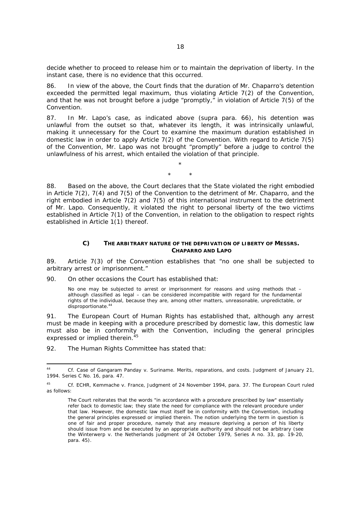decide whether to proceed to release him or to maintain the deprivation of liberty. In the instant case, there is no evidence that this occurred.

86. In view of the above, the Court finds that the duration of Mr. Chaparro's detention exceeded the permitted legal maximum, thus violating Article 7(2) of the Convention, and that he was not brought before a judge "promptly," in violation of Article 7(5) of the Convention.

87. In Mr. Lapo's case, as indicated above (*supra* para. 66), his detention was unlawful from the outset so that, whatever its length, it was intrinsically unlawful, making it unnecessary for the Court to examine the maximum duration established in domestic law in order to apply Article 7(2) of the Convention. With regard to Article 7(5) of the Convention, Mr. Lapo was not brought "promptly" before a judge to control the unlawfulness of his arrest, which entailed the violation of that principle.

> \* \* \*

88. Based on the above, the Court declares that the State violated the right embodied in Article  $7(2)$ ,  $7(4)$  and  $7(5)$  of the Convention to the detriment of Mr. Chaparro, and the right embodied in Article 7(2) and 7(5) of this international instrument to the detriment of Mr. Lapo. Consequently, it violated the right to personal liberty of the two victims established in Article 7(1) of the Convention, in relation to the obligation to respect rights established in Article 1(1) thereof.

### *C) THE ARBITRARY NATURE OF THE DEPRIVATION OF LIBERTY OF MESSRS. CHAPARRO AND LAPO*

89. Article 7(3) of the Convention establishes that "no one shall be subjected to arbitrary arrest or imprisonment."

90. On other occasions the Court has established that:

No one may be subjected to arrest or imprisonment for reasons and using methods that – although classified as legal – can be considered incompatible with regard for the fundamental rights of the individual, because they are, among other matters, unreasonable, unpredictable, or disproportionate.<sup>44</sup>

91. The European Court of Human Rights has established that, although any arrest must be made in keeping with a procedure prescribed by domestic law, this domestic law must also be in conformity with the Convention, including the general principles expressed or implied therein.<sup>7</sup>

92. The Human Rights Committee has stated that:

<sup>44</sup> *Cf. Case of Gangaram Panday v. Suriname. Merits, reparations, and costs.* Judgment of January 21, 1994. Series C No. 16, para. 47.

<sup>45</sup> *Cf. ECHR, Kemmache v. France*, Judgment of 24 November 1994, para. 37. The European Court ruled as follows:

The Court reiterates that the words "in accordance with a procedure prescribed by law" essentially refer back to domestic law; they state the need for compliance with the relevant procedure under that law. However, the domestic law must itself be in conformity with the Convention, including the general principles expressed or implied therein. The notion underlying the term in question is one of fair and proper procedure, namely that any measure depriving a person of his liberty should issue from and be executed by an appropriate authority and should not be arbitrary (see the Winterwerp v. the Netherlands judgment of 24 October 1979, Series A no. 33, pp. 19-20, para. 45).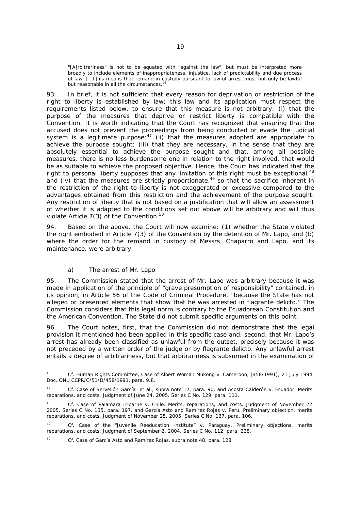"[A]rbitrariness" is not to be equated with "against the law", but must be interpreted more broadly to include elements of inappropriateness, injustice, lack of predictability and due process of law. […T]his means that remand in custody pursuant to lawful arrest must not only be lawful but reasonable in all the circumstances.<sup>46</sup>

93. In brief, it is not sufficient that every reason for deprivation or restriction of the right to liberty is established by law; this law and its application must respect the requirements listed below, to ensure that this measure is not arbitrary: (i) that the purpose of the measures that deprive or restrict liberty is compatible with the Convention. It is worth indicating that the Court has recognized that ensuring that the accused does not prevent the proceedings from being conducted or evade the judicial system is a legitimate purpose;  $47$  (ii) that the measures adopted are appropriate to achieve the purpose sought; (iii) that they are necessary, in the sense that they are absolutely essential to achieve the purpose sought and that, among all possible measures, there is no less burdensome one in relation to the right involved, that would be as suitable to achieve the proposed objective. Hence, the Court has indicated that the right to personal liberty supposes that any limitation of this right must be exceptional,<sup>48</sup> and (iv) that the measures are strictly proportionate,<sup>49</sup> so that the sacrifice inherent in the restriction of the right to liberty is not exaggerated or excessive compared to the advantages obtained from this restriction and the achievement of the purpose sought. Any restriction of liberty that is not based on a justification that will allow an assessment of whether it is adapted to the conditions set out above will be arbitrary and will thus violate Article  $7(3)$  of the Convention.<sup>50</sup>

94. Based on the above, the Court will now examine: (1) whether the State violated the right embodied in Article 7(3) of the Convention by the detention of Mr. Lapo, and (b) where the order for the remand in custody of Messrs. Chaparro and Lapo, and its maintenance, were arbitrary.

## *a) The arrest of Mr. Lapo*

95. The Commission stated that the arrest of Mr. Lapo was arbitrary because it was made in application of the principle of "grave presumption of responsibility" contained, in its opinion, in Article 56 of the Code of Criminal Procedure, "because the State has not alleged or presented elements that show that he was arrested *in flagrante delicto.*" The Commission considers that this legal norm is contrary to the Ecuadorean Constitution and the American Convention. The State did not submit specific arguments on this point.

96. The Court notes, first, that the Commission did not demonstrate that the legal provision it mentioned had been applied in this specific case and, second, that Mr. Lapo's arrest has already been classified as unlawful from the outset, precisely because it was not preceded by a written order of the judge or by *flagrante delicto*. Any unlawful arrest entails a degree of arbitrariness, but that arbitrariness is subsumed in the examination of

 $46<sup>1</sup>$ 46 *Cf.* Human Rights Committee, *Case of Albert Womah Mukong v. Cameroon*, (458/1991), 21 July 1994, Doc. ONU CCPR/C/51/D/458/1991, para. 9.8.

<sup>47</sup> *Cf. Case of Servellón García et al., supra* note 17, para. 90, and *Acosta Calderón v. Ecuador. Merits, reparations, and costs.* Judgment of June 24, 2005. Series C No. 129, para. 111.

<sup>48</sup> *Cf. Case of Palamara Iribarne v. Chile. Merits, reparations, and costs.* Judgment of November 22, 2005. Series C No. 135, para. 197, and *García Asto and Ramírez Rojas v. Peru. Preliminary objection, merits, reparations, and costs.* Judgment of November 25, 2005. Series C No. 137, para. 106.

<sup>49</sup> *Cf. Case of the "Juvenile Reeducation Institute" v. Paraguay. Preliminary objections, merits, reparations, and costs.* Judgment of September 2, 2004. Series C No. 112, para. 228.

<sup>50</sup> *Cf. Case of García Asto and Ramírez Rojas*, *supra* note 48, para. 128.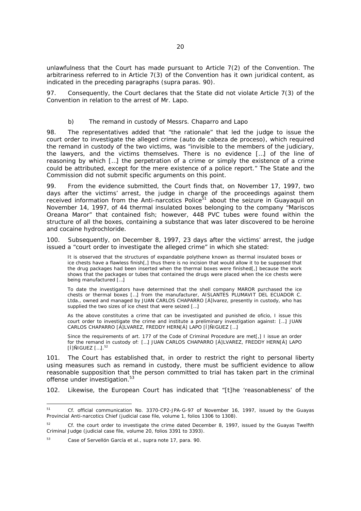unlawfulness that the Court has made pursuant to Article 7(2) of the Convention. The arbitrariness referred to in Article 7(3) of the Convention has it own juridical content, as indicated in the preceding paragraphs (*supra* paras. 90).

97. Consequently, the Court declares that the State did not violate Article 7(3) of the Convention in relation to the arrest of Mr. Lapo.

# *b) The remand in custody of Messrs. Chaparro and Lapo*

98. The representatives added that "the rationale" that led the judge to issue the court order to investigate the alleged crime (*auto de cabeza de proceso*), which required the remand in custody of the two victims, was "invisible to the members of the judiciary, the lawyers, and the victims themselves. There is no evidence […] of the line of reasoning by which […] the perpetration of a crime or simply the existence of a crime could be attributed, except for the mere existence of a police report." The State and the Commission did not submit specific arguments on this point.

99. From the evidence submitted, the Court finds that, on November 17, 1997, two days after the victims' arrest, the judge in charge of the proceedings against them received information from the Anti-narcotics Police<sup>51</sup> about the seizure in Guayaquil on November 14, 1997, of 44 thermal insulated boxes belonging to the company "*Mariscos Oreana Maror"* that contained fish; however, 448 PVC tubes were found within the structure of all the boxes, containing a substance that was later discovered to be heroine and cocaine hydrochloride.

100. Subsequently, on December 8, 1997, 23 days after the victims' arrest, the judge issued a "court order to investigate the alleged crime" in which she stated:

It is observed that the structures of expandable polythene known as thermal insulated boxes or ice chests have a flawless finish[,] thus there is no incision that would allow it to be supposed that the drug packages had been inserted when the thermal boxes were finished[,] because the work shows that the packages or tubes that contained the drugs were placed when the ice chests were being manufactured […]

To date the investigators have determined that the shell company MAROR purchased the ice chests or thermal boxes […] from the manufacturer, AISLANTES PLUMAVIT DEL ECUADOR C. Ltda., owned and managed by JUAN CARLOS CHAPARRO [Á]lvarez, presently in custody, who has supplied the two sizes of ice chest that were seized […]

As the above constitutes a crime that can be investigated and punished *de oficio*, I issue this court order to investigate the crime and institute a preliminary investigation against: […] JUAN CARLOS CHAPARRO [Á]LVAREZ, FREDDY HERN[Á] LAPO [Í]ÑIGUEZ […]

Since the requirements of art. 177 of the Code of Criminal Procedure are met[,] I issue an order for the remand in custody of: […] JUAN CARLOS CHAPARRO [Á]LVAREZ, FREDDY HERN[Á] LAPO  $[1]$ ÑIGUEZ  $[...]$ .<sup>52</sup>

101. The Court has established that, in order to restrict the right to personal liberty using measures such as remand in custody, there must be sufficient evidence to allow reasonable supposition that the person committed to trial has taken part in the criminal offense under investigation.<sup>53</sup>

102. Likewise, the European Court has indicated that "[t]he 'reasonableness' of the

<sup>51</sup> *Cf.* official communication No. 3370-CP2-JPA-G-97 of November 16, 1997, issued by the Guayas Provincial Anti-narcotics Chief (judicial case file, volume 1, folios 1306 to 1308).

<sup>&</sup>lt;sup>52</sup> *Cf.* the court order to investigate the crime dated December 8, 1997, issued by the Guayas Twelfth Criminal Judge (judicial case file, volume 20, folios 3391 to 3393).

<sup>53</sup> *Case of Servellón García et al., supra* note 17, para. 90.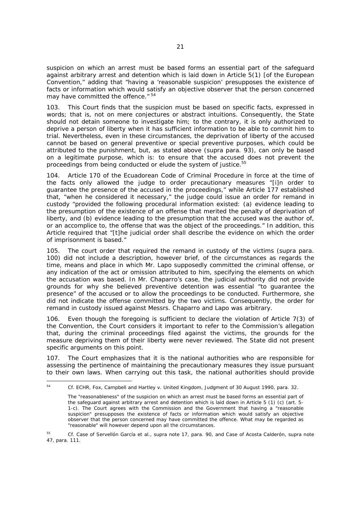suspicion on which an arrest must be based forms an essential part of the safeguard against arbitrary arrest and detention which is laid down in Article 5(1) [of the European Convention," adding that "having a 'reasonable suspicion' presupposes the existence of facts or information which would satisfy an objective observer that the person concerned may have committed the offence."  $54$ 

103. This Court finds that the suspicion must be based on specific facts, expressed in words; that is, not on mere conjectures or abstract intuitions. Consequently, the State should not detain someone to investigate him; to the contrary, it is only authorized to deprive a person of liberty when it has sufficient information to be able to commit him to trial. Nevertheless, even in these circumstances, the deprivation of liberty of the accused cannot be based on general preventive or special preventive purposes, which could be attributed to the punishment, but, as stated above (*supra* para. 93), can only be based on a legitimate purpose, which is: to ensure that the accused does not prevent the proceedings from being conducted or elude the system of justice.<sup>55</sup>

104. Article 170 of the Ecuadorean Code of Criminal Procedure in force at the time of the facts only allowed the judge to order precautionary measures "[i]n order to guarantee the presence of the accused in the proceedings," while Article 177 established that, "when he considered it necessary," the judge could issue an order for remand in custody "provided the following procedural information existed: (a) evidence leading to the presumption of the existence of an offense that merited the penalty of deprivation of liberty, and (b) evidence leading to the presumption that the accused was the author of, or an accomplice to, the offense that was the object of the proceedings." In addition, this Article required that "[t]he judicial order shall describe the evidence on which the order of imprisonment is based."

105. The court order that required the remand in custody of the victims (*supra* para. 100) did not include a description, however brief, of the circumstances as regards the time, means and place in which Mr. Lapo supposedly committed the criminal offense, or any indication of the act or omission attributed to him, specifying the elements on which the accusation was based. In Mr. Chaparro's case, the judicial authority did not provide grounds for why she believed preventive detention was essential "to guarantee the presence" of the accused or to allow the proceedings to be conducted. Furthermore, she did not indicate the offense committed by the two victims. Consequently, the order for remand in custody issued against Messrs. Chaparro and Lapo was arbitrary.

106. Even though the foregoing is sufficient to declare the violation of Article 7(3) of the Convention, the Court considers it important to refer to the Commission's allegation that, during the criminal proceedings filed against the victims, the grounds for the measure depriving them of their liberty were never reviewed. The State did not present specific arguments on this point.

107. The Court emphasizes that it is the national authorities who are responsible for assessing the pertinence of maintaining the precautionary measures they issue pursuant to their own laws. When carrying out this task, the national authorities should provide

 $54$ 54 *Cf. ECHR, Fox, Campbell and Hartley v. United Kingdom*, Judgment of 30 August 1990, para. 32.

The "reasonableness" of the suspicion on which an arrest must be based forms an essential part of the safeguard against arbitrary arrest and detention which is laid down in Article 5 (1) (c) (art. 5- 1-c). The Court agrees with the Commission and the Government that having a "reasonable suspicion" presupposes the existence of facts or information which would satisfy an objective observer that the person concerned may have committed the offence. What may be regarded as "reasonable" will however depend upon all the circumstances.

<sup>55</sup> *Cf. Case of Servellón García et al., supra* note 17, para. 90, and *Case of Acosta Calderón, supra* note 47, para. 111.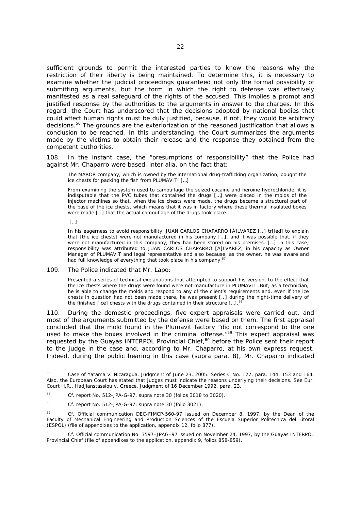sufficient grounds to permit the interested parties to know the reasons why the restriction of their liberty is being maintained. To determine this, it is necessary to examine whether the judicial proceedings guaranteed not only the formal possibility of submitting arguments, but the form in which the right to defense was effectively manifested as a real safeguard of the rights of the accused. This implies a prompt and justified response by the authorities to the arguments in answer to the charges. In this regard, the Court has underscored that the decisions adopted by national bodies that could affect human rights must be duly justified, because, if not, they would be arbitrary decisions.<sup>56</sup> The grounds are the exteriorization of the reasoned justification that allows a conclusion to be reached. In this understanding, the Court summarizes the arguments made by the victims to obtain their release and the response they obtained from the competent authorities.

108. In the instant case, the "presumptions of responsibility" that the Police had against Mr. Chaparro were based, *inter alia,* on the fact that:

The MAROR company, which is owned by the international drug-trafficking organization, bought the ice chests for packing the fish from PLUMAVIT. […]

From examining the system used to camouflage the seized cocaine and heroine hydrochloride, it is indisputable that the PVC tubes that contained the drugs […] were placed in the molds of the injector machines so that, when the ice chests were made, the drugs became a structural part of the base of the ice chests, which means that it was in factory where these thermal insulated boxes were made […] that the actual camouflage of the drugs took place.

[…]

In his eagerness to avoid responsibility, JUAN CARLOS CHAPARRO [Á]LVAREZ […] tr[ied] to explain that [the ice chests] were not manufactured in his company […], and it was possible that, if they were not manufactured in this company, they had been stored on his premises. [...] In this case, responsibility was attributed to JUAN CARLOS CHAPARRO [Á]LVAREZ, in his capacity as Owner Manager of PLUMAVIT and legal representative and also because, as the owner, he was aware and had full knowledge of everything that took place in his company.<sup>57</sup>

109. The Police indicated that Mr. Lapo:

Presented a series of technical explanations that attempted to support his version, to the effect that the ice chests where the drugs were found were not manufacture in PLUMAVIT. But, as a technician, he is able to change the molds and respond to any of the client's requirements and, even if the ice chests in question had not been made there, he was present […] during the night-time delivery of the finished [ice] chests with the drugs contained in their structure [...].<sup>5</sup>

110. During the domestic proceedings, five expert appraisals were carried out, and most of the arguments submitted by the defense were based on them. The first appraisal concluded that the mold found in the Plumavit factory "did not correspond to the one used to make the boxes involved in the criminal offense."<sup>59</sup> This expert appraisal was requested by the Guayas INTERPOL Provincial Chief,<sup>60</sup> before the Police sent their report to the judge in the case and, according to Mr. Chaparro, at his own express request. Indeed, during the public hearing in this case (*supra* para. 8), Mr. Chaparro indicated

<sup>56</sup> 56 *Case of Yatama v. Nicaragua*. Judgment of June 23, 2005. Series C No. 127, para. 144, 153 and 164. Also, the European Court has stated that judges must indicate the reasons underlying their decisions. See Eur. Court H.R., *Hadjianstassiou v. Greece*, Judgment of 16 December 1992, para. 23.

<sup>57</sup> *Cf.* report No. 512-JPA-G-97, *supra* note 30 (folios 3018 to 3020).

<sup>58</sup> *Cf.* report No. 512-JPA-G-97, *supra* note 30 (folio 3021).

<sup>59</sup> *Cf.* Official communication DEC-FIMCP-560-97 issued on December 8, 1997, by the Dean of the Faculty of Mechanical Engineering and Production Sciences of the *Escuela Superior Politécnica del Litoral* (ESPOL) (file of appendixes to the application, appendix 12, folio 877).

<sup>60</sup> *Cf.* Official communication No. 3597–JPAG–97 issued on November 24, 1997, by the Guayas INTERPOL Provincial Chief (file of appendixes to the application, appendix 9, folios 858-859).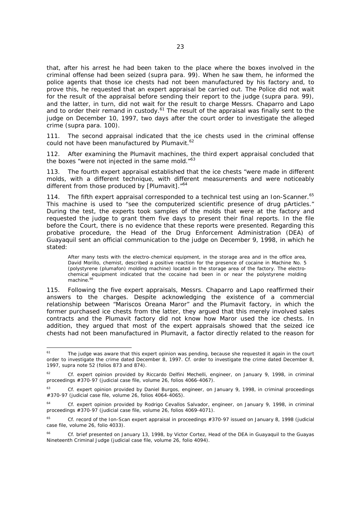that, after his arrest he had been taken to the place where the boxes involved in the criminal offense had been seized (*supra* para. 99). When he saw them, he informed the police agents that those ice chests had not been manufactured by his factory and, to prove this, he requested that an expert appraisal be carried out. The Police did not wait for the result of the appraisal before sending their report to the judge (*supra* para. 99), and the latter, in turn, did not wait for the result to charge Messrs. Chaparro and Lapo and to order their remand in custody.<sup>61</sup> The result of the appraisal was finally sent to the judge on December 10, 1997, two days after the court order to investigate the alleged crime (*supra* para. 100).

111. The second appraisal indicated that the ice chests used in the criminal offense could not have been manufactured by Plumavit.<sup>62</sup>

112. After examining the Plumavit machines, the third expert appraisal concluded that the boxes "were not injected in the same mold."<sup>63</sup>

113. The fourth expert appraisal established that the ice chests "were made in different molds, with a different technique, with different measurements and were noticeably different from those produced by [Plumavit].<sup>"64</sup>

114. The fifth expert appraisal corresponded to a technical test using an Ion-Scanner.<sup>65</sup> This machine is used to "see the computerized scientific presence of drug pArticles." During the test, the experts took samples of the molds that were at the factory and requested the judge to grant them five days to present their final reports. In the file before the Court, there is no evidence that these reports were presented. Regarding this probative procedure, the Head of the Drug Enforcement Administration (DEA) of Guayaquil sent an official communication to the judge on December 9, 1998, in which he stated:

After many tests with the electro-chemical equipment, in the storage area and in the office area, David Morillo, chemist, described a positive reaction for the presence of cocaine in Machine No. 5 (polystyrene (*plumafon)* molding machine) located in the storage area of the factory. The electrochemical equipment indicated that the cocaine had been in or near the polystyrene molding machine.<sup>6</sup>

115. Following the five expert appraisals, Messrs. Chaparro and Lapo reaffirmed their answers to the charges. Despite acknowledging the existence of a commercial relationship between "*Mariscos Oreana Maror*" and the Plumavit factory, in which the former purchased ice chests from the latter, they argued that this merely involved sales contracts and the Plumavit factory did not know how Maror used the ice chests. In addition, they argued that most of the expert appraisals showed that the seized ice chests had not been manufactured in Plumavit, a factor directly related to the reason for

 $61$  The judge was aware that this expert opinion was pending, because she requested it again in the court order to investigate the crime dated December 8, 1997. *Cf*. order to investigate the crime dated December 8, 1997, *supra* note 52 (folios 873 and 874).

Cf. expert opinion provided by Riccardo Delfini Mechelli, engineer, on January 9, 1998, in criminal proceedings #370-97 (judicial case file, volume 26, folios 4066-4067).

<sup>63</sup> *Cf.* expert opinion provided by Daniel Burgos, engineer, on January 9, 1998, in criminal proceedings #370-97 (judicial case file, volume 26, folios 4064-4065).

<sup>64</sup> *Cf*. expert opinion provided by Rodrigo Cevallos Salvador, engineer, on January 9, 1998, in criminal proceedings #370-97 (judicial case file, volume 26, folios 4069-4071).

<sup>65</sup> *Cf*. record of the Ion-Scan expert appraisal in proceedings #370-97 issued on January 8, 1998 (judicial case file, volume 26, folio 4033).

<sup>66</sup> *Cf.* brief presented on January 13, 1998, by Victor Cortez, Head of the DEA in Guayaquil to the Guayas Nineteenth Criminal Judge (judicial case file, volume 26, folio 4094).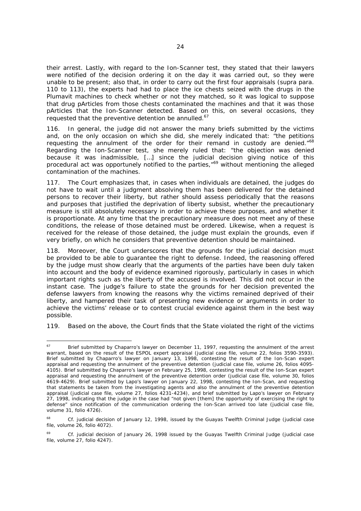their arrest. Lastly, with regard to the Ion-Scanner test, they stated that their lawyers were notified of the decision ordering it on the day it was carried out, so they were unable to be present; also that, in order to carry out the first four appraisals (*supra* para. 110 to 113), the experts had had to place the ice chests seized with the drugs in the Plumavit machines to check whether or not they matched, so it was logical to suppose that drug pArticles from those chests contaminated the machines and that it was those pArticles that the Ion-Scanner detected. Based on this, on several occasions, they requested that the preventive detention be annulled.<sup>67</sup>

116. In general, the judge did not answer the many briefs submitted by the victims and, on the only occasion on which she did, she merely indicated that: "the petitions requesting the annulment of the order for their remand in custody are denied."<sup>68</sup> Regarding the Ion-Scanner test, she merely ruled that: "the objection was denied because it was inadmissible, […] since the judicial decision giving notice of this procedural act was opportunely notified to the parties,"<sup>69</sup> without mentioning the alleged contamination of the machines.

117. The Court emphasizes that, in cases when individuals are detained, the judges do not have to wait until a judgment absolving them has been delivered for the detained persons to recover their liberty, but rather should assess periodically that the reasons and purposes that justified the deprivation of liberty subsist, whether the precautionary measure is still absolutely necessary in order to achieve these purposes, and whether it is proportionate. At any time that the precautionary measure does not meet any of these conditions, the release of those detained must be ordered. Likewise, when a request is received for the release of those detained, the judge must explain the grounds, even if very briefly, on which he considers that preventive detention should be maintained.

118. Moreover, the Court underscores that the grounds for the judicial decision must be provided to be able to guarantee the right to defense. Indeed, the reasoning offered by the judge must show clearly that the arguments of the parties have been duly taken into account and the body of evidence examined rigorously, particularly in cases in which important rights such as the liberty of the accused is involved. This did not occur in the instant case. The judge's failure to state the grounds for her decision prevented the defense lawyers from knowing the reasons why the victims remained deprived of their liberty, and hampered their task of presenting new evidence or arguments in order to achieve the victims' release or to contest crucial evidence against them in the best way possible.

119. Based on the above, the Court finds that the State violated the right of the victims

 $67$ 67 Brief submitted by Chaparro's lawyer on December 11, 1997, requesting the annulment of the arrest warrant, based on the result of the ESPOL expert appraisal (judicial case file, volume 22, folios 3590-3593). Brief submitted by Chaparro's lawyer on January 13, 1998, contesting the result of the Ion-Scan expert appraisal and requesting the annulment of the preventive detention (judicial case file, volume 26, folios 4095- 4105). Brief submitted by Chaparro's lawyer on February 25, 1998, contesting the result of the Ion-Scan expert appraisal and requesting the annulment of the preventive detention order (judicial case file, volume 30, folios 4619-4629). Brief submitted by Lapo's lawyer on January 22, 1998, contesting the Ion-Scan, and requesting that statements be taken from the investigating agents and also the annulment of the preventive detention appraisal (judicial case file, volume 27, folios 4231-4234), and brief submitted by Lapo's lawyer on February 27, 1998, indicating that the judge in the case had "not given [them] the opportunity of exercising the right to defense" since notification of the communication ordering the Ion-Scan arrived too late (judicial case file, volume 31, folio 4726).

<sup>&</sup>lt;sup>68</sup> *Cf.* judicial decision of January 12, 1998, issued by the Guayas Twelfth Criminal Judge (judicial case file, volume 26, folio 4072).

<sup>69</sup> *Cf.* judicial decision of January 26, 1998 issued by the Guayas Twelfth Criminal Judge (judicial case file, volume 27, folio 4247).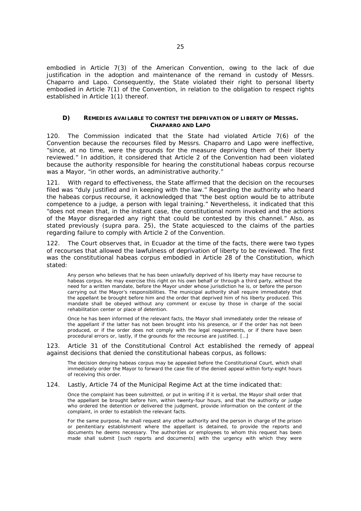embodied in Article 7(3) of the American Convention, owing to the lack of due justification in the adoption and maintenance of the remand in custody of Messrs. Chaparro and Lapo. Consequently, the State violated their right to personal liberty embodied in Article 7(1) of the Convention, in relation to the obligation to respect rights established in Article 1(1) thereof.

#### *D) REMEDIES AVAILABLE TO CONTEST THE DEPRIVATION OF LIBERTY OF MESSRS. CHAPARRO AND LAPO*

120. The Commission indicated that the State had violated Article 7(6) of the Convention because the recourses filed by Messrs. Chaparro and Lapo were ineffective, "since, at no time, were the grounds for the measure depriving them of their liberty reviewed." In addition, it considered that Article 2 of the Convention had been violated because the authority responsible for hearing the constitutional habeas corpus recourse was a Mayor, "in other words, an administrative authority."

121. With regard to effectiveness, the State affirmed that the decision on the recourses filed was "duly justified and in keeping with the law." Regarding the authority who heard the habeas corpus recourse, it acknowledged that "the best option would be to attribute competence to a judge, a person with legal training." Nevertheless, it indicated that this "does not mean that, in the instant case, the constitutional norm invoked and the actions of the Mayor disregarded any right that could be contested by this channel." Also, as stated previously (*supra* para. 25), the State acquiesced to the claims of the parties regarding failure to comply with Article 2 of the Convention.

The Court observes that, in Ecuador at the time of the facts, there were two types of recourses that allowed the lawfulness of deprivation of liberty to be reviewed. The first was the constitutional habeas corpus embodied in Article 28 of the Constitution, which stated:

Any person who believes that he has been unlawfully deprived of his liberty may have recourse to habeas corpus. He may exercise this right on his own behalf or through a third party, without the need for a written mandate, before the Mayor under whose jurisdiction he is, or before the person carrying out the Mayor's responsibilities. The municipal authority shall require immediately that the appellant be brought before him and the order that deprived him of his liberty produced. This mandate shall be obeyed without any comment or excuse by those in charge of the social rehabilitation center or place of detention.

Once he has been informed of the relevant facts, the Mayor shall immediately order the release of the appellant if the latter has not been brought into his presence, or if the order has not been produced, or if the order does not comply with the legal requirements, or if there have been procedural errors or, lastly, if the grounds for the recourse are justified. […]

#### 123. Article 31 of the Constitutional Control Act established the remedy of appeal against decisions that denied the constitutional habeas corpus, as follows:

The decision denying habeas corpus may be appealed before the Constitutional Court, which shall immediately order the Mayor to forward the case file of the denied appeal within forty-eight hours of receiving this order.

#### 124. Lastly, Article 74 of the Municipal Regime Act at the time indicated that:

Once the complaint has been submitted, or put in writing if it is verbal, the Mayor shall order that the appellant be brought before him, within twenty-four hours, and that the authority or judge who ordered the detention or delivered the judgment, provide information on the content of the complaint, in order to establish the relevant facts.

For the same purpose, he shall request any other authority and the person in charge of the prison or penitentiary establishment where the appellant is detained, to provide the reports and documents he deems necessary. The authorities or employees to whom this request has been made shall submit [such reports and documents] with the urgency with which they were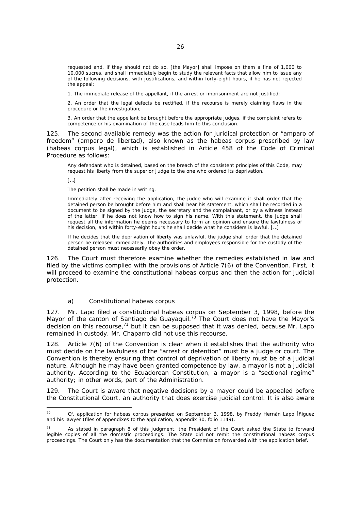requested and, if they should not do so, [the Mayor] shall impose on them a fine of 1,000 to 10,000 sucres, and shall immediately begin to study the relevant facts that allow him to issue any of the following decisions, with justifications, and within forty-eight hours, if he has not rejected the appeal:

1. The immediate release of the appellant, if the arrest or imprisonment are not justified;

2. An order that the legal defects be rectified, if the recourse is merely claiming flaws in the procedure or the investigation;

3. An order that the appellant be brought before the appropriate judges, if the complaint refers to competence or his examination of the case leads him to this conclusion.

125. The second available remedy was the action for juridical protection or "amparo of freedom" (*amparo de libertad*), also known as the habeas corpus prescribed by law (*habeas corpus legal*), which is established in Article 458 of the Code of Criminal Procedure as follows:

Any defendant who is detained, based on the breach of the consistent principles of this Code, may request his liberty from the superior Judge to the one who ordered its deprivation.

[…]

The petition shall be made in writing.

Immediately after receiving the application, the judge who will examine it shall order that the detained person be brought before him and shall hear his statement, which shall be recorded in a document to be signed by the judge, the secretary and the complainant, or by a witness instead of the latter, if he does not know how to sign his name. With this statement, the judge shall request all the information he deems necessary to form an opinion and ensure the lawfulness of his decision, and within forty-eight hours he shall decide what he considers is lawful. [...]

If he decides that the deprivation of liberty was unlawful, the judge shall order that the detained person be released immediately. The authorities and employees responsible for the custody of the detained person must necessarily obey the order.

126. The Court must therefore examine whether the remedies established in law and filed by the victims complied with the provisions of Article 7(6) of the Convention. First, it will proceed to examine the constitutional habeas corpus and then the action for judicial protection.

## *a) Constitutional habeas corpus*

127. Mr. Lapo filed a constitutional habeas corpus on September 3, 1998, before the Mayor of the canton of Santiago de Guayaquil.<sup>70</sup> The Court does not have the Mayor's decision on this recourse,<sup>71</sup> but it can be supposed that it was denied, because Mr. Lapo remained in custody. Mr. Chaparro did not use this recourse.

128. Article 7(6) of the Convention is clear when it establishes that the authority who must decide on the lawfulness of the "arrest or detention" must be a judge or court. The Convention is thereby ensuring that control of deprivation of liberty must be of a judicial nature. Although he may have been granted competence by law, a mayor is not a judicial authority. According to the Ecuadorean Constitution, a mayor is a "sectional regime" authority; in other words, part of the Administration.

129. The Court is aware that negative decisions by a mayor could be appealed before the Constitutional Court, an authority that does exercise judicial control. It is also aware

 $70$ Cf. application for habeas corpus presented on September 3, 1998, by Freddy Hernán Lapo Íñiquez and his lawyer (files of appendixes to the application, appendix 30, folio 1149).

As stated in paragraph 8 of this judgment, the President of the Court asked the State to forward legible copies of all the domestic proceedings. The State did not remit the constitutional habeas corpus proceedings. The Court only has the documentation that the Commission forwarded with the application brief.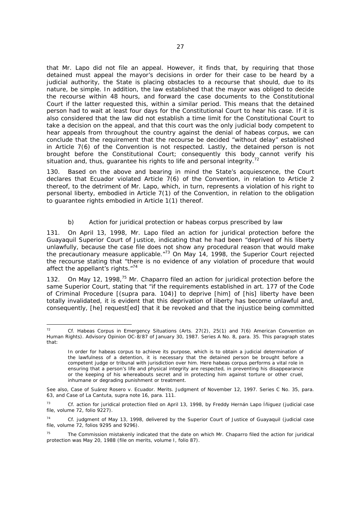that Mr. Lapo did not file an appeal. However, it finds that, by requiring that those detained must appeal the mayor's decisions in order for their case to be heard by a judicial authority, the State is placing obstacles to a recourse that should, due to its nature, be simple. In addition, the law established that the mayor was obliged to decide the recourse within 48 hours, and forward the case documents to the Constitutional Court if the latter requested this, within a similar period. This means that the detained person had to wait at least four days for the Constitutional Court to hear his case. If it is also considered that the law did not establish a time limit for the Constitutional Court to take a decision on the appeal, and that this court was the only judicial body competent to hear appeals from throughout the country against the denial of habeas corpus, we can conclude that the requirement that the recourse be decided "without delay" established in Article 7(6) of the Convention is not respected. Lastly, the detained person is not brought before the Constitutional Court; consequently this body cannot verify his situation and, thus, guarantee his rights to life and personal integrity.

130. Based on the above and bearing in mind the State's acquiescence, the Court declares that Ecuador violated Article 7(6) of the Convention, in relation to Article 2 thereof, to the detriment of Mr. Lapo, which, in turn, represents a violation of his right to personal liberty, embodied in Article 7(1) of the Convention, in relation to the obligation to guarantee rights embodied in Article 1(1) thereof.

### *b) Action for juridical protection or habeas corpus prescribed by law*

131. On April 13, 1998, Mr. Lapo filed an action for juridical protection before the Guayaquil Superior Court of Justice, indicating that he had been "deprived of his liberty unlawfully, because the case file does not show any procedural reason that would make the precautionary measure applicable. $17^3$  On May 14, 1998, the Superior Court rejected the recourse stating that "there is no evidence of any violation of procedure that would affect the appellant's rights."<sup>74</sup>

132. On May 12, 1998,<sup>75</sup> Mr. Chaparro filed an action for juridical protection before the same Superior Court, stating that "if the requirements established in art. 177 of the Code of Criminal Procedure [(*supra* para. 104)] to deprive [him] of [his] liberty have been totally invalidated, it is evident that this deprivation of liberty has become unlawful and, consequently, [he] request[ed] that it be revoked and that the injustice being committed

 $72$ 72 *Cf. Habeas Corpus in Emergency Situations* (Arts. 27(2), 25(1) and 7(6) American Convention on Human Rights). Advisory Opinion OC-8/87 of January 30, 1987. Series A No. 8, para. 35. This paragraph states that:

In order for habeas corpus to achieve its purpose, which is to obtain a judicial determination of the lawfulness of a detention, it is necessary that the detained person be brought before a competent judge or tribunal with jurisdiction over him. Here habeas corpus performs a vital role in ensuring that a person's life and physical integrity are respected, in preventing his disappearance or the keeping of his whereabouts secret and in protecting him against torture or other cruel, inhumane or degrading punishment or treatment.

See also, *Case of Suárez Rosero v. Ecuador. Merits.* Judgment of November 12, 1997. Series C No. 35, para. 63, and *Case of La Cantuta*, *supra* note 16, para. 111.

<sup>73</sup> *Cf.* action for juridical protection filed on April 13, 1998, by Freddy Hernán Lapo Íñiguez (judicial case file, volume 72, folio 9227).

<sup>74</sup> *Cf.* judgment of May 13, 1998, delivered by the Superior Court of Justice of Guayaquil (judicial case file, volume 72, folios 9295 and 9296).

The Commission mistakenly indicated that the date on which Mr. Chaparro filed the action for juridical protection was May 20, 1988 (file on merits, volume I, folio 87).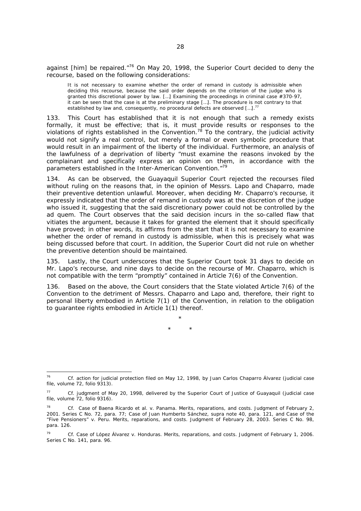against [him] be repaired. $176$  On May 20, 1998, the Superior Court decided to deny the recourse, based on the following considerations:

It is not necessary to examine whether the order of remand in custody is admissible when deciding this recourse, because the said order depends on the criterion of the judge who is granted this discretional power by law. […] Examining the proceedings in criminal case #370-97, it can be seen that the case is at the preliminary stage […]. The procedure is not contrary to that established by law and, consequently, no procedural defects are observed [...].<sup>77</sup>

133. This Court has established that it is not enough that such a remedy exists formally, it must be effective; that is, it must provide results or responses to the violations of rights established in the Convention.<sup>78</sup> To the contrary, the judicial activity would not signify a real control, but merely a formal or even symbolic procedure that would result in an impairment of the liberty of the individual. Furthermore, an analysis of the lawfulness of a deprivation of liberty "must examine the reasons invoked by the complainant and specifically express an opinion on them, in accordance with the parameters established in the Inter-American Convention."<sup>79</sup>

134. As can be observed, the Guayaquil Superior Court rejected the recourses filed without ruling on the reasons that, in the opinion of Messrs. Lapo and Chaparro, made their preventive detention unlawful. Moreover, when deciding Mr. Chaparro's recourse, it expressly indicated that the order of remand in custody was at the discretion of the judge who issued it, suggesting that the said discretionary power could not be controlled by the *ad quem*. The Court observes that the said decision incurs in the so-called flaw that vitiates the argument, because it takes for granted the element that it should specifically have proved; in other words, its affirms from the start that it is not necessary to examine whether the order of remand in custody is admissible, when this is precisely what was being discussed before that court. In addition, the Superior Court did not rule on whether the preventive detention should be maintained.

135. Lastly, the Court underscores that the Superior Court took 31 days to decide on Mr. Lapo's recourse, and nine days to decide on the recourse of Mr. Chaparro, which is not compatible with the term "promptly" contained in Article 7(6) of the Convention.

136. Based on the above, the Court considers that the State violated Article 7(6) of the Convention to the detriment of Messrs. Chaparro and Lapo and, therefore, their right to personal liberty embodied in Article 7(1) of the Convention, in relation to the obligation to guarantee rights embodied in Article 1(1) thereof.

> \* \* \*

<sup>76</sup> 76 *Cf.* action for judicial protection filed on May 12, 1998, by Juan Carlos Chaparro Álvarez (judicial case file, volume 72, folio 9313).

<sup>77</sup> *Cf.* judgment of May 20, 1998, delivered by the Superior Court of Justice of Guayaquil (judicial case file, volume 72, folio 9316).

<sup>78</sup> *Cf. Case of Baena Ricardo et al. v. Panama. Merits, reparations, and costs.* Judgment of February 2, 2001. Series C No. 72, para. 77; *Case of Juan Humberto Sánchez*, *supra* note 40, para. 121, and *Case of the "Five Pensioners" v. Peru. Merits, reparations, and costs.* Judgment of February 28, 2003. Series C No. 98, para. 126.

<sup>79</sup> *Cf. Case of López Álvarez v. Honduras. Merits, reparations, and costs.* Judgment of February 1, 2006. Series C No. 141, para. 96.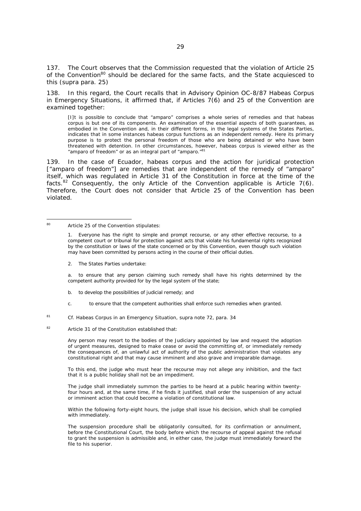137. The Court observes that the Commission requested that the violation of Article 25 of the Convention<sup>80</sup> should be declared for the same facts, and the State acquiesced to this (*supra* para. 25)

138. In this regard, the Court recalls that in Advisory Opinion OC-8/87 *Habeas Corpus in Emergency Situations,* it affirmed that, if Articles 7(6) and 25 of the Convention are examined together:

[I]t is possible to conclude that "amparo" comprises a whole series of remedies and that habeas corpus is but one of its components. An examination of the essential aspects of both guarantees, as embodied in the Convention and, in their different forms, in the legal systems of the States Parties, indicates that in some instances habeas corpus functions as an independent remedy. Here its primary purpose is to protect the personal freedom of those who are being detained or who have been threatened with detention. In other circumstances, however, habeas corpus is viewed either as the "amparo of freedom" or as an integral part of "amparo."81

139. In the case of Ecuador, habeas corpus and the action for juridical protection ["amparo of freedom"] are remedies that are independent of the remedy of "amparo" itself, which was regulated in Article 31 of the Constitution in force at the time of the facts.<sup>82</sup> Consequently, the only Article of the Convention applicable is Article 7(6). Therefore, the Court does not consider that Article 25 of the Convention has been violated.

2. The States Parties undertake:

 a. to ensure that any person claiming such remedy shall have his rights determined by the competent authority provided for by the legal system of the state;

- b. to develop the possibilities of judicial remedy; and
- c. to ensure that the competent authorities shall enforce such remedies when granted.

 $81$ 81 *Cf. Habeas Corpus in an Emergency Situation, supra* note 72, para. 34

82 Article 31 of the Constitution established that:

Any person may resort to the bodies of the Judiciary appointed by law and request the adoption of urgent measures, designed to make cease or avoid the committing of, or immediately remedy the consequences of, an unlawful act of authority of the public administration that violates any constitutional right and that may cause imminent and also grave and irreparable damage.

To this end, the judge who must hear the recourse may not allege any inhibition, and the fact that it is a public holiday shall not be an impediment.

The judge shall immediately summon the parties to be heard at a public hearing within twentyfour hours and, at the same time, if he finds it justified, shall order the suspension of any actual or imminent action that could become a violation of constitutional law.

Within the following forty-eight hours, the judge shall issue his decision, which shall be complied with immediately.

The suspension procedure shall be obligatorily consulted, for its confirmation or annulment, before the Constitutional Court, the body before which the recourse of appeal against the refusal to grant the suspension is admissible and, in either case, the judge must immediately forward the file to his superior.

 $80<sub>o</sub>$ Article 25 of the Convention stipulates:

<sup>1.</sup> Everyone has the right to simple and prompt recourse, or any other effective recourse, to a competent court or tribunal for protection against acts that violate his fundamental rights recognized by the constitution or laws of the state concerned or by this Convention, even though such violation may have been committed by persons acting in the course of their official duties.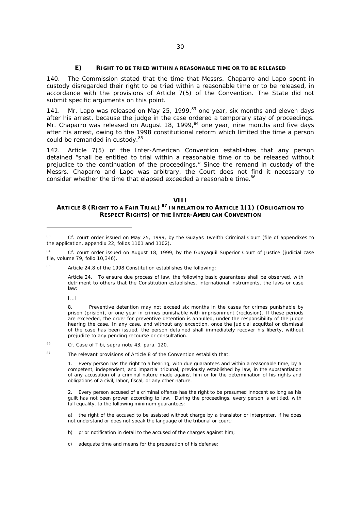#### *E) RIGHT TO BE TRIED WITHIN A REASONABLE TIME OR TO BE RELEASED*

140. The Commission stated that the time that Messrs. Chaparro and Lapo spent in custody disregarded their right to be tried within a reasonable time or to be released, in accordance with the provisions of Article 7(5) of the Convention. The State did not submit specific arguments on this point.

141. Mr. Lapo was released on May 25, 1999, $83$  one year, six months and eleven days after his arrest, because the judge in the case ordered a temporary stay of proceedings. Mr. Chaparro was released on August 18, 1999,<sup>84</sup> one year, nine months and five days after his arrest, owing to the 1998 constitutional reform which limited the time a person could be remanded in custody.<sup>85</sup>

142. Article 7(5) of the Inter-American Convention establishes that any person detained "shall be entitled to trial within a reasonable time or to be released without prejudice to the continuation of the proceedings." Since the remand in custody of the Messrs. Chaparro and Lapo was arbitrary, the Court does not find it necessary to consider whether the time that elapsed exceeded a reasonable time.<sup>86</sup>

#### **VIII ARTICLE 8 (RIGHT TO A FAIR TRIAL) 87 IN RELATION TO ARTICLE 1(1) (OBLIGATION TO RESPECT RIGHTS) OF THE INTER-AMERICAN CONVENTION**

[…]

86 *Cf. Case of Tibi*, *supra* note 43, para. 120.

<sup>87</sup> The relevant provisions of Article 8 of the Convention establish that:

1. Every person has the right to a hearing, with due guarantees and within a reasonable time, by a competent, independent, and impartial tribunal, previously established by law, in the substantiation of any accusation of a criminal nature made against him or for the determination of his rights and obligations of a civil, labor, fiscal, or any other nature.

2. Every person accused of a criminal offense has the right to be presumed innocent so long as his guilt has not been proven according to law. During the proceedings, every person is entitled, with full equality, to the following minimum guarantees:

 a) the right of the accused to be assisted without charge by a translator or interpreter, if he does not understand or does not speak the language of the tribunal or court;

- b) prior notification in detail to the accused of the charges against him;
- c) adequate time and means for the preparation of his defense;

<sup>83</sup> *Cf.* court order issued on May 25, 1999, by the Guayas Twelfth Criminal Court (file of appendixes to the application, appendix 22, folios 1101 and 1102).

<sup>84</sup> *Cf*. court order issued on August 18, 1999, by the Guayaquil Superior Court of Justice (judicial case file, volume 79, folio 10,346).

<sup>85</sup> Article 24.8 of the 1998 Constitution establishes the following:

Article 24. To ensure due process of law, the following basic guarantees shall be observed, with detriment to others that the Constitution establishes, international instruments, the laws or case law:

<sup>8.</sup> Preventive detention may not exceed six months in the cases for crimes punishable by prison (*prisión*), or one year in crimes punishable with imprisonment (*reclusion*). If these periods are exceeded, the order for preventive detention is annulled, under the responsibility of the judge hearing the case. In any case, and without any exception, once the judicial acquittal or dismissal of the case has been issued, the person detained shall immediately recover his liberty, without prejudice to any pending recourse or consultation.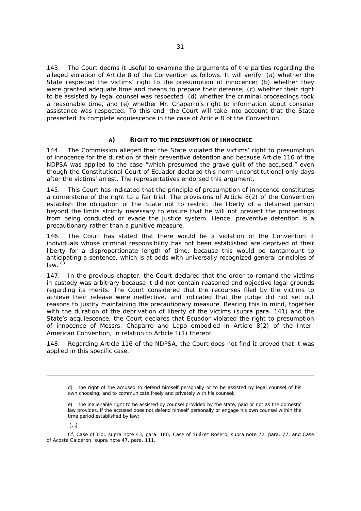143. The Court deems it useful to examine the arguments of the parties regarding the alleged violation of Article 8 of the Convention as follows. It will verify: (a) whether the State respected the victims' right to the presumption of innocence; (b) whether they were granted adequate time and means to prepare their defense; (c) whether their right to be assisted by legal counsel was respected; (d) whether the criminal proceedings took a reasonable time, and (e) whether Mr. Chaparro's right to information about consular assistance was respected. To this end, the Court will take into account that the State presented its complete acquiescence in the case of Article 8 of the Convention.

## *A) RIGHT TO THE PRESUMPTION OF INNOCENCE*

144. The Commission alleged that the State violated the victims' right to presumption of innocence for the duration of their preventive detention and because Article 116 of the NDPSA was applied to the case "which presumed the grave guilt of the accused," even though the Constitutional Court of Ecuador declared this norm unconstitutional only days after the victims' arrest. The representatives endorsed this argument.

145. This Court has indicated that the principle of presumption of innocence constitutes a cornerstone of the right to a fair trial. The provisions of Article 8(2) of the Convention establish the obligation of the State not to restrict the liberty of a detained person beyond the limits strictly necessary to ensure that he will not prevent the proceedings from being conducted or evade the justice system. Hence, preventive detention is a precautionary rather than a punitive measure.

146. The Court has stated that there would be a violation of the Convention if individuals whose criminal responsibility has not been established are deprived of their liberty for a disproportionate length of time, because this would be tantamount to anticipating a sentence, which is at odds with universally recognized general principles of  $law.$ <sup>88</sup>

147. In the previous chapter, the Court declared that the order to remand the victims in custody was arbitrary because it did not contain reasoned and objective legal grounds regarding its merits. The Court considered that the recourses filed by the victims to achieve their release were ineffective, and indicated that the judge did not set out reasons to justify maintaining the precautionary measure. Bearing this in mind, together with the duration of the deprivation of liberty of the victims (*supra* para. 141) and the State's acquiescence, the Court declares that Ecuador violated the right to presumption of innocence of Messrs. Chaparro and Lapo embodied in Article 8(2) of the Inter-American Convention, in relation to Article 1(1) thereof.

148. Regarding Article 116 of the NDPSA, the Court does not find it proved that it was applied in this specific case.

 $\overline{a}$ 

d) the right of the accused to defend himself personally or to be assisted by legal counsel of his own choosing, and to communicate freely and privately with his counsel;

e) the inalienable right to be assisted by counsel provided by the state, paid or not as the domestic law provides, if the accused does not defend himself personally or engage his own counsel within the time period established by law;

 <sup>[…]</sup> 

<sup>88</sup> *Cf. Case of Tibi*, *supra* note 43, para. 180; *Case of Suárez Rosero*, *supra* note 72, para. 77, and *Case of Acosta Calderón*, *supra* note 47, para. 111.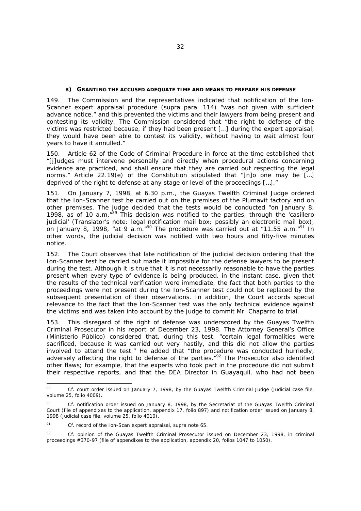### *B) GRANTING THE ACCUSED ADEQUATE TIME AND MEANS TO PREPARE HIS DEFENSE*

149. The Commission and the representatives indicated that notification of the Ion-Scanner expert appraisal procedure (*supra* para. 114) "was not given with sufficient advance notice," and this prevented the victims and their lawyers from being present and contesting its validity. The Commission considered that "the right to defense of the victims was restricted because, if they had been present […] during the expert appraisal, they would have been able to contest its validity, without having to wait almost four years to have it annulled."

150. Article 62 of the Code of Criminal Procedure in force at the time established that "[j]udges must intervene personally and directly when procedural actions concerning evidence are practiced, and shall ensure that they are carried out respecting the legal norms." Article 22.19(e) of the Constitution stipulated that "[n]o one may be […] deprived of the right to defense at any stage or level of the proceedings […]."

151. On January 7, 1998, at 6.30 p.m., the Guayas Twelfth Criminal Judge ordered that the Ion-Scanner test be carried out on the premises of the Plumavit factory and on other premises. The judge decided that the tests would be conducted "on January 8, 1998, as of 10 a.m."89 This decision was notified to the parties, through the '*casillero judicial'* (Translator's note: legal notification mail box; possibly an electronic mail box), on January 8, 1998, "at 9 a.m."<sup>90</sup> The procedure was carried out at "11.55 a.m."<sup>91</sup> In other words, the judicial decision was notified with two hours and fifty-five minutes notice.

152. The Court observes that late notification of the judicial decision ordering that the Ion-Scanner test be carried out made it impossible for the defense lawyers to be present during the test. Although it is true that it is not necessarily reasonable to have the parties present when every type of evidence is being produced, in the instant case, given that the results of the technical verification were immediate, the fact that both parties to the proceedings were not present during the Ion-Scanner test could not be replaced by the subsequent presentation of their observations. In addition, the Court accords special relevance to the fact that the Ion-Scanner test was the only technical evidence against the victims and was taken into account by the judge to commit Mr. Chaparro to trial.

153. This disregard of the right of defense was underscored by the Guayas Twelfth Criminal Prosecutor in his report of December 23, 1998. The Attorney General's Office (*Ministerio Público*) considered that, during this test, "certain legal formalities were sacrificed, because it was carried out very hastily, and this did not allow the parties involved to attend the test." He added that "the procedure was conducted hurriedly, adversely affecting the right to defense of the parties."<sup>92</sup> The Prosecutor also identified other flaws; for example, that the experts who took part in the procedure did not submit their respective reports, and that the DEA Director in Guayaquil, who had not been

<sup>89</sup> *Cf*. court order issued on January 7, 1998, by the Guayas Twelfth Criminal Judge (judicial case file, volume 25, folio 4009).

Cf. notification order issued on January 8, 1998, by the Secretariat of the Guayas Twelfth Criminal Court (file of appendixes to the application, appendix 17, folio 897) and notification order issued on January 8, 1998 (judicial case file, volume 25, folio 4010).

<sup>91</sup> *Cf*. record of the Ion-Scan expert appraisal, *supra* note 65.

<sup>92</sup> *Cf.* opinion of the Guayas Twelfth Criminal Prosecutor issued on December 23, 1998, in criminal proceedings #370-97 (file of appendixes to the application, appendix 20, folios 1047 to 1050).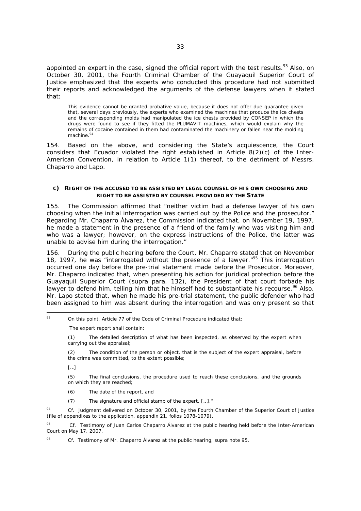appointed an expert in the case, signed the official report with the test results.<sup>93</sup> Also, on October 30, 2001, the Fourth Criminal Chamber of the Guayaquil Superior Court of Justice emphasized that the experts who conducted this procedure had not submitted their reports and acknowledged the arguments of the defense lawyers when it stated that:

This evidence cannot be granted probative value, because it does not offer due guarantee given that, several days previously, the experts who examined the machines that produce the ice chests and the corresponding molds had manipulated the ice chests provided by CONSEP in which the drugs were found to see if they fitted the PLUMAVIT machines, which would explain why the remains of cocaine contained in them had contaminated the machinery or fallen near the molding machine.<sup>94</sup>

154. Based on the above, and considering the State's acquiescence, the Court considers that Ecuador violated the right established in Article 8(2)(c) of the Inter-American Convention, in relation to Article 1(1) thereof, to the detriment of Messrs. Chaparro and Lapo.

### *C) RIGHT OF THE ACCUSED TO BE ASSISTED BY LEGAL COUNSEL OF HIS OWN CHOOSING AND RIGHT TO BE ASSISTED BY COUNSEL PROVIDED BY THE STATE*

155. The Commission affirmed that "neither victim had a defense lawyer of his own choosing when the initial interrogation was carried out by the Police and the prosecutor." Regarding Mr. Chaparro Álvarez, the Commission indicated that, on November 19, 1997, he made a statement in the presence of a friend of the family who was visiting him and who was a lawyer; however, on the express instructions of the Police, the latter was unable to advise him during the interrogation."

156. During the public hearing before the Court, Mr. Chaparro stated that on November 18, 1997, he was "interrogated without the presence of a lawyer."<sup>95</sup> This interrogation occurred one day before the pre-trial statement made before the Prosecutor. Moreover, Mr. Chaparro indicated that, when presenting his action for juridical protection before the Guayaquil Superior Court (*supra* para. 132), the President of that court forbade his lawyer to defend him, telling him that he himself had to substantiate his recourse.<sup>96</sup> Also, Mr. Lapo stated that, when he made his pre-trial statement, the public defender who had been assigned to him was absent during the interrogation and was only present so that

The expert report shall contain:

[…]

(5) The final conclusions, the procedure used to reach these conclusions, and the grounds on which they are reached;

- (6) The date of the report, and
- (7) The signature and official stamp of the expert. […]."

94 *Cf*. judgment delivered on October 30, 2001, by the Fourth Chamber of the Superior Court of Justice (file of appendixes to the application, appendix 21, folios 1078-1079).

95 *Cf*. Testimony of Juan Carlos Chaparro Álvarez at the public hearing held before the Inter-American Court on May 17, 2007.

96 *Cf*. Testimony of Mr. Chaparro Álvarez at the public hearing, *supra* note 95.

 $93$ On this point, Article 77 of the Code of Criminal Procedure indicated that:

<sup>(1)</sup> The detailed description of what has been inspected, as observed by the expert when carrying out the appraisal;

<sup>(2)</sup> The condition of the person or object, that is the subject of the expert appraisal, before the crime was committed, to the extent possible;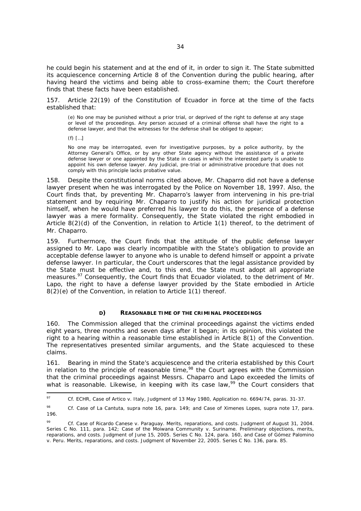he could begin his statement and at the end of it, in order to sign it. The State submitted its acquiescence concerning Article 8 of the Convention during the public hearing, after having heard the victims and being able to cross-examine them; the Court therefore finds that these facts have been established.

157. Article 22(19) of the Constitution of Ecuador in force at the time of the facts established that:

(e) No one may be punished without a prior trial, or deprived of the right to defense at any stage or level of the proceedings. Any person accused of a criminal offense shall have the right to a defense lawyer, and that the witnesses for the defense shall be obliged to appear;

(f) […]

No one may be interrogated, even for investigative purposes, by a police authority, by the Attorney General's Office, or by any other State agency without the assistance of a private defense lawyer or one appointed by the State in cases in which the interested party is unable to appoint his own defense lawyer. Any judicial, pre-trial or administrative procedure that does not comply with this principle lacks probative value.

158. Despite the constitutional norms cited above, Mr. Chaparro did not have a defense lawyer present when he was interrogated by the Police on November 18, 1997. Also, the Court finds that, by preventing Mr. Chaparro's lawyer from intervening in his pre-trial statement and by requiring Mr. Chaparro to justify his action for juridical protection himself, when he would have preferred his lawyer to do this, the presence of a defense lawyer was a mere formality. Consequently, the State violated the right embodied in Article 8(2)(d) of the Convention, in relation to Article 1(1) thereof, to the detriment of Mr. Chaparro.

159. Furthermore, the Court finds that the attitude of the public defense lawyer assigned to Mr. Lapo was clearly incompatible with the State's obligation to provide an acceptable defense lawyer to anyone who is unable to defend himself or appoint a private defense lawyer. In particular, the Court underscores that the legal assistance provided by the State must be effective and, to this end, the State must adopt all appropriate measures.<sup>97</sup> Consequently, the Court finds that Ecuador violated, to the detriment of Mr. Lapo, the right to have a defense lawyer provided by the State embodied in Article 8(2)(e) of the Convention, in relation to Article 1(1) thereof.

# *D) REASONABLE TIME OF THE CRIMINAL PROCEEDINGS*

160. The Commission alleged that the criminal proceedings against the victims ended eight years, three months and seven days after it began; in its opinion, this violated the right to a hearing within a reasonable time established in Article 8(1) of the Convention. The representatives presented similar arguments, and the State acquiesced to these claims.

161. Bearing in mind the State's acquiescence and the criteria established by this Court is the bearing in this and states addressed and the stream statements by this seat. that the criminal proceedings against Messrs. Chaparro and Lapo exceeded the limits of what is reasonable. Likewise, in keeping with its case law,<sup>99</sup> the Court considers that

 $97$ 97 *Cf. ECHR, Case of Artico v. Italy*, Judgment of 13 May 1980, Application no. 6694/74, paras. 31-37.

<sup>98</sup> *Cf. Case of La Cantuta, supra* note 16, para. 149; and *Case of Ximenes Lopes*, *supra* note 17, para. 196.

<sup>99</sup> *Cf. Case of Ricardo Canese v. Paraguay. Merits, reparations, and costs.* Judgment of August 31, 2004. Series C No. 111, para. 142; *Case of the Moiwana Community v. Suriname. Preliminary objections, merits, reparations, and costs.* Judgment of June 15, 2005. Series C No. 124, para. 160, and *Case of Gómez Palomino v. Peru. Merits, reparations, and costs.* Judgment of November 22, 2005. Series C No. 136, para. 85.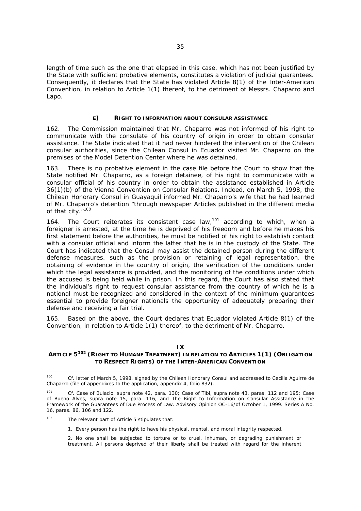length of time such as the one that elapsed in this case, which has not been justified by the State with sufficient probative elements, constitutes a violation of judicial guarantees. Consequently, it declares that the State has violated Article 8(1) of the Inter-American Convention, in relation to Article 1(1) thereof, to the detriment of Messrs. Chaparro and Lapo.

#### *E) RIGHT TO INFORMATION ABOUT CONSULAR ASSISTANCE*

162. The Commission maintained that Mr. Chaparro was not informed of his right to communicate with the consulate of his country of origin in order to obtain consular assistance. The State indicated that it had never hindered the intervention of the Chilean consular authorities, since the Chilean Consul in Ecuador visited Mr. Chaparro on the premises of the Model Detention Center where he was detained.

163. There is no probative element in the case file before the Court to show that the State notified Mr. Chaparro, as a foreign detainee, of his right to communicate with a consular official of his country in order to obtain the assistance established in Article 36(1)(b) of the Vienna Convention on Consular Relations. Indeed, on March 5, 1998, the Chilean Honorary Consul in Guayaquil informed Mr. Chaparro's wife that he had learned of Mr. Chaparro's detention "through newspaper Articles published in the different media of that city."<sup>100</sup>

164. The Court reiterates its consistent case law,<sup>101</sup> according to which, when a foreigner is arrested, at the time he is deprived of his freedom and before he makes his first statement before the authorities, he must be notified of his right to establish contact with a consular official and inform the latter that he is in the custody of the State. The Court has indicated that the Consul may assist the detained person during the different defense measures, such as the provision or retaining of legal representation, the obtaining of evidence in the country of origin, the verification of the conditions under which the legal assistance is provided, and the monitoring of the conditions under which the accused is being held while in prison. In this regard, the Court has also stated that the individual's right to request consular assistance from the country of which he is a national must be recognized and considered in the context of the minimum guarantees essential to provide foreigner nationals the opportunity of adequately preparing their defense and receiving a fair trial.

165. Based on the above, the Court declares that Ecuador violated Article 8(1) of the Convention, in relation to Article 1(1) thereof, to the detriment of Mr. Chaparro.

# **IX**

# **ARTICLE 5<sup>102</sup> (RIGHT TO HUMANE TREATMENT) IN RELATION TO ARTICLES 1(1) (OBLIGATION TO RESPECT RIGHTS) OF THE INTER-AMERICAN CONVENTION**

1. Every person has the right to have his physical, mental, and moral integrity respected.

<sup>100</sup> Cf. letter of March 5, 1998, signed by the Chilean Honorary Consul and addressed to Cecilia Aguirre de Chaparro (file of appendixes to the application, appendix 4, folio 832).

<sup>101</sup> *Cf. Case of Bulacio*, *supra* note 42, para. 130; *Case of Tibi, supra* note 43, paras. 112 and 195; *Case of Bueno Alves*, *supra* note 15, para. 116, and *The Right to Information on Consular Assistance in the Framework of the Guarantees of Due Process of Law.* Advisory Opinion OC-16/of October 1, 1999. Series A No. 16, paras. 86, 106 and 122.

<sup>102</sup> The relevant part of Article 5 stipulates that:

<sup>2.</sup> No one shall be subjected to torture or to cruel, inhuman, or degrading punishment or treatment. All persons deprived of their liberty shall be treated with regard for the inherent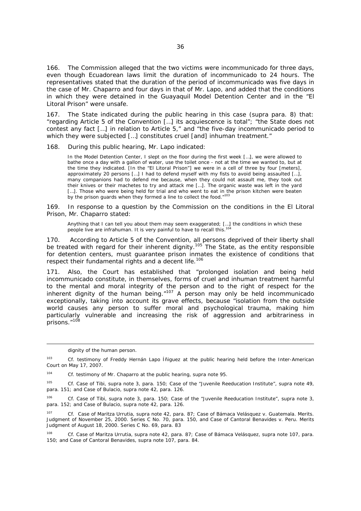166. The Commission alleged that the two victims were incommunicado for three days, even though Ecuadorean laws limit the duration of incommunicado to 24 hours. The representatives stated that the duration of the period of incommunicado was five days in the case of Mr. Chaparro and four days in that of Mr. Lapo, and added that the conditions in which they were detained in the Guayaquil Model Detention Center and in the "El Litoral Prison" were unsafe.

167. The State indicated during the public hearing in this case (*supra* para. 8) that: "regarding Article 5 of the Convention […] its acquiescence is total"; "the State does not contest any fact […] in relation to Article 5," and "the five-day incommunicado period to which they were subjected [...] constitutes cruel [and] inhuman treatment."

168. During this public hearing, Mr. Lapo indicated:

In the Model Detention Center, I slept on the floor during the first week […], we were allowed to bathe once a day with a gallon of water, use the toilet once - not at the time we wanted to, but at the time they indicated. [In the "El Litoral Prison"] we were in a cell of three by four [meters], approximately 20 persons […] I had to defend myself with my fists to avoid being assaulted […], many companions had to defend me because, when they could not assault me, they took out their knives or their machetes to try and attack me […]. The organic waste was left in the yard [...]. Those who were being held for trial and who went to eat in the prison kitchen were beaten by the prison guards when they formed a line to collect the food."103

169. In response to a question by the Commission on the conditions in the El Litoral Prison, Mr. Chaparro stated:

Anything that I can tell you about them may seem exaggerated; […] the conditions in which these people live are infrahuman. It is very painful to have to recall this.

170. According to Article 5 of the Convention, all persons deprived of their liberty shall be treated with regard for their inherent dignity.<sup>105</sup> The State, as the entity responsible for detention centers, must guarantee prison inmates the existence of conditions that respect their fundamental rights and a decent life.<sup>106</sup>

Also, the Court has established that "prolonged isolation and being held incommunicado constitute, in themselves, forms of cruel and inhuman treatment harmful to the mental and moral integrity of the person and to the right of respect for the inherent dignity of the human being. $107$  A person may only be held incommunicado exceptionally, taking into account its grave effects, because "isolation from the outside world causes any person to suffer moral and psychological trauma, making him particularly vulnerable and increasing the risk of aggression and arbitrariness in prisons."<sup>108</sup>

 $\overline{a}$ 

dignity of the human person.

<sup>103</sup> *Cf.* testimony of Freddy Hernán Lapo Íñiguez at the public hearing held before the Inter-American Court on May 17, 2007.

<sup>104</sup> *Cf.* testimony of Mr. Chaparro at the public hearing, *supra* note 95.

<sup>105</sup> *Cf. Case of Tibi, supra* note 3, para. 150; *Case of the "Juvenile Reeducation Institute", supra* note 49, para. 151; and *Case of Bulacio*, *supra* note 42, para. 126.

<sup>106</sup> *Cf. Case of Tibi, supra* note 3, para. 150; *Case of the "Juvenile Reeducation Institute", supra note 3,* para. 152; *and Case of Bulacio, supra* note 42, para. 126.

<sup>107</sup> *Cf. Case of Maritza Urrutia, supra* note 42, para. 87; *Case of Bámaca Velásquez v. Guatemala. Merits.* Judgment of November 25, 2000. Series C No. 70, para. 150, and *Case of Cantoral Benavides v. Peru. Merits* Judgment of August 18, 2000. Series C No. 69, para. 83

<sup>108</sup> *Cf. Case of Maritza Urrutia, supra* note 42, para. 87; *Case of Bámaca Velásquez, supra* note 107, para. 150; and *Case of Cantoral Benavides, supra* note 107, para. 84.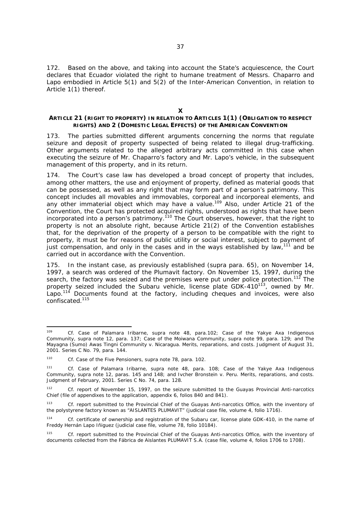172. Based on the above, and taking into account the State's acquiescence, the Court declares that Ecuador violated the right to humane treatment of Messrs. Chaparro and Lapo embodied in Article 5(1) and 5(2) of the Inter-American Convention, in relation to Article 1(1) thereof.

# **X**

# **ARTICLE 21 (RIGHT TO PROPERTY) IN RELATION TO ARTICLES 1(1) (OBLIGATION TO RESPECT RIGHTS) AND 2 (DOMESTIC LEGAL EFFECTS) OF THE AMERICAN CONVENTION**

173. The parties submitted different arguments concerning the norms that regulate seizure and deposit of property suspected of being related to illegal drug-trafficking. Other arguments related to the alleged arbitrary acts committed in this case when executing the seizure of Mr. Chaparro's factory and Mr. Lapo's vehicle, in the subsequent management of this property, and in its return.

174. The Court's case law has developed a broad concept of property that includes, among other matters, the use and enjoyment of property, defined as material goods that can be possessed, as well as any right that may form part of a person's patrimony. This concept includes all movables and immovables, corporeal and incorporeal elements, and any other immaterial object which may have a value.<sup>109</sup> Also, under Article 21 of the Convention, the Court has protected acquired rights, understood as rights that have been incorporated into a person's patrimony.110 The Court observes, however, that the right to property is not an absolute right, because Article 21(2) of the Convention establishes that, for the deprivation of the property of a person to be compatible with the right to property, it must be for reasons of public utility or social interest, subject to payment of just compensation, and only in the cases and in the ways established by law,<sup>111</sup> and be carried out in accordance with the Convention.

175. In the instant case, as previously established (*supra* para. 65), on November 14, 1997, a search was ordered of the Plumavit factory. On November 15, 1997, during the search, the factory was seized and the premises were put under police protection.<sup>112</sup> The property seized included the Subaru vehicle, license plate GDK-410<sup>113</sup>, owned by Mr. Lapo.<sup>114</sup> Documents found at the factory, including cheques and invoices, were also confiscated<sup>115</sup>

 $109$ 109 *Cf. Case of Palamara Iribarne*, *supra* note 48, para.102; *Case of the Yakye Axa Indigenous Community*, *supra* note 12, para. 137; *Case of the Moiwana Community*, *supra* note 99, para. 129; and *The Mayagna (Sumo) Awas Tingni Community v. Nicaragua.* Merits, reparations, and costs. Judgment of August 31, 2001. Series C No. 79, para. 144.

<sup>110</sup> *Cf*. Case of the Five Pensioners, *supra* note 78, para. 102.

<sup>111</sup> *Cf. Case of Palamara Iribarne*, *supra* note 48, para. 108; *Case of the Yakye Axa Indigenous Community*, *supra* note 12, paras. 145 and 148; and *Ivcher Bronstein v. Peru. Merits, reparations, and costs.*  Judgment of February, 2001. Series C No. 74, para. 128.

Cf. report of November 15, 1997, on the seizure submitted to the Guayas Provincial Anti-narcotics Chief (file of appendixes to the application, appendix 6, folios 840 and 841).

<sup>113</sup> *Cf.* report submitted to the Provincial Chief of the Guayas Anti-narcotics Office, with the inventory of the polystyrene factory known as "*AISLANTES PLUMAVIT*" (judicial case file, volume 4, folio 1716).

<sup>114</sup> *Cf*. certificate of ownership and registration of the Subaru car, license plate GDK-410, in the name of Freddy Hernán Lapo Iñiguez (judicial case file, volume 78, folio 10184).

<sup>115</sup> *Cf.* report submitted to the Provincial Chief of the Guayas Anti-narcotics Office, with the inventory of documents collected from the *Fábrica de Aislantes PLUMAVIT S.A*. (case file, volume 4, folios 1706 to 1708).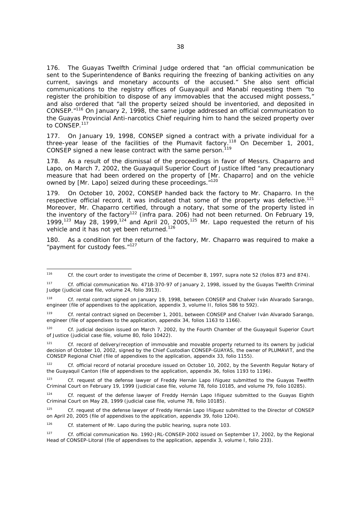176. The Guayas Twelfth Criminal Judge ordered that "an official communication be sent to the Superintendence of Banks requiring the freezing of banking activities on any current, savings and monetary accounts of the accused." She also sent official communications to the registry offices of Guayaquil and Manabí requesting them "to register the prohibition to dispose of any immovables that the accused might possess," and also ordered that "all the property seized should be inventoried, and deposited in CONSEP."116 On January 2, 1998, the same judge addressed an official communication to the Guayas Provincial Anti-narcotics Chief requiring him to hand the seized property over to CONSEP.<sup>117</sup>

177. On January 19, 1998, CONSEP signed a contract with a private individual for a three-year lease of the facilities of the Plumavit factory.118 On December 1, 2001, CONSEP signed a new lease contract with the same person.119

178. As a result of the dismissal of the proceedings in favor of Messrs. Chaparro and Lapo, on March 7, 2002, the Guayaquil Superior Court of Justice lifted "any precautionary measure that had been ordered on the property of [Mr. Chaparro] and on the vehicle owned by [Mr. Lapo] seized during these proceedings. "<sup>120</sup>

179. On October 10, 2002, CONSEP handed back the factory to Mr. Chaparro. In the respective official record, it was indicated that some of the property was defective.<sup>121</sup> Moreover, Mr. Chaparro certified, through a notary, that some of the property listed in the inventory of the factory<sup>122</sup> (*infra* para. 206) had not been returned. On February 19, 1999,<sup>123</sup> May 28, 1999,<sup>124</sup> and April 20, 2005,<sup>125</sup> Mr. Lapo requested the return of his vehicle and it has not yet been returned.<sup>126</sup>

180. As a condition for the return of the factory, Mr. Chaparro was required to make a "payment for custody fees."<sup>127</sup>

 $\overline{a}$ 

<sup>116</sup> *Cf*. the court order to investigate the crime of December 8, 1997, *supra* note 52 (folios 873 and 874).

<sup>117</sup> *Cf*. official communication No. 4718-370-97 of January 2, 1998, issued by the Guayas Twelfth Criminal Judge (judicial case file, volume 24, folio 3913).

<sup>118</sup> *Cf.* rental contract signed on January 19, 1998, between CONSEP and Chalver Iván Alvarado Sarango, engineer (file of appendixes to the application, appendix 3, volume II, folios 586 to 592).

<sup>119</sup> *Cf.* rental contract signed on December 1, 2001, between CONSEP and Chalver Iván Alvarado Sarango, engineer (file of appendixes to the application, appendix 34, folios 1163 to 1166).

<sup>&</sup>lt;sup>120</sup> *Cf.* judicial decision issued on March 7, 2002, by the Fourth Chamber of the Guayaquil Superior Court of Justice (judicial case file, volume 80, folio 10422).

<sup>121</sup> *Cf.* record of delivery/reception of immovable and movable property returned to its owners by judicial decision of October 10, 2002, signed by the Chief Custodian CONSEP-GUAYAS, the owner of PLUMAVIT, and the CONSEP Regional Chief (file of appendixes to the application, appendix 33, folio 1155).

<sup>122</sup> *Cf.* official record of notarial procedure issued on October 10, 2002, by the Seventh Regular Notary of the Guayaquil Canton (file of appendixes to the application, appendix 36, folios 1193 to 1196).

<sup>123</sup> *Cf*. request of the defense lawyer of Freddy Hernán Lapo Iñiguez submitted to the Guayas Twelfth Criminal Court on February 19, 1999 (judicial case file, volume 78, folio 10185, and volume 79, folio 10285).

<sup>124</sup> *Cf*. request of the defense lawyer of Freddy Hernán Lapo Iñiguez submitted to the Guayas Eighth Criminal Court on May 28, 1999 (judicial case file, volume 78, folio 10185).

<sup>&</sup>lt;sup>125</sup> *Cf.* request of the defense lawyer of Freddy Hernán Lapo Iñiquez submitted to the Director of CONSEP on April 20, 2005 (file of appendixes to the application, appendix 39, folio 1204).

<sup>126</sup> *Cf.* statement of Mr. Lapo during the public hearing, *supra* note 103.

<sup>127</sup> *Cf.* official communication No. 1992-JRL-CONSEP-2002 issued on September 17, 2002, by the Regional Head of CONSEP-Litoral (file of appendixes to the application, appendix 3, volume I, folio 233).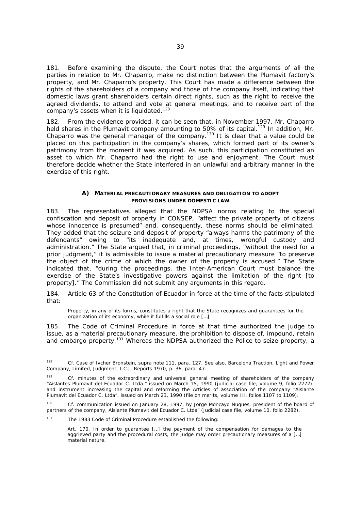181. Before examining the dispute, the Court notes that the arguments of all the parties in relation to Mr. Chaparro, make no distinction between the Plumavit factory's property, and Mr. Chaparro's property. This Court has made a difference between the rights of the shareholders of a company and those of the company itself, indicating that domestic laws grant shareholders certain direct rights, such as the right to receive the agreed dividends, to attend and vote at general meetings, and to receive part of the company's assets when it is liquidated.<sup>128</sup>

182. From the evidence provided, it can be seen that, in November 1997, Mr. Chaparro held shares in the Plumavit company amounting to 50% of its capital.<sup>129</sup> In addition, Mr. Chaparro was the general manager of the company.<sup>130</sup> It is clear that a value could be placed on this participation in the company's shares, which formed part of its owner's patrimony from the moment it was acquired. As such, this participation constituted an asset to which Mr. Chaparro had the right to use and enjoyment. The Court must therefore decide whether the State interfered in an unlawful and arbitrary manner in the exercise of this right.

#### *A) MATERIAL PRECAUTIONARY MEASURES AND OBLIGATION TO ADOPT PROVISIONS UNDER DOMESTIC LAW*

183. The representatives alleged that the NDPSA norms relating to the special confiscation and deposit of property in CONSEP, "affect the private property of citizens whose innocence is presumed" and, consequently, these norms should be eliminated. They added that the seizure and deposit of property "always harms the patrimony of the defendants" owing to "its inadequate and, at times, wrongful custody and administration." The State argued that, in criminal proceedings, "without the need for a prior judgment," it is admissible to issue a material precautionary measure "to preserve the object of the crime of which the owner of the property is accused." The State indicated that, "during the proceedings, the Inter-American Court must balance the exercise of the State's investigative powers against the limitation of the right [to property]." The Commission did not submit any arguments in this regard.

184. Article 63 of the Constitution of Ecuador in force at the time of the facts stipulated that:

Property, in any of its forms, constitutes a right that the State recognizes and guarantees for the organization of its economy, while it fulfills a social role […]

185. The Code of Criminal Procedure in force at that time authorized the judge to issue, as a material precautionary measure, the prohibition to dispose of, impound, retain and embargo property.<sup>131</sup> Whereas the NDPSA authorized the Police to seize property, a

<sup>128</sup> 128 *Cf. Case of Ivcher Bronstein, supra* note 111, para. 127. See also, *Barcelona Traction, Light and Power Company, Limited, Judgment*, *I.C.J. Reports 1970*, p. 36, para. 47.

Cf. minutes of the extraordinary and universal general meeting of shareholders of the company "*Aislantes Plumavit del Ecuador C. Ltda.*" issued on March 15, 1990 (judicial case file, volume 9, folio 2272), and instrument increasing the capital and reforming the Articles of association of the company "*Aislante Plumavit del Ecuador C. Ltda*", issued on March 23, 1990 (file on merits, volume III, folios 1107 to 1109).

<sup>130</sup> *Cf*. communication issued on January 28, 1997, by Jorge Moncayo Nuques, president of the board of partners of the company, *Aislante Plumavit del Ecuador C. Ltda*" (judicial case file, volume 10, folio 2282).

<sup>131</sup> The 1983 Code of Criminal Procedure established the following:

Art. 170. In order to guarantee […] the payment of the compensation for damages to the aggrieved party and the procedural costs, the judge may order precautionary measures of a […] material nature.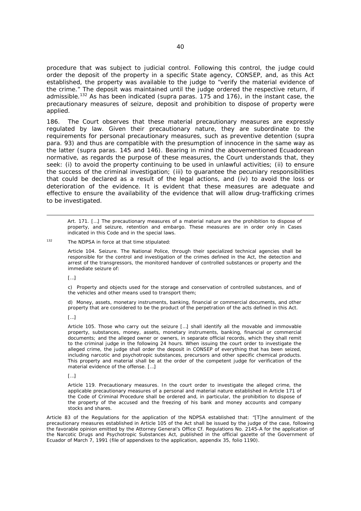procedure that was subject to judicial control. Following this control, the judge could order the deposit of the property in a specific State agency, CONSEP, and, as this Act established, the property was available to the judge to "verify the material evidence of the crime." The deposit was maintained until the judge ordered the respective return, if admissible.132 As has been indicated (*supra* paras. 175 and 176), in the instant case, the precautionary measures of seizure, deposit and prohibition to dispose of property were applied.

186. The Court observes that these material precautionary measures are expressly regulated by law. Given their precautionary nature, they are subordinate to the requirements for personal precautionary measures, such as preventive detention (*supra*  para. 93) and thus are compatible with the presumption of innocence in the same way as the latter (*supra* paras. 145 and 146). Bearing in mind the abovementioned Ecuadorean normative, as regards the purpose of these measures, the Court understands that, they seek: (i) to avoid the property continuing to be used in unlawful activities; (ii) to ensure the success of the criminal investigation; (iii) to guarantee the pecuniary responsibilities that could be declared as a result of the legal actions, and (iv) to avoid the loss or deterioration of the evidence. It is evident that these measures are adequate and effective to ensure the availability of the evidence that will allow drug-trafficking crimes to be investigated.

Art. 171. [...] The precautionary measures of a material nature are the prohibition to dispose of property, and seizure, retention and embargo. These measures are in order only in Cases indicated in this Code and in the special laws.

#### 132 The NDPSA in force at that time stipulated:

Article 104. Seizure. The National Police, through their specialized technical agencies shall be responsible for the control and investigation of the crimes defined in the Act, the detection and arrest of the transgressors, the monitored handover of controlled substances or property and the immediate seizure of:

 $[1]$ 

c) Property and objects used for the storage and conservation of controlled substances, and of the vehicles and other means used to transport them;

d) Money, assets, monetary instruments, banking, financial or commercial documents, and other property that are considered to be the product of the perpetration of the acts defined in this Act.

[…]

Article 105. Those who carry out the seizure […] shall identify all the movable and immovable property, substances, money, assets, monetary instruments, banking, financial or commercial documents; and the alleged owner or owners, in separate official records, which they shall remit to the criminal judge in the following 24 hours. When issuing the court order to investigate the alleged crime, the judge shall order the deposit in CONSEP of everything that has been seized, including narcotic and psychotropic substances, precursors and other specific chemical products. This property and material shall be at the order of the competent judge for verification of the material evidence of the offense. […]

[…]

Article 119. Precautionary measures. In the court order to investigate the alleged crime, the applicable precautionary measures of a personal and material nature established in Article 171 of the Code of Criminal Procedure shall be ordered and, in particular, the prohibition to dispose of the property of the accused and the freezing of his bank and money accounts and company stocks and shares.

Article 83 of the Regulations for the application of the NDPSA established that: "[T]he annulment of the precautionary measures established in Article 105 of the Act shall be issued by the judge of the case, following the favorable opinion emitted by the Attorney General's Office *Cf*. Regulations No. 2145-A for the application of the Narcotic Drugs and Psychotropic Substances Act, published in the official gazette of the Government of Ecuador of March 7, 1991 (file of appendixes to the application, appendix 35, folio 1190).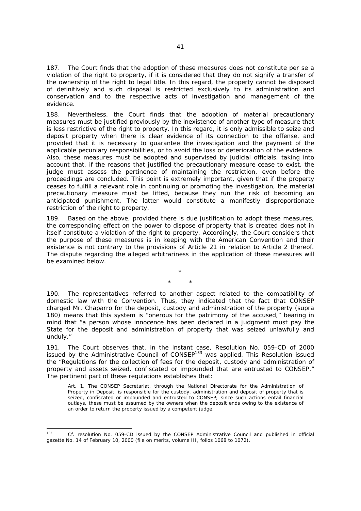187. The Court finds that the adoption of these measures does not constitute *per se* a violation of the right to property, if it is considered that they do not signify a transfer of the ownership of the right to legal title. In this regard, the property cannot be disposed of definitively and such disposal is restricted exclusively to its administration and conservation and to the respective acts of investigation and management of the evidence.

188. Nevertheless, the Court finds that the adoption of material precautionary measures must be justified previously by the inexistence of another type of measure that is less restrictive of the right to property. In this regard, it is only admissible to seize and deposit property when there is clear evidence of its connection to the offense, and provided that it is necessary to guarantee the investigation and the payment of the applicable pecuniary responsibilities, or to avoid the loss or deterioration of the evidence. Also, these measures must be adopted and supervised by judicial officials, taking into account that, if the reasons that justified the precautionary measure cease to exist, the judge must assess the pertinence of maintaining the restriction, even before the proceedings are concluded. This point is extremely important, given that if the property ceases to fulfill a relevant role in continuing or promoting the investigation, the material precautionary measure must be lifted, because they run the risk of becoming an anticipated punishment. The latter would constitute a manifestly disproportionate restriction of the right to property.

189. Based on the above, provided there is due justification to adopt these measures, the corresponding effect on the power to dispose of property that is created does not in itself constitute a violation of the right to property. Accordingly, the Court considers that the purpose of these measures is in keeping with the American Convention and their existence is not contrary to the provisions of Article 21 in relation to Article 2 thereof. The dispute regarding the alleged arbitrariness in the application of these measures will be examined below.

> \* \* \*

190. The representatives referred to another aspect related to the compatibility of domestic law with the Convention. Thus, they indicated that the fact that CONSEP charged Mr. Chaparro for the deposit, custody and administration of the property (*supra*  180) means that this system is "onerous for the patrimony of the accused," bearing in mind that "a person whose innocence has been declared in a judgment must pay the State for the deposit and administration of property that was seized unlawfully and unduly."

191. The Court observes that, in the instant case, Resolution No. 059-CD of 2000 issued by the Administrative Council of CONSEP<sup>133</sup> was applied. This Resolution issued the "Regulations for the collection of fees for the deposit, custody and administration of property and assets seized, confiscated or impounded that are entrusted to CONSEP." The pertinent part of these regulations establishes that:

Art. 1. The CONSEP Secretariat, through the National Directorate for the Administration of Property in Deposit, is responsible for the custody, administration and deposit of property that is seized, confiscated or impounded and entrusted to CONSEP; since such actions entail financial outlays, these must be assumed by the owners when the deposit ends owing to the existence of an order to return the property issued by a competent judge.

<sup>133</sup> *Cf.* resolution No. 059-CD issued by the CONSEP Administrative Council and published in official gazette No. 14 of February 10, 2000 (file on merits, volume III, folios 1068 to 1072).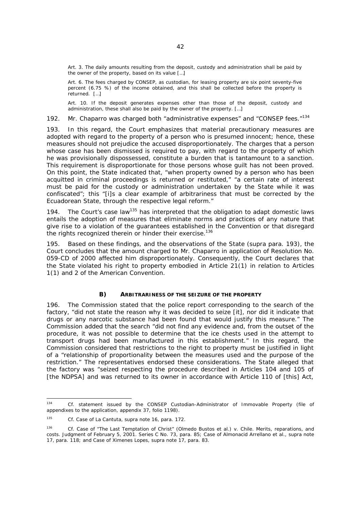Art. 3. The daily amounts resulting from the deposit, custody and administration shall be paid by the owner of the property, based on its value […]

Art. 6. The fees charged by CONSEP, as custodian, for leasing property are six point seventy-five percent (6.75 %) of the income obtained, and this shall be collected before the property is returned. […]

Art. 10. If the deposit generates expenses other than those of the deposit, custody and administration, these shall also be paid by the owner of the property. […]

192. Mr. Chaparro was charged both "administrative expenses" and "CONSEP fees."<sup>134</sup>

193. In this regard, the Court emphasizes that material precautionary measures are adopted with regard to the property of a person who is presumed innocent; hence, these measures should not prejudice the accused disproportionately. The charges that a person whose case has been dismissed is required to pay, with regard to the property of which he was provisionally dispossessed, constitute a burden that is tantamount to a sanction. This requirement is disproportionate for those persons whose guilt has not been proved. On this point, the State indicated that, "when property owned by a person who has been acquitted in criminal proceedings is returned or restituted," "a certain rate of interest must be paid for the custody or administration undertaken by the State while it was confiscated"; this "[i]s a clear example of arbitrariness that must be corrected by the Ecuadorean State, through the respective legal reform."

194. The Court's case law<sup>135</sup> has interpreted that the obligation to adapt domestic laws entails the adoption of measures that eliminate norms and practices of any nature that give rise to a violation of the guarantees established in the Convention or that disregard the rights recognized therein or hinder their exercise.<sup>136</sup>

195. Based on these findings, and the observations of the State (*supra* para. 193), the Court concludes that the amount charged to Mr. Chaparro in application of Resolution No. 059-CD of 2000 affected him disproportionately. Consequently, the Court declares that the State violated his right to property embodied in Article 21(1) in relation to Articles 1(1) and 2 of the American Convention.

## *B) ARBITRARINESS OF THE SEIZURE OF THE PROPERTY*

196. The Commission stated that the police report corresponding to the search of the factory, "did not state the reason why it was decided to seize [it], nor did it indicate that drugs or any narcotic substance had been found that would justify this measure." The Commission added that the search "did not find any evidence and, from the outset of the procedure, it was not possible to determine that the ice chests used in the attempt to transport drugs had been manufactured in this establishment." In this regard, the Commission considered that restrictions to the right to property must be justified in light of a "relationship of proportionality between the measures used and the purpose of the restriction." The representatives endorsed these considerations. The State alleged that the factory was "seized respecting the procedure described in Articles 104 and 105 of [the NDPSA] and was returned to its owner in accordance with Article 110 of [this] Act,

l 134 *Cf*. statement issued by the CONSEP Custodian-Administrator of Immovable Property (file of appendixes to the application, appendix 37, folio 1198).

<sup>135</sup> *Cf. Case of La Cantuta*, *supra* note 16, para. 172.

<sup>136</sup> *Cf. Case of "The Last Temptation of Christ" (Olmedo Bustos et al.) v. Chile.* Merits, reparations, and costs. Judgment of February 5, 2001. Series C No. 73, para. 85; *Case of Almonacid Arrellano et al., supra* note 17, para. 118; and *Case of Ximenes Lopes, supra* note 17, para. 83.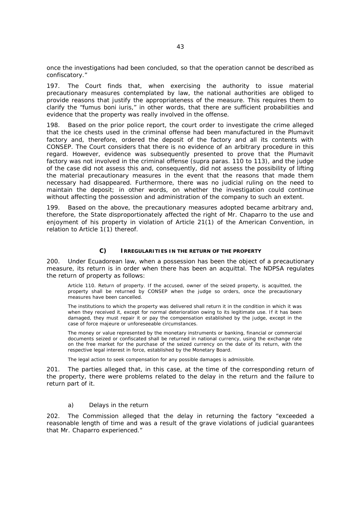once the investigations had been concluded, so that the operation cannot be described as confiscatory."

197. The Court finds that, when exercising the authority to issue material precautionary measures contemplated by law, the national authorities are obliged to provide reasons that justify the appropriateness of the measure. This requires them to clarify the "*fumus boni iuris*," in other words, that there are sufficient probabilities and evidence that the property was really involved in the offense.

198. Based on the prior police report, the court order to investigate the crime alleged that the ice chests used in the criminal offense had been manufactured in the Plumavit factory and, therefore, ordered the deposit of the factory and all its contents with CONSEP. The Court considers that there is no evidence of an arbitrary procedure in this regard. However, evidence was subsequently presented to prove that the Plumavit factory was not involved in the criminal offense (*supra* paras. 110 to 113), and the judge of the case did not assess this and, consequently, did not assess the possibility of lifting the material precautionary measures in the event that the reasons that made them necessary had disappeared. Furthermore, there was no judicial ruling on the need to maintain the deposit; in other words, on whether the investigation could continue without affecting the possession and administration of the company to such an extent.

199. Based on the above, the precautionary measures adopted became arbitrary and, therefore, the State disproportionately affected the right of Mr. Chaparro to the use and enjoyment of his property in violation of Article 21(1) of the American Convention, in relation to Article  $1(1)$  thereof.

### *C) IRREGULARITIES IN THE RETURN OF THE PROPERTY*

200. Under Ecuadorean law, when a possession has been the object of a precautionary measure, its return is in order when there has been an acquittal. The NDPSA regulates the return of property as follows:

Article 110. Return of property. If the accused, owner of the seized property, is acquitted, the property shall be returned by CONSEP when the judge so orders, once the precautionary measures have been cancelled.

The institutions to which the property was delivered shall return it in the condition in which it was when they received it, except for normal deterioration owing to its legitimate use. If it has been damaged, they must repair it or pay the compensation established by the judge, except in the case of *force majeure* or unforeseeable circumstances.

The money or value represented by the monetary instruments or banking, financial or commercial documents seized or confiscated shall be returned in national currency, using the exchange rate on the free market for the purchase of the seized currency on the date of its return, with the respective legal interest in force, established by the Monetary Board.

The legal action to seek compensation for any possible damages is admissible.

201. The parties alleged that, in this case, at the time of the corresponding return of the property, there were problems related to the delay in the return and the failure to return part of it.

#### *a) Delays in the return*

202. The Commission alleged that the delay in returning the factory "exceeded a reasonable length of time and was a result of the grave violations of judicial guarantees that Mr. Chaparro experienced."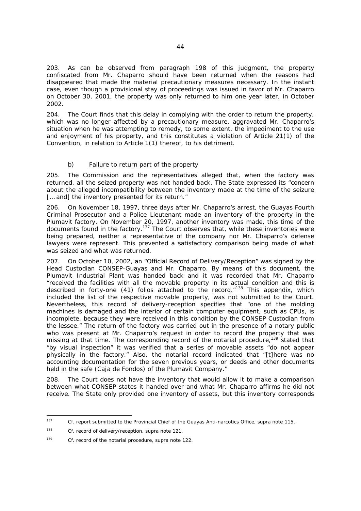203. As can be observed from paragraph 198 of this judgment, the property confiscated from Mr. Chaparro should have been returned when the reasons had disappeared that made the material precautionary measures necessary. In the instant case, even though a provisional stay of proceedings was issued in favor of Mr. Chaparro on October 30, 2001, the property was only returned to him one year later, in October 2002.

204. The Court finds that this delay in complying with the order to return the property, which was no longer affected by a precautionary measure, aggravated Mr. Chaparro's situation when he was attempting to remedy, to some extent, the impediment to the use and enjoyment of his property, and this constitutes a violation of Article 21(1) of the Convention, in relation to Article 1(1) thereof, to his detriment.

# *b) Failure to return part of the property*

205. The Commission and the representatives alleged that, when the factory was returned, all the seized property was not handed back. The State expressed its "concern about the alleged incompatibility between the inventory made at the time of the seizure [... and] the inventory presented for its return."

206. On November 18, 1997, three days after Mr. Chaparro's arrest, the Guayas Fourth Criminal Prosecutor and a Police Lieutenant made an inventory of the property in the Plumavit factory. On November 20, 1997, another inventory was made, this time of the documents found in the factory.<sup>137</sup> The Court observes that, while these inventories were being prepared, neither a representative of the company nor Mr. Chaparro's defense lawyers were represent. This prevented a satisfactory comparison being made of what was seized and what was returned.

207. On October 10, 2002, an "Official Record of Delivery/Reception" was signed by the Head Custodian CONSEP-Guayas and Mr. Chaparro. By means of this document, the Plumavit Industrial Plant was handed back and it was recorded that Mr. Chaparro "received the facilities with all the movable property in its actual condition and this is described in forty-one (41) folios attached to the record."138 This appendix, which included the list of the respective movable property, was not submitted to the Court. Nevertheless, this record of delivery-reception specifies that "one of the molding machines is damaged and the interior of certain computer equipment, such as CPUs, is incomplete, because they were received in this condition by the CONSEP Custodian from the lessee." The return of the factory was carried out in the presence of a notary public who was present at Mr. Chaparro's request in order to record the property that was missing at that time. The corresponding record of the notarial procedure,<sup>139</sup> stated that "by visual inspection" it was verified that a series of movable assets "do not appear physically in the factory." Also, the notarial record indicated that "[t]here was no accounting documentation for the seven previous years, or deeds and other documents held in the safe (*Caja de Fondos*) of the Plumavit Company."

208. The Court does not have the inventory that would allow it to make a comparison between what CONSEP states it handed over and what Mr. Chaparro affirms he did not receive. The State only provided one inventory of assets, but this inventory corresponds

<sup>137</sup> 137 *Cf.* report submitted to the Provincial Chief of the Guayas Anti-narcotics Office, *supra* note 115.

<sup>138</sup> *Cf.* record of delivery/reception, *supra* note 121.

<sup>139</sup> *Cf.* record of the notarial procedure, *supra* note 122.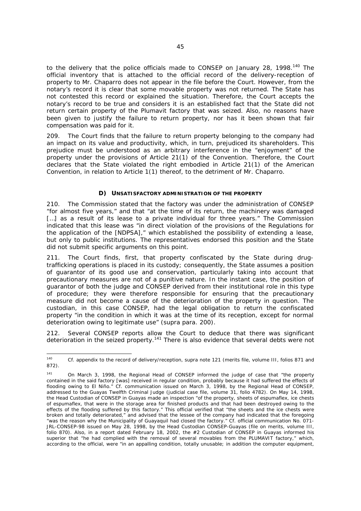to the delivery that the police officials made to CONSEP on January 28, 1998.<sup>140</sup> The official inventory that is attached to the official record of the delivery-reception of property to Mr. Chaparro does not appear in the file before the Court. However, from the notary's record it is clear that some movable property was not returned. The State has not contested this record or explained the situation. Therefore, the Court accepts the notary's record to be true and considers it is an established fact that the State did not return certain property of the Plumavit factory that was seized. Also, no reasons have been given to justify the failure to return property, nor has it been shown that fair compensation was paid for it.

209. The Court finds that the failure to return property belonging to the company had an impact on its value and productivity, which, in turn, prejudiced its shareholders. This prejudice must be understood as an arbitrary interference in the "enjoyment" of the property under the provisions of Article 21(1) of the Convention. Therefore, the Court declares that the State violated the right embodied in Article 21(1) of the American Convention, in relation to Article 1(1) thereof, to the detriment of Mr. Chaparro.

## *D) UNSATISFACTORY ADMINISTRATION OF THE PROPERTY*

210. The Commission stated that the factory was under the administration of CONSEP "for almost five years," and that "at the time of its return, the machinery was damaged [...] as a result of its lease to a private individual for three years." The Commission indicated that this lease was "in direct violation of the provisions of the Regulations for the application of the [NDPSA]," which established the possibility of extending a lease, but only to public institutions. The representatives endorsed this position and the State did not submit specific arguments on this point.

211. The Court finds, first, that property confiscated by the State during drugtrafficking operations is placed in its custody; consequently, the State assumes a position of guarantor of its good use and conservation, particularly taking into account that precautionary measures are not of a punitive nature. In the instant case, the position of guarantor of both the judge and CONSEP derived from their institutional role in this type of procedure; they were therefore responsible for ensuring that the precautionary measure did not become a cause of the deterioration of the property in question. The custodian, in this case CONSEP, had the legal obligation to return the confiscated property "in the condition in which it was at the time of its reception, except for normal deterioration owing to legitimate use" (*supra* para. 200).

212. Several CONSEP reports allow the Court to deduce that there was significant deterioration in the seized property.<sup>141</sup> There is also evidence that several debts were not

<sup>140</sup> *Cf.* appendix to the record of delivery/reception, *supra* note 121 (merits file, volume III, folios 871 and 872).

<sup>141</sup> On March 3, 1998, the Regional Head of CONSEP informed the judge of case that "the property contained in the said factory [was] received in regular condition, probably because it had suffered the effects of flooding owing to El Niño." *Cf.* communication issued on March 3, 1998, by the Regional Head of CONSEP, addressed to the Guayas Twelfth Criminal Judge (judicial case file, volume 31, folio 4782). On May 14, 1998, the Head Custodian of CONSEP in Guayas made an inspection "of the property, sheets of *espumaflex*, ice chests of espumaflex, that were in the storage area for finished products and that had been destroyed owing to the effects of the flooding suffered by this factory." This official verified that "the sheets and the ice chests were broken and totally deteriorated," and advised that the lessee of the company had indicated that the foregoing "was the reason why the Municipality of Guayaquil had closed the factory." *Cf*. official communication No. 071- JRL-CONSEP-98 issued on May 28, 1998, by the Head Custodian CONSEP-Guayas (file on merits, volume III, folio 870). Also, in a report dated February 18, 2002, the #2 Custodian of CONSEP in Guayas informed his superior that "he had complied with the removal of several movables from the PLUMAVIT factory," which, according to the official, were "in an appalling condition, totally unusable; in addition the computer equipment,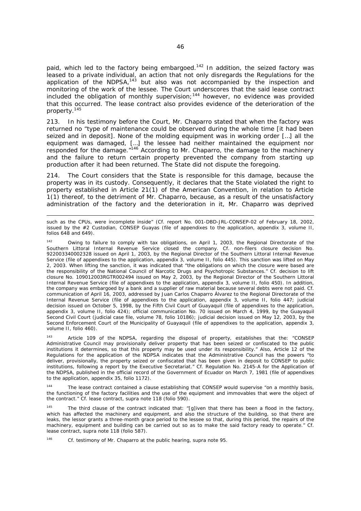paid, which led to the factory being embargoed.<sup>142</sup> In addition, the seized factory was leased to a private individual, an action that not only disregards the Regulations for the application of the NDPSA,<sup>143</sup> but also was not accompanied by the inspection and monitoring of the work of the lessee. The Court underscores that the said lease contract included the obligation of monthly supervision;  $144$  however, no evidence was provided that this occurred. The lease contract also provides evidence of the deterioration of the property.145

213. In his testimony before the Court, Mr. Chaparro stated that when the factory was returned no "type of maintenance could be observed during the whole time [it had been seized and in deposit]. None of the molding equipment was in working order […] all the equipment was damaged, […] the lessee had neither maintained the equipment nor responded for the damage."<sup>146</sup> According to Mr. Chaparro, the damage to the machinery and the failure to return certain property prevented the company from starting up production after it had been returned. The State did not dispute the foregoing.

214. The Court considers that the State is responsible for this damage, because the property was in its custody. Consequently, it declares that the State violated the right to property established in Article 21(1) of the American Convention, in relation to Article 1(1) thereof, to the detriment of Mr. Chaparro, because, as a result of the unsatisfactory administration of the factory and the deterioration in it, Mr. Chaparro was deprived

<sup>143</sup> Article 109 of the NDPSA, regarding the disposal of property, establishes that the: "CONSEP Administrative Council may provisionally deliver property that has been seized or confiscated to the public institutions it determines, so that this property may be used under its responsibility." Also, Article 12 of the Regulations for the application of the NDPSA indicates that the Administrative Council has the powers "to deliver, provisionally, the property seized or confiscated that has been given in deposit to CONSEP to public institutions, following a report by the Executive Secretariat." *Cf.* Regulation No. 2145-A for the Application of the NDPSA, published in the official record of the Government of Ecuador on March 7, 1981 (file of appendixes to the application, appendix 35, folio 1172).

144 The lease contract contained a clause establishing that CONSEP would supervise "on a monthly basis, the functioning of the factory facilities and the use of the equipment and immovables that were the object of the contract." *Cf.* lease contract, *supra* note 118 (folio 590).

145 The third clause of the contract indicated that: "[g]iven that there has been a flood in the factory, which has affected the machinery and equipment, and also the structure of the building, so that there are leaks, the lessor grants a three-month grace period to the lessee so that, during this period, the repairs of the machinery, equipment and building can be carried out so as to make the said factory ready to operate." *Cf.* lease contract, *supra* note 118 (folio 587).

146 *Cf.* testimony of Mr. Chaparro at the public hearing, *supra* note 95.

such as the CPUs, were incomplete inside" (*Cf.* report No. 001-DBD-JRL-CONSEP-02 of February 18, 2002, issued by the #2 Custodian, CONSEP Guayas (file of appendixes to the application, appendix 3, volume II, folios 648 and 649).

Owing to failure to comply with tax obligations, on April 1, 2003, the Regional Directorate of the Southern Littoral Internal Revenue Service closed the company. *Cf.* non-filers closure decision No. 922003340002328 issued on April 1, 2003, by the Regional Director of the Southern Littoral Internal Revenue Service (file of appendixes to the application, appendix 3, volume II, folio 445). This sanction was lifted on May 2, 2003. When lifting the sanction, it was indicated that "the obligations on which the closure were based are the responsibility of the National Council of Narcotic Drugs and Psychotropic Substances." *Cf*. decision to lift closure No. 109012003RGTR002494 issued on May 2, 2003, by the Regional Director of the Southern Littoral Internal Revenue Service (file of appendixes to the application, appendix 3, volume II, folio 450). In addition, the company was embargoed by a bank and a supplier of raw material because several debts were not paid. *Cf.*  communication of April 16, 2003, addressed by Juan Carlos Chaparro Álvarez to the Regional Directorate of the Internal Revenue Service (file of appendixes to the application, appendix 3, volume II, folio 447; judicial decision issued on October 5, 1998, by the Fifth Civil Court of Guayaquil (file of appendixes to the application, appendix 3, volume II, folio 424); official communication No. 70 issued on March 4, 1999, by the Guayaquil Second Civil Court (judicial case file, volume 78, folio 10186); judicial decision issued on May 12, 2003, by the Second Enforcement Court of the Municipality of Guayaquil (file of appendixes to the application, appendix 3, volume II, folio 460).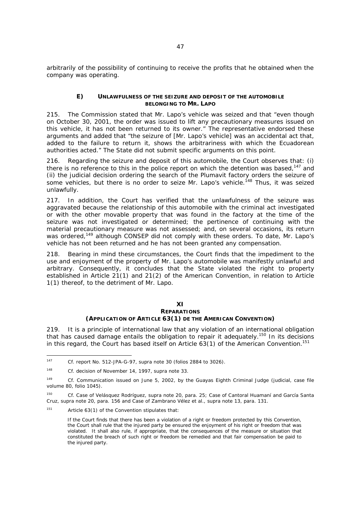arbitrarily of the possibility of continuing to receive the profits that he obtained when the company was operating.

### *E) UNLAWFULNESS OF THE SEIZURE AND DEPOSIT OF THE AUTOMOBILE BELONGING TO MR. LAPO*

215. The Commission stated that Mr. Lapo's vehicle was seized and that "even though on October 30, 2001, the order was issued to lift any precautionary measures issued on this vehicle, it has not been returned to its owner." The representative endorsed these arguments and added that "the seizure of [Mr. Lapo's vehicle] was an accidental act that, added to the failure to return it, shows the arbitrariness with which the Ecuadorean authorities acted." The State did not submit specific arguments on this point.

216. Regarding the seizure and deposit of this automobile, the Court observes that: (i) there is no reference to this in the police report on which the detention was based,<sup>147</sup> and (ii) the judicial decision ordering the search of the Plumavit factory orders the seizure of some vehicles, but there is no order to seize Mr. Lapo's vehicle.<sup>148</sup> Thus, it was seized unlawfully.

217. In addition, the Court has verified that the unlawfulness of the seizure was aggravated because the relationship of this automobile with the criminal act investigated or with the other movable property that was found in the factory at the time of the seizure was not investigated or determined; the pertinence of continuing with the material precautionary measure was not assessed; and, on several occasions, its return was ordered,<sup>149</sup> although CONSEP did not comply with these orders. To date, Mr. Lapo's vehicle has not been returned and he has not been granted any compensation.

218. Bearing in mind these circumstances, the Court finds that the impediment to the use and enjoyment of the property of Mr. Lapo's automobile was manifestly unlawful and arbitrary. Consequently, it concludes that the State violated the right to property established in Article 21(1) and 21(2) of the American Convention, in relation to Article 1(1) thereof, to the detriment of Mr. Lapo.

### **XI REPARATIONS (APPLICATION OF ARTICLE 63(1) DE THE AMERICAN CONVENTION)**

219. It is a principle of international law that any violation of an international obligation that has caused damage entails the obligation to repair it adequately.<sup>150</sup> In its decisions in this regard, the Court has based itself on Article 63(1) of the American Convention.<sup>151</sup>

 $147$ 147 *Cf*. report No. 512-JPA-G-97, *supra* note 30 (folios 2884 to 3026).

<sup>148</sup> *Cf*. decision of November 14, 1997, *supra* note 33.

<sup>149</sup> *Cf.* Communication issued on June 5, 2002, by the Guayas Eighth Criminal Judge (judicial, case file volume 80, folio 1045).

<sup>150</sup> *Cf. Case of Velásquez Rodríguez, supra* note 20, para. 25; *Case of Cantoral Huamaní and García Santa Cruz, supra* note 20, para. 156 and *Case of Zambrano Vélez et al., supra* note 13, para. 131.

 $151$  Article 63(1) of the Convention stipulates that:

If the Court finds that there has been a violation of a right or freedom protected by this Convention, the Court shall rule that the injured party be ensured the enjoyment of his right or freedom that was violated. It shall also rule, if appropriate, that the consequences of the measure or situation that constituted the breach of such right or freedom be remedied and that fair compensation be paid to the injured party.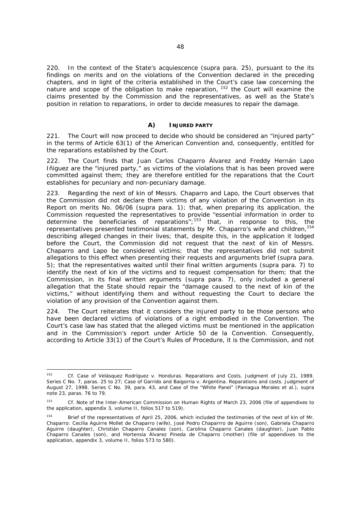220. In the context of the State's acquiescence (*supra* para. 25), pursuant to the its findings on merits and on the violations of the Convention declared in the preceding chapters, and in light of the criteria established in the Court's case law concerning the nature and scope of the obligation to make reparation,  $152$  the Court will examine the claims presented by the Commission and the representatives, as well as the State's position in relation to reparations, in order to decide measures to repair the damage.

# *A) INJURED PARTY*

221. The Court will now proceed to decide who should be considered an "injured party" in the terms of Article 63(1) of the American Convention and, consequently, entitled for the reparations established by the Court.

222. The Court finds that Juan Carlos Chaparro Álvarez and Freddy Hernán Lapo Iñiguez are the "injured party," as victims of the violations that is has been proved were committed against them; they are therefore entitled for the reparations that the Court establishes for pecuniary and non-pecuniary damage.

223. Regarding the next of kin of Messrs. Chaparro and Lapo, the Court observes that the Commission did not declare them victims of any violation of the Convention in its Report on merits No. 06/06 (*supra* para. 1); that, when preparing its application, the Commission requested the representatives to provide "essential information in order to determine the beneficiaries of reparations"; $153$  that, in response to this, the representatives presented testimonial statements by Mr. Chaparro's wife and children, 154 describing alleged changes in their lives; that, despite this, in the application it lodged before the Court, the Commission did not request that the next of kin of Messrs. Chaparro and Lapo be considered victims; that the representatives did not submit allegations to this effect when presenting their requests and arguments brief (*supra* para. 5); that the representatives waited until their final written arguments (*supra* para. 7) to identify the next of kin of the victims and to request compensation for them; that the Commission, in its final written arguments (*supra* para. 7), only included a general allegation that the State should repair the "damage caused to the next of kin of the victims," without identifying them and without requesting the Court to declare the violation of any provision of the Convention against them.

224. The Court reiterates that it considers the injured party to be those persons who have been declared victims of violations of a right embodied in the Convention. The Court's case law has stated that the alleged victims must be mentioned in the application and in the Commission's report under Article 50 de la Convention. Consequently, according to Article 33(1) of the Court's Rules of Procedure, it is the Commission, and not

 $152$ 152 *Cf. Case of Velásquez Rodríguez v. Honduras. Reparations and Costs*. Judgment of July 21, 1989. Series C No. 7, paras. 25 to 27; *Case of Garrido and Baigorria v. Argentina*. Reparations and costs. Judgment of August 27, 1998. Series C No. 39, para. 43, and *Case of the "White Panel" (Paniagua Morales et al.), supra* note 23, paras. 76 to 79.

Cf. Note of the Inter-American Commission on Human Rights of March 23, 2006 (file of appendixes to the application, appendix 3, volume II, folios 517 to 519).

Brief of the representatives of April 25, 2006, which included the testimonies of the next of kin of Mr. Chaparro: Cecilia Aguirre Mollet de Chaparro (wife), José Pedro Chaparrro de Aguirre (son), Gabriela Chaparro Aguirre (daughter), Christián Chaparro Canales (son), Carolina Chaparro Canales (daughter), Juan Pablo Chaparro Canales (son), and Hortensia Álvarez Pineda de Chaparro (mother) (file of appendixes to the application, appendix 3, volume II, folios 573 to 580).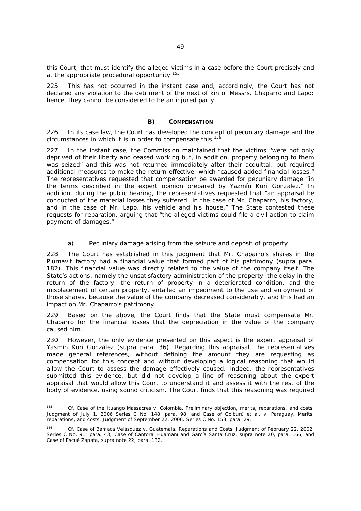this Court, that must identify the alleged victims in a case before the Court precisely and at the appropriate procedural opportunity.<sup>155</sup>

225. This has not occurred in the instant case and, accordingly, the Court has not declared any violation to the detriment of the next of kin of Messrs. Chaparro and Lapo; hence, they cannot be considered to be an injured party.

### *B) COMPENSATION*

226. In its case law, the Court has developed the concept of pecuniary damage and the circumstances in which it is in order to compensate this.<sup>156</sup>

227. In the instant case, the Commission maintained that the victims "were not only deprived of their liberty and ceased working but, in addition, property belonging to them was seized" and this was not returned immediately after their acquittal, but required additional measures to make the return effective, which "caused added financial losses." The representatives requested that compensation be awarded for pecuniary damage "in the terms described in the expert opinion prepared by Yazmín Kuri Gonzalez." In addition, during the public hearing, the representatives requested that "an appraisal be conducted of the material losses they suffered: in the case of Mr. Chaparro, his factory, and in the case of Mr. Lapo, his vehicle and his house." The State contested these requests for reparation, arguing that "the alleged victims could file a civil action to claim payment of damages."

### *a) Pecuniary damage arising from the seizure and deposit of property*

228. The Court has established in this judgment that Mr. Chaparro's shares in the Plumavit factory had a financial value that formed part of his patrimony (*supra* para. 182). This financial value was directly related to the value of the company itself. The State's actions, namely the unsatisfactory administration of the property, the delay in the return of the factory, the return of property in a deteriorated condition, and the misplacement of certain property, entailed an impediment to the use and enjoyment of those shares, because the value of the company decreased considerably, and this had an impact on Mr. Chaparro's patrimony.

229. Based on the above, the Court finds that the State must compensate Mr. Chaparro for the financial losses that the depreciation in the value of the company caused him.

230. However, the only evidence presented on this aspect is the expert appraisal of Yasmín Kuri González (*supra* para. 36). Regarding this appraisal, the representatives made general references, without defining the amount they are requesting as compensation for this concept and without developing a logical reasoning that would allow the Court to assess the damage effectively caused. Indeed, the representatives submitted this evidence, but did not develop a line of reasoning about the expert appraisal that would allow this Court to understand it and assess it with the rest of the body of evidence, using sound criticism. The Court finds that this reasoning was required

<sup>155</sup> 155 *Cf. Case of the Ituango Massacres v. Colombia. Preliminary objection, merits, reparations, and costs.* Judgment of July 1, 2006 Series C No. 148, para. 98, and *Case of Goiburú et al. v. Paraguay. Merits, reparations, and costs.* Judgment of September 22, 2006. Series C No. 153*,* para. 29*.*

<sup>156</sup> *Cf. Case of Bámaca Velásquez v. Guatemala. Reparations and Costs.* Judgment of February 22, 2002. Series C No. 91, para. 43; *Case of Cantoral Huamaní and García Santa Cruz, supra* note 20, para. 166, and *Case of Escué Zapata, supra* note 22, para. 132.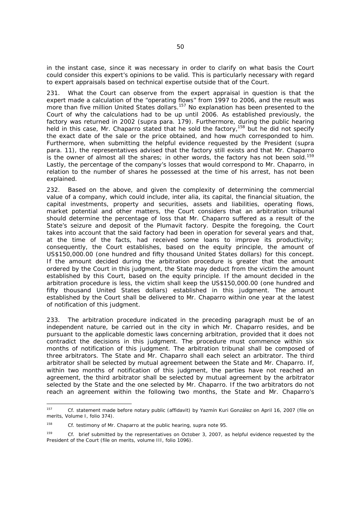in the instant case, since it was necessary in order to clarify on what basis the Court could consider this expert's opinions to be valid. This is particularly necessary with regard to expert appraisals based on technical expertise outside that of the Court.

231. What the Court can observe from the expert appraisal in question is that the expert made a calculation of the "operating flows" from 1997 to 2006, and the result was more than five million United States dollars.<sup>157</sup> No explanation has been presented to the Court of why the calculations had to be up until 2006. As established previously, the factory was returned in 2002 (*supra* para. 179). Furthermore, during the public hearing held in this case, Mr. Chaparro stated that he sold the factory,<sup>158</sup> but he did not specify the exact date of the sale or the price obtained, and how much corresponded to him. Furthermore, when submitting the helpful evidence requested by the President *(supra*  para. 11), the representatives advised that the factory still exists and that Mr. Chaparro is the owner of almost all the shares; in other words, the factory has not been sold.<sup>159</sup> Lastly, the percentage of the company's losses that would correspond to Mr. Chaparro, in relation to the number of shares he possessed at the time of his arrest, has not been explained.

232. Based on the above, and given the complexity of determining the commercial value of a company, which could include, *inter alia*, its capital, the financial situation, the capital investments, property and securities, assets and liabilities, operating flows, market potential and other matters, the Court considers that an arbitration tribunal should determine the percentage of loss that Mr. Chaparro suffered as a result of the State's seizure and deposit of the Plumavit factory. Despite the foregoing, the Court takes into account that the said factory had been in operation for several years and that, at the time of the facts, had received some loans to improve its productivity; consequently, the Court establishes, based on the equity principle, the amount of US\$150,000.00 (one hundred and fifty thousand United States dollars) for this concept. If the amount decided during the arbitration procedure is greater that the amount ordered by the Court in this judgment, the State may deduct from the victim the amount established by this Court, based on the equity principle. If the amount decided in the arbitration procedure is less, the victim shall keep the US\$150,000.00 (one hundred and fifty thousand United States dollars) established in this judgment. The amount established by the Court shall be delivered to Mr. Chaparro within one year at the latest of notification of this judgment.

233. The arbitration procedure indicated in the preceding paragraph must be of an independent nature, be carried out in the city in which Mr. Chaparro resides, and be pursuant to the applicable domestic laws concerning arbitration, provided that it does not contradict the decisions in this judgment. The procedure must commence within six months of notification of this judgment. The arbitration tribunal shall be composed of three arbitrators. The State and Mr. Chaparro shall each select an arbitrator. The third arbitrator shall be selected by mutual agreement between the State and Mr. Chaparro. If, within two months of notification of this judgment, the parties have not reached an agreement, the third arbitrator shall be selected by mutual agreement by the arbitrator selected by the State and the one selected by Mr. Chaparro. If the two arbitrators do not reach an agreement within the following two months, the State and Mr. Chaparro's

<sup>157</sup> 157 *Cf.* statement made before notary public (affidavit) by Yazmín Kuri González on April 16, 2007 (file on merits, Volume I, folio 374).

<sup>158</sup> *Cf.* testimony of Mr. Chaparro at the public hearing, *supra* note 95.

<sup>&</sup>lt;sup>159</sup> *Cf.* brief submitted by the representatives on October 3, 2007, as helpful evidence requested by the President of the Court (file on merits, volume III, folio 1096).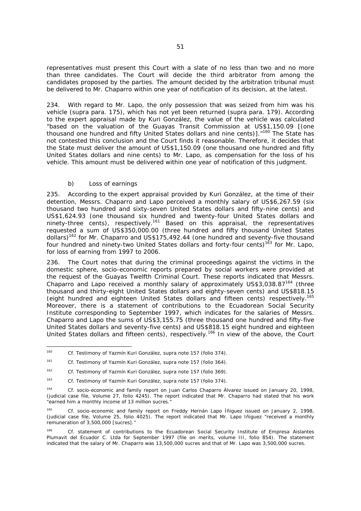representatives must present this Court with a slate of no less than two and no more than three candidates. The Court will decide the third arbitrator from among the candidates proposed by the parties. The amount decided by the arbitration tribunal must be delivered to Mr. Chaparro within one year of notification of its decision, at the latest.

234. With regard to Mr. Lapo, the only possession that was seized from him was his vehicle (*supra* para. 175), which has not yet been returned (*supra* para. 179). According to the expert appraisal made by Kuri González, the value of the vehicle was calculated "based on the valuation of the Guayas Transit Commission at US\$1,150.09 [(one thousand one hundred and fifty United States dollars and nine cents)]. "<sup>160</sup> The State has not contested this conclusion and the Court finds it reasonable. Therefore, it decides that the State must deliver the amount of US\$1,150.09 (one thousand one hundred and fifty United States dollars and nine cents) to Mr. Lapo, as compensation for the loss of his vehicle. This amount must be delivered within one year of notification of this judgment.

# *b) Loss of earnings*

235. According to the expert appraisal provided by Kuri González, at the time of their detention, Messrs. Chaparro and Lapo perceived a monthly salary of US\$6,267.59 (six thousand two hundred and sixty-seven United States dollars and fifty-nine cents) and US\$1,624.93 (one thousand six hundred and twenty-four United States dollars and ninety-three cents), respectively.<sup>161</sup> Based on this appraisal, the representatives requested a sum of US\$350,000.00 (three hundred and fifty thousand United States dollars)<sup>162</sup> for Mr. Chaparro and US\$175,492.44 (one hundred and seventy-five thousand four hundred and ninety-two United States dollars and forty-four cents)<sup>1 $\delta$ 3</sup> for Mr. Lapo, for loss of earning from 1997 to 2006.

236. The Court notes that during the criminal proceedings against the victims in the domestic sphere, socio-economic reports prepared by social workers were provided at the request of the Guayas Twelfth Criminal Court. These reports indicated that Messrs. Chaparro and Lapo received a monthly salary of approximately US\$3,038.87<sup>164</sup> (three thousand and thirty-eight United States dollars and eighty-seven cents) and US\$818.15 (eight hundred and eighteen United States dollars and fifteen cents) respectively.<sup>165</sup> Moreover, there is a statement of contributions to the Ecuadorean Social Security Institute corresponding to September 1997, which indicates for the salaries of Messrs. Chaparro and Lapo the sums of US\$3,155.75 (three thousand one hundred and fifty-five United States dollars and seventy-five cents) and US\$818.15 eight hundred and eighteen United States dollars and fifteen cents), respectively.<sup>166</sup> In view of the above, the Court

<sup>160</sup> 160 *Cf.* Testimony of Yazmín Kuri González, *supra* note 157 (folio 374).

<sup>161</sup> *Cf.* Testimony of Yazmín Kuri González, *supra* note 157 (folio 364).

<sup>162</sup> *Cf.* Testimony of Yazmín Kuri González, *supra* note 157 (folio 369).

<sup>163</sup> *Cf.* Testimony of Yazmín Kuri González, *supra* note 157 (folio 374).

<sup>164</sup> *Cf.* socio-economic and family report on Juan Carlos Chaparro Álvarez issued on January 20, 1998, (judicial case file, Volume 27, folio 4245). The report indicated that Mr. Chaparro had stated that his work "earned him a monthly income of 13 million sucres."

<sup>165</sup> *Cf.* socio-economic and family report on Freddy Hernán Lapo Íñiguez issued on January 2, 1998, (judicial case file, Volume 25, folio 4025). The report indicated that Mr. Lapo Iñiguez "received a monthly remuneration of 3,500,000 [sucres]."

<sup>166</sup> *Cf.* statement of contributions to the Ecuadorean Social Security Institute of *Empresa Aislantes Plumavit del Ecuador C. Ltda* for September 1997 (file on merits, volume III, folio 854). The statement indicated that the salary of Mr. Chaparro was 13,500,000 sucres and that of Mr. Lapo was 3,500,000 sucres.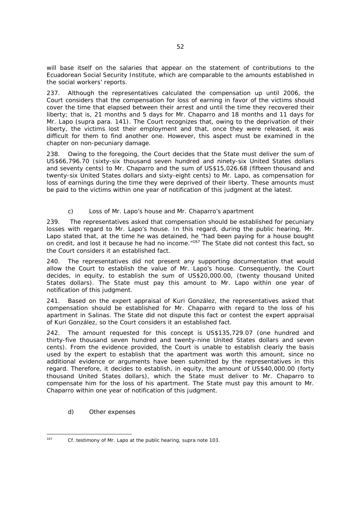will base itself on the salaries that appear on the statement of contributions to the Ecuadorean Social Security Institute, which are comparable to the amounts established in the social workers' reports.

237. Although the representatives calculated the compensation up until 2006, the Court considers that the compensation for loss of earning in favor of the victims should cover the time that elapsed between their arrest and until the time they recovered their liberty; that is, 21 months and 5 days for Mr. Chaparro and 18 months and 11 days for Mr. Lapo (*supra* para. 141). The Court recognizes that, owing to the deprivation of their liberty, the victims lost their employment and that, once they were released, it was difficult for them to find another one. However, this aspect must be examined in the chapter on non-pecuniary damage.

238. Owing to the foregoing, the Court decides that the State must deliver the sum of US\$66,796.70 (sixty-six thousand seven hundred and ninety-six United States dollars and seventy cents) to Mr. Chaparro and the sum of US\$15,026.68 (fifteen thousand and twenty-six United States dollars and sixty-eight cents) to Mr. Lapo, as compensation for loss of earnings during the time they were deprived of their liberty. These amounts must be paid to the victims within one year of notification of this judgment at the latest.

# *c) Loss of Mr. Lapo's house and Mr. Chaparro's apartment*

239. The representatives asked that compensation should be established for pecuniary losses with regard to Mr. Lapo's house. In this regard, during the public hearing, Mr. Lapo stated that, at the time he was detained, he "had been paying for a house bought on credit, and lost it because he had no income.<sup>"167</sup> The State did not contest this fact, so the Court considers it an established fact.

240. The representatives did not present any supporting documentation that would allow the Court to establish the value of Mr. Lapo's house. Consequently, the Court decides, in equity, to establish the sum of US\$20,000.00, (twenty thousand United States dollars). The State must pay this amount to Mr. Lapo within one year of notification of this judgment.

241. Based on the expert appraisal of Kuri González, the representatives asked that compensation should be established for Mr. Chaparro with regard to the loss of his apartment in Salinas. The State did not dispute this fact or contest the expert appraisal of Kuri González, so the Court considers it an established fact.

242. The amount requested for this concept is US\$135,729.07 (one hundred and thirty-five thousand seven hundred and twenty-nine United States dollars and seven cents). From the evidence provided, the Court is unable to establish clearly the basis used by the expert to establish that the apartment was worth this amount, since no additional evidence or arguments have been submitted by the representatives in this regard. Therefore, it decides to establish, in equity, the amount of US\$40,000.00 (forty thousand United States dollars), which the State must deliver to Mr. Chaparro to compensate him for the loss of his apartment. The State must pay this amount to Mr. Chaparro within one year of notification of this judgment.

 *d) Other expenses* 

<sup>167</sup> 167 *Cf.* testimony of Mr. Lapo at the public hearing, *supra* note 103.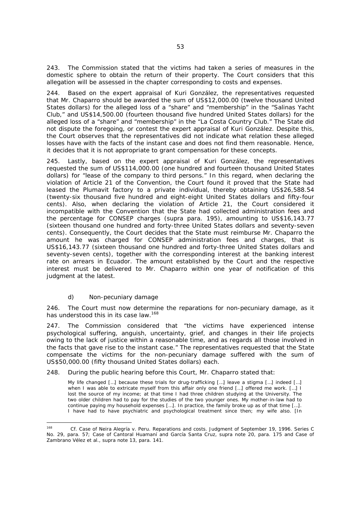243. The Commission stated that the victims had taken a series of measures in the domestic sphere to obtain the return of their property. The Court considers that this allegation will be assessed in the chapter corresponding to costs and expenses.

244. Based on the expert appraisal of Kuri González, the representatives requested that Mr. Chaparro should be awarded the sum of US\$12,000.00 (twelve thousand United States dollars) for the alleged loss of a "share" and "membership" in the "Salinas Yacht Club," and US\$14,500.00 (fourteen thousand five hundred United States dollars) for the alleged loss of a "share" and "membership" in the "La Costa Country Club." The State did not dispute the foregoing, or contest the expert appraisal of Kuri González. Despite this, the Court observes that the representatives did not indicate what relation these alleged losses have with the facts of the instant case and does not find them reasonable. Hence, it decides that it is not appropriate to grant compensation for these concepts.

245. Lastly, based on the expert appraisal of Kuri González, the representatives requested the sum of US\$114,000.00 (one hundred and fourteen thousand United States dollars) for "lease of the company to third persons." In this regard, when declaring the violation of Article 21 of the Convention, the Court found it proved that the State had leased the Plumavit factory to a private individual, thereby obtaining US\$26,588.54 (twenty-six thousand five hundred and eight-eight United States dollars and fifty-four cents). Also, when declaring the violation of Article 21, the Court considered it incompatible with the Convention that the State had collected administration fees and the percentage for CONSEP charges (*supra* para. 195), amounting to US\$16,143.77 (sixteen thousand one hundred and forty-three United States dollars and seventy-seven cents). Consequently, the Court decides that the State must reimburse Mr. Chaparro the amount he was charged for CONSEP administration fees and charges, that is US\$16,143.77 (sixteen thousand one hundred and forty-three United States dollars and seventy-seven cents), together with the corresponding interest at the banking interest rate on arrears in Ecuador. The amount established by the Court and the respective interest must be delivered to Mr. Chaparro within one year of notification of this judgment at the latest.

## *d) Non-pecuniary damage*

246. The Court must now determine the reparations for non-pecuniary damage, as it has understood this in its case law.<sup>168</sup>

247. The Commission considered that "the victims have experienced intense psychological suffering, anguish, uncertainty, grief, and changes in their life projects owing to the lack of justice within a reasonable time, and as regards all those involved in the facts that gave rise to the instant case." The representatives requested that the State compensate the victims for the non-pecuniary damage suffered with the sum of US\$50,000.00 (fifty thousand United States dollars) each.

248. During the public hearing before this Court, Mr. Chaparro stated that:

My life changed […] because these trials for drug-trafficking […] leave a stigma […] indeed […] when I was able to extricate myself from this affair only one friend […] offered me work. […] I lost the source of my income; at that time I had three children studying at the University. The two older children had to pay for the studies of the two younger ones. My mother-in-law had to continue paying my household expenses […]. In practice, the family broke up as of that time […]. I have had to have psychiatric and psychological treatment since then; my wife also. [In

<sup>168</sup> 168 *Cf. Case of Neira Alegría v. Peru. Reparations and costs*. Judgment of September 19, 1996. Series C No. 29, para. 57; *Case of Cantoral Huamaní and García Santa Cruz*, *supra* note 20, para. 175 and *Case of Zambrano Vélez et al.*, *supra* note 13, para. 141.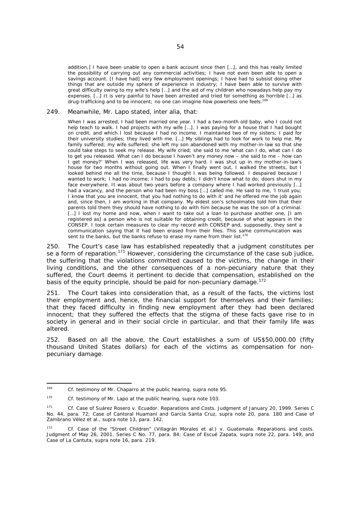addition,] I have been unable to open a bank account since then […], and this has really limited the possibility of carrying out any commercial activities; I have not even been able to open a savings account. [I have had] very few employment openings; I have had to subsist doing other things that are outside my sphere of experience in industry; I have been able to survive with great difficulty owing to my wife's help […] and the aid of my children who nowadays help pay my expenses. […] It is very painful to have been arrested and tried for something as horrible […] as drug-trafficking and to be innocent; no one can imagine how powerless one feels.<sup>169</sup>

#### 249. Meanwhile, Mr. Lapo stated, *inter alia*, that:

When I was arrested, I had been married one year. I had a two-month old baby, who I could not help teach to walk. I had projects with my wife […]. I was paying for a house that I had bought on credit, and which I lost because I had no income. I maintained two of my sisters; I paid for their university studies; they lived with me. […] My siblings had to look for work to help me. My family suffered; my wife suffered; she left my son abandoned with my mother-in-law so that she could take steps to seek my release. My wife cried; she said to me 'what can I do, what can I do to get you released. What can I do because I haven't any money now – she said to me – how can I get money?' When I was released, life was very hard. I was shut up in my mother-in-law's house for two months without going out. When I finally went out, I walked the streets, but I looked behind me all the time, because I thought I was being followed. I despaired because I wanted to work; I had no income; I had to pay debts; I didn't know what to do; doors shut in my face everywhere. It was about two years before a company where I had worked previously […] had a vacancy, and the person who had been my boss [...] called me. He said to me, 'I trust you; I know that you are innocent, that you had nothing to do with it' and he offered me the job again and, since then, I am working in that company. My eldest son's schoolmates told him that their parents told them they should have nothing to do with him because he was the son of a criminal. […] I lost my home and now, when I want to take out a loan to purchase another one, [I am registered as] a person who is not suitable for obtaining credit, because of what appears in the CONSEP. I took certain measures to clear my record with CONSEP and, supposedly, they sent a communication saying that it had been erased from their files. This same communication was sent to the banks, but the banks refuse to erase my name from their list.<sup>170</sup>

250. The Court's case law has established repeatedly that a judgment constitutes *per se* a form of reparation.171 However, considering the circumstance of the case *sub judice*, the suffering that the violations committed caused to the victims, the change in their living conditions, and the other consequences of a non-pecuniary nature that they suffered, the Court deems it pertinent to decide that compensation, established on the basis of the equity principle, should be paid for non-pecuniary damage.<sup>172</sup>

251. The Court takes into consideration that, as a result of the facts, the victims lost their employment and, hence, the financial support for themselves and their families; that they faced difficulty in finding new employment after they had been declared innocent; that they suffered the effects that the stigma of these facts gave rise to in society in general and in their social circle in particular, and that their family life was altered.

252. Based on all the above, the Court establishes a sum of US\$50,000.00 (fifty thousand United States dollars) for each of the victims as compensation for nonpecuniary damage.

<sup>169</sup> 169 *Cf.* testimony of Mr. Chaparro at the public hearing, *supra* note 95.

<sup>170</sup> *Cf.* testimony of Mr. Lapo at the public hearing, *supra* note 103.

<sup>171</sup> *Cf. Case of Suárez Rosero v. Ecuador. Reparations and Costs*. Judgment of January 20, 1999. Series C No. 44, para. 72; *Case of Cantoral Huamaní and García Santa Cruz, supra* note 20, para. 180 and *Case of Zambrano Vélez et al., supra* note 13, para. 142.

<sup>172</sup> *Cf. Case of the "Street Children" (Villagrán Morales et al.) v. Guatemala. Reparations and costs.* Judgment of May 26, 2001. Series C No. 77, para. 84; *Case of Escué Zapata*, *supra* note 22, para. 149, and *Case of La Cantuta*, *supra* note 16, para. 219.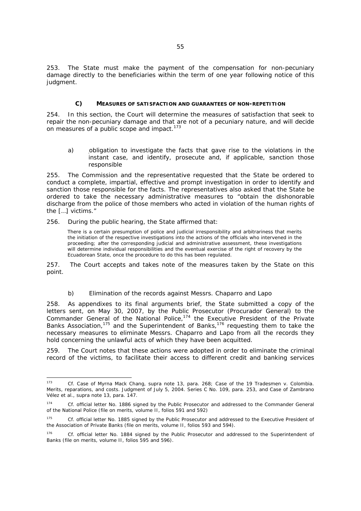253. The State must make the payment of the compensation for non-pecuniary damage directly to the beneficiaries within the term of one year following notice of this judament.

### *C) MEASURES OF SATISFACTION AND GUARANTEES OF NON-REPETITION*

254. In this section, the Court will determine the measures of satisfaction that seek to repair the non-pecuniary damage and that are not of a pecuniary nature, and will decide on measures of a public scope and impact.<sup>173</sup>

*a) obligation to investigate the facts that gave rise to the violations in the instant case, and identify, prosecute and, if applicable, sanction those responsible* 

255. The Commission and the representative requested that the State be ordered to conduct a complete, impartial, effective and prompt investigation in order to identify and sanction those responsible for the facts. The representatives also asked that the State be ordered to take the necessary administrative measures to "obtain the dishonorable discharge from the police of those members who acted in violation of the human rights of the […] victims."

256. During the public hearing, the State affirmed that:

There is a certain presumption of police and judicial irresponsibility and arbitrariness that merits the initiation of the respective investigations into the actions of the officials who intervened in the proceeding; after the corresponding judicial and administrative assessment, these investigations will determine individual responsibilities and the eventual exercise of the right of recovery by the Ecuadorean State, once the procedure to do this has been regulated.

257. The Court accepts and takes note of the measures taken by the State on this point.

#### *b) Elimination of the records against Messrs. Chaparro and Lapo*

258. As appendixes to its final arguments brief, the State submitted a copy of the letters sent, on May 30, 2007, by the Public Prosecutor (*Procurador General*) to the Commander General of the National Police,174 the Executive President of the Private Banks Association,<sup>175</sup> and the Superintendent of Banks,<sup>176</sup> requesting them to take the necessary measures to eliminate Messrs. Chaparro and Lapo from all the records they hold concerning the unlawful acts of which they have been acquitted.

259. The Court notes that these actions were adopted in order to eliminate the criminal record of the victims, to facilitate their access to different credit and banking services

<sup>173</sup> *Cf. Case of Myrna Mack Chang*, *supra* note 13, para. 268; *Case of the 19 Tradesmen v. Colombia. Merits, reparations, and costs.* Judgment of July 5, 2004. Series C No. 109, para. 253, and *Case of Zambrano Vélez et al., supra* note 13, para. 147.

<sup>174</sup> *Cf.* official letter No. 1886 signed by the Public Prosecutor and addressed to the Commander General of the National Police (file on merits, volume II, folios 591 and 592)

<sup>175</sup> *Cf.* official letter No. 1885 signed by the Public Prosecutor and addressed to the Executive President of the Association of Private Banks (file on merits, volume II, folios 593 and 594).

<sup>176</sup> *Cf.* official letter No. 1884 signed by the Public Prosecutor and addressed to the Superintendent of Banks (file on merits, volume II, folios 595 and 596).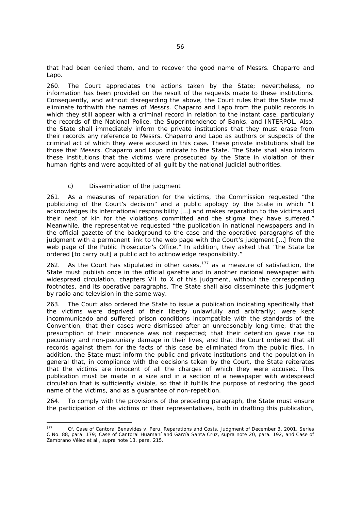that had been denied them, and to recover the good name of Messrs. Chaparro and Lapo.

260. The Court appreciates the actions taken by the State; nevertheless, no information has been provided on the result of the requests made to these institutions. Consequently, and without disregarding the above, the Court rules that the State must eliminate forthwith the names of Messrs. Chaparro and Lapo from the public records in which they still appear with a criminal record in relation to the instant case, particularly the records of the National Police, the Superintendence of Banks, and INTERPOL. Also, the State shall immediately inform the private institutions that they must erase from their records any reference to Messrs. Chaparro and Lapo as authors or suspects of the criminal act of which they were accused in this case. These private institutions shall be those that Messrs. Chaparro and Lapo indicate to the State. The State shall also inform these institutions that the victims were prosecuted by the State in violation of their human rights and were acquitted of all guilt by the national judicial authorities.

# *c) Dissemination of the judgment*

261. As a measures of reparation for the victims, the Commission requested "the publicizing of the Court's decision" and a public apology by the State in which "it acknowledges its international responsibility […] and makes reparation to the victims and their next of kin for the violations committed and the stigma they have suffered." Meanwhile, the representative requested "the publication in national newspapers and in the official gazette of the background to the case and the operative paragraphs of the judgment with a permanent link to the web page with the Court's judgment […] from the web page of the Public Prosecutor's Office." In addition, they asked that "the State be ordered [to carry out] a public act to acknowledge responsibility."

262. As the Court has stipulated in other cases,  $177$  as a measure of satisfaction, the State must publish once in the official gazette and in another national newspaper with widespread circulation, chapters VII to X of this judgment, without the corresponding footnotes, and its operative paragraphs. The State shall also disseminate this judgment by radio and television in the same way.

263. The Court also ordered the State to issue a publication indicating specifically that the victims were deprived of their liberty unlawfully and arbitrarily; were kept incommunicado and suffered prison conditions incompatible with the standards of the Convention; that their cases were dismissed after an unreasonably long time; that the presumption of their innocence was not respected; that their detention gave rise to pecuniary and non-pecuniary damage in their lives, and that the Court ordered that all records against them for the facts of this case be eliminated from the public files. In addition, the State must inform the public and private institutions and the population in general that, in compliance with the decisions taken by the Court, the State reiterates that the victims are innocent of all the charges of which they were accused. This publication must be made in a size and in a section of a newspaper with widespread circulation that is sufficiently visible, so that it fulfills the purpose of restoring the good name of the victims, and as a guarantee of non-repetition.

264. To comply with the provisions of the preceding paragraph, the State must ensure the participation of the victims or their representatives, both in drafting this publication,

 $177$ 177 *Cf. Case of Cantoral Benavides v. Peru. Reparations* and *Costs*. Judgment of December 3, 2001. Series C No. 88, para. 179; *Case of Cantoral Huamaní and García Santa Cruz, supra* note 20, para. 192, and *Case of Zambrano Vélez et al.*, *supra* note 13, para. 215.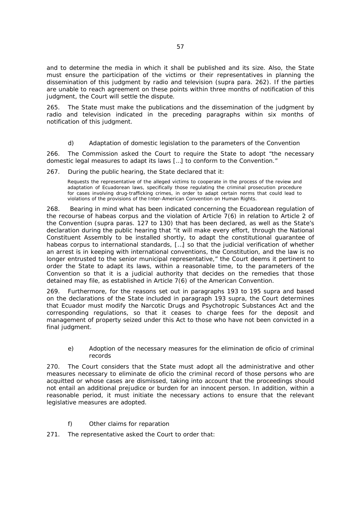and to determine the media in which it shall be published and its size. Also, the State must ensure the participation of the victims or their representatives in planning the dissemination of this judgment by radio and television (*supra* para. 262). If the parties are unable to reach agreement on these points within three months of notification of this judgment, the Court will settle the dispute.

265. The State must make the publications and the dissemination of the judgment by radio and television indicated in the preceding paragraphs within six months of notification of this judgment.

## *d) Adaptation of domestic legislation to the parameters of the Convention*

266. The Commission asked the Court to require the State to adopt "the necessary domestic legal measures to adapt its laws […] to conform to the Convention."

267. During the public hearing, the State declared that it:

Requests the representative of the alleged victims to cooperate in the process of the review and adaptation of Ecuadorean laws, specifically those regulating the criminal prosecution procedure for cases involving drug-trafficking crimes, in order to adapt certain norms that could lead to violations of the provisions of the Inter-American Convention on Human Rights.

268. Bearing in mind what has been indicated concerning the Ecuadorean regulation of the recourse of habeas corpus and the violation of Article 7(6) in relation to Article 2 of the Convention (*supra* paras. 127 to 130) that has been declared, as well as the State's declaration during the public hearing that "it will make every effort, through the National Constituent Assembly to be installed shortly, to adapt the constitutional guarantee of habeas corpus to international standards, […] so that the judicial verification of whether an arrest is in keeping with international conventions, the Constitution, and the law is no longer entrusted to the senior municipal representative," the Court deems it pertinent to order the State to adapt its laws, within a reasonable time, to the parameters of the Convention so that it is a judicial authority that decides on the remedies that those detained may file, as established in Article 7(6) of the American Convention.

269. Furthermore, for the reasons set out in paragraphs 193 to 195 *supra* and based on the declarations of the State included in paragraph 193 *supra*, the Court determines that Ecuador must modify the Narcotic Drugs and Psychotropic Substances Act and the corresponding regulations, so that it ceases to charge fees for the deposit and management of property seized under this Act to those who have not been convicted in a final judgment.

# *e) Adoption of the necessary measures for the elimination de oficio of criminal records*

270. The Court considers that the State must adopt all the administrative and other measures necessary to eliminate *de oficio* the criminal record of those persons who are acquitted or whose cases are dismissed, taking into account that the proceedings should not entail an additional prejudice or burden for an innocent person. In addition, within a reasonable period, it must initiate the necessary actions to ensure that the relevant legislative measures are adopted.

# *f) Other claims for reparation*

271. The representative asked the Court to order that: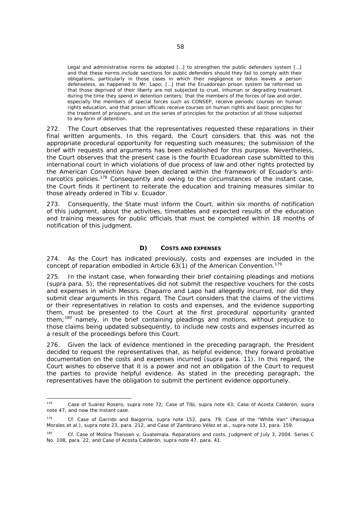Legal and administrative norms be adopted [...] to strengthen the public defenders system [...] and that these norms include sanctions for public defenders should they fail to comply with their obligations, particularly in those cases in which their negligence or *dolus* leaves a person defenseless, as happened to Mr. Lapo; […] that the Ecuadorean prison system be reformed so that those deprived of their liberty are not subjected to cruel, inhuman or degrading treatment during the time they spend in detention centers; that the members of the forces of law and order, especially the members of special forces such as CONSEP, receive periodic courses on human rights education, and that prison officials receive courses on human rights and basic principles for the treatment of prisoners, and on the series of principles for the protection of all those subjected to any form of detention.

272. The Court observes that the representatives requested these reparations in their final written arguments. In this regard, the Court considers that this was not the appropriate procedural opportunity for requesting such measures; the submission of the brief with requests and arguments has been established for this purpose. Nevertheless, the Court observes that the present case is the fourth Ecuadorean case submitted to this international court in which violations of due process of law and other rights protected by the American Convention have been declared within the framework of Ecuador's antinarcotics policies.<sup>178</sup> Consequently and owing to the circumstances of the instant case, the Court finds it pertinent to reiterate the education and training measures similar to those already ordered in *Tibi v. Ecuador*.

273. Consequently, the State must inform the Court, within six months of notification of this judgment, about the activities, timetables and expected results of the education and training measures for public officials that must be completed within 18 months of notification of this judgment.

## *D) COSTS AND EXPENSES*

274. As the Court has indicated previously, costs and expenses are included in the concept of reparation embodied in Article 63(1) of the American Convention.179

275. In the instant case, when forwarding their brief containing pleadings and motions (*supra* para. 5), the representatives did not submit the respective vouchers for the costs and expenses in which Messrs. Chaparro and Lapo had allegedly incurred, nor did they submit clear arguments in this regard. The Court considers that the claims of the victims or their representatives in relation to costs and expenses, and the evidence supporting them, must be presented to the Court at the first procedural opportunity granted them;180 namely, in the brief containing pleadings and motions, without prejudice to those claims being updated subsequently, to include new costs and expenses incurred as a result of the proceedings before this Court.

276. Given the lack of evidence mentioned in the preceding paragraph, the President decided to request the representatives that, as helpful evidence, they forward probative documentation on the costs and expenses incurred (*supra* para. 11). In this regard, the Court wishes to observe that it is a power and not an obligation of the Court to request the parties to provide helpful evidence. As stated in the preceding paragraph, the representatives have the obligation to submit the pertinent evidence opportunely.

l

<sup>178</sup> *Case of Suárez Rosero*, *supra* note 72; *Case of Tibi*, *supra* note 43; *Case of Acosta Calderón*, *supra*  note 47, and now the instant case.

<sup>179</sup> *Cf. Case of Garrido and Baigorria, supra* note 152, para. 79; *Case of the "White Van" (Paniagua Morales et al.)*, *supra* note 23, para. 212, and *Case of Zambrano Vélez et al., supra* note 13, para. 159.

<sup>180</sup> Cf. *Case of Molina Theissen v. Guatemala. Reparations and costs.* Judgment of July 3, 2004. Series C No. 108, para. 22, and *Case of Acosta Calderón*, *supra* note 47, para. 41.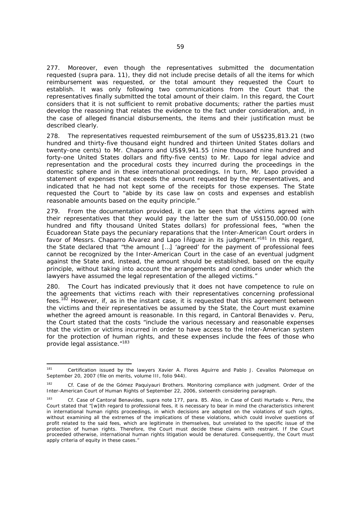277. Moreover, even though the representatives submitted the documentation requested (*supra* para. 11), they did not include precise details of all the items for which reimbursement was requested, or the total amount they requested the Court to establish. It was only following two communications from the Court that the representatives finally submitted the total amount of their claim. In this regard, the Court considers that it is not sufficient to remit probative documents; rather the parties must develop the reasoning that relates the evidence to the fact under consideration, and, in the case of alleged financial disbursements, the items and their justification must be described clearly.

278. The representatives requested reimbursement of the sum of US\$235,813.21 (two hundred and thirty-five thousand eight hundred and thirteen United States dollars and twenty-one cents) to Mr. Chaparro and US\$9,941.55 (nine thousand nine hundred and forty-one United States dollars and fifty-five cents) to Mr. Lapo for legal advice and representation and the procedural costs they incurred during the proceedings in the domestic sphere and in these international proceedings. In turn, Mr. Lapo provided a statement of expenses that exceeds the amount requested by the representatives, and indicated that he had not kept some of the receipts for those expenses. The State requested the Court to "abide by its case law on costs and expenses and establish reasonable amounts based on the equity principle."

279. From the documentation provided, it can be seen that the victims agreed with their representatives that they would pay the latter the sum of US\$150,000.00 (one hundred and fifty thousand United States dollars) for professional fees, "when the Ecuadorean State pays the pecuniary reparations that the Inter-American Court orders in favor of Messrs. Chaparro Álvarez and Lapo Íñiguez in its judgment."<sup>181</sup> In this regard, the State declared that "the amount […] 'agreed' for the payment of professional fees cannot be recognized by the Inter-American Court in the case of an eventual judgment against the State and, instead, the amount should be established, based on the equity principle, without taking into account the arrangements and conditions under which the lawyers have assumed the legal representation of the alleged victims."

280. The Court has indicated previously that it does not have competence to rule on the agreements that victims reach with their representatives concerning professional fees.<sup>182</sup> However, if, as in the instant case, it is requested that this agreement between the victims and their representatives be assumed by the State, the Court must examine whether the agreed amount is reasonable. In this regard, in *Cantoral Benavides v. Peru,*  the Court stated that the costs "include the various necessary and reasonable expenses that the victim or victims incurred in order to have access to the Inter-American system for the protection of human rights, and these expenses include the fees of those who provide legal assistance."<sup>183</sup>

<sup>&</sup>lt;sup>181</sup> Certification issued by the lawyers Xavier A. Flores Aguirre and Pablo J. Cevallos Palomegue on September 20, 2007 (file on merits, volume III, folio 944).

<sup>182</sup> *Cf. Case of de the Gómez Paquiyauri Brothers. Monitoring compliance with judgment*. Order of the Inter-American Court of Human Rights of September 22, 2006, sixteenth considering paragraph.

<sup>183</sup> *Cf.* Case of Cantoral Benavides, *supra* note 177, para. 85. Also, in *Case of Cesti Hurtado v. Peru*, the Court stated that "[w]ith regard to professional fees, it is necessary to bear in mind the characteristics inherent in international human rights proceedings, in which decisions are adopted on the violations of such rights, without examining all the extremes of the implications of these violations, which could involve questions of profit related to the said fees, which are legitimate in themselves, but unrelated to the specific issue of the protection of human rights. Therefore, the Court must decide these claims with restraint. If the Court proceeded otherwise, international human rights litigation would be denatured. Consequently, the Court must apply criteria of equity in these cases."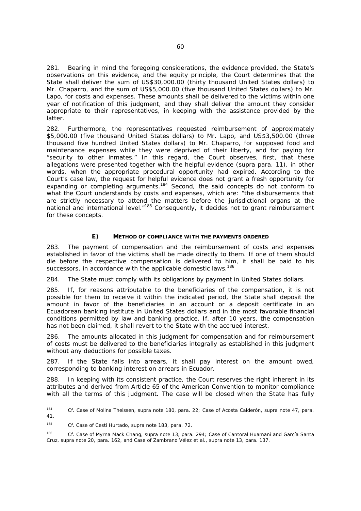281. Bearing in mind the foregoing considerations, the evidence provided, the State's observations on this evidence, and the equity principle, the Court determines that the State shall deliver the sum of US\$30,000.00 (thirty thousand United States dollars) to Mr. Chaparro, and the sum of US\$5,000.00 (five thousand United States dollars) to Mr. Lapo, for costs and expenses. These amounts shall be delivered to the victims within one year of notification of this judgment, and they shall deliver the amount they consider appropriate to their representatives, in keeping with the assistance provided by the latter.

282. Furthermore, the representatives requested reimbursement of approximately \$5,000.00 (five thousand United States dollars) to Mr. Lapo, and US\$3,500.00 (three thousand five hundred United States dollars) to Mr. Chaparro, for supposed food and maintenance expenses while they were deprived of their liberty, and for paying for "security to other inmates." In this regard, the Court observes, first, that these allegations were presented together with the helpful evidence (*supra* para. 11), in other words, when the appropriate procedural opportunity had expired. According to the Court's case law, the request for helpful evidence does not grant a fresh opportunity for expanding or completing arguments.<sup>184</sup> Second, the said concepts do not conform to what the Court understands by costs and expenses, which are: "the disbursements that are strictly necessary to attend the matters before the jurisdictional organs at the national and international level.<sup>"185</sup> Consequently, it decides not to grant reimbursement for these concepts.

# *E) METHOD OF COMPLIANCE WITH THE PAYMENTS ORDERED*

283. The payment of compensation and the reimbursement of costs and expenses established in favor of the victims shall be made directly to them. If one of them should die before the respective compensation is delivered to him, it shall be paid to his successors, in accordance with the applicable domestic laws.<sup>186</sup>

284. The State must comply with its obligations by payment in United States dollars.

285. If, for reasons attributable to the beneficiaries of the compensation, it is not possible for them to receive it within the indicated period, the State shall deposit the amount in favor of the beneficiaries in an account or a deposit certificate in an Ecuadorean banking institute in United States dollars and in the most favorable financial conditions permitted by law and banking practice. If, after 10 years, the compensation has not been claimed, it shall revert to the State with the accrued interest.

286. The amounts allocated in this judgment for compensation and for reimbursement of costs must be delivered to the beneficiaries integrally as established in this judgment without any deductions for possible taxes.

287. If the State falls into arrears, it shall pay interest on the amount owed, corresponding to banking interest on arrears in Ecuador.

288. In keeping with its consistent practice, the Court reserves the right inherent in its attributes and derived from Article 65 of the American Convention to monitor compliance with all the terms of this judgment. The case will be closed when the State has fully

<sup>184</sup> 184 *Cf. Case of Molina Theissen*, *supra* note 180, para. 22; *Case of Acosta Calderón, supra* note 47, para. 41.

<sup>185</sup> *Cf. Case of Cesti Hurtado*, *supra* note 183, para. 72.

<sup>186</sup> *Cf. Case of Myrna Mack Chang, supra* note 13, para. 294; *Case of Cantoral Huamani and García Santa Cruz, supra* note 20, para. 162, and *Case of Zambrano Vélez et al., supra* note 13, para. 137.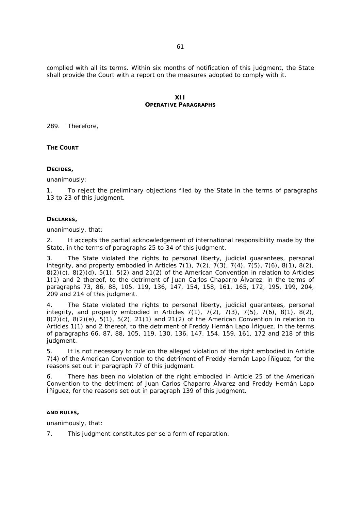complied with all its terms. Within six months of notification of this judgment, the State shall provide the Court with a report on the measures adopted to comply with it.

# **XII OPERATIVE PARAGRAPHS**

289. Therefore,

## **THE COURT**

# **DECIDES,**

unanimously:

1. To reject the preliminary objections filed by the State in the terms of paragraphs 13 to 23 of this judgment.

### **DECLARES,**

unanimously, that:

2. It accepts the partial acknowledgement of international responsibility made by the State, in the terms of paragraphs 25 to 34 of this judgment.

3. The State violated the rights to personal liberty, judicial guarantees, personal integrity, and property embodied in Articles  $7(1)$ ,  $7(2)$ ,  $7(3)$ ,  $7(4)$ ,  $7(5)$ ,  $7(6)$ ,  $8(1)$ ,  $8(2)$ ,  $8(2)(c)$ ,  $8(2)(d)$ ,  $5(1)$ ,  $5(2)$  and  $21(2)$  of the American Convention in relation to Articles 1(1) and 2 thereof, to the detriment of Juan Carlos Chaparro Álvarez, in the terms of paragraphs 73, 86, 88, 105, 119, 136, 147, 154, 158, 161, 165, 172, 195, 199, 204, 209 and 214 of this judgment.

4. The State violated the rights to personal liberty, judicial guarantees, personal integrity, and property embodied in Articles  $7(1)$ ,  $7(2)$ ,  $7(3)$ ,  $7(5)$ ,  $7(6)$ ,  $8(1)$ ,  $8(2)$ ,  $8(2)(c)$ ,  $8(2)(e)$ ,  $5(1)$ ,  $5(2)$ ,  $21(1)$  and  $21(2)$  of the American Convention in relation to Articles 1(1) and 2 thereof, to the detriment of Freddy Hernán Lapo Íñiguez, in the terms of paragraphs 66, 87, 88, 105, 119, 130, 136, 147, 154, 159, 161, 172 and 218 of this judgment.

5. It is not necessary to rule on the alleged violation of the right embodied in Article 7(4) of the American Convention to the detriment of Freddy Hernán Lapo Íñiguez, for the reasons set out in paragraph 77 of this judgment.

6. There has been no violation of the right embodied in Article 25 of the American Convention to the detriment of Juan Carlos Chaparro Álvarez and Freddy Hernán Lapo Íñiguez, for the reasons set out in paragraph 139 of this judgment.

#### **AND RULES,**

unanimously, that:

7. This judgment constitutes *per se* a form of reparation.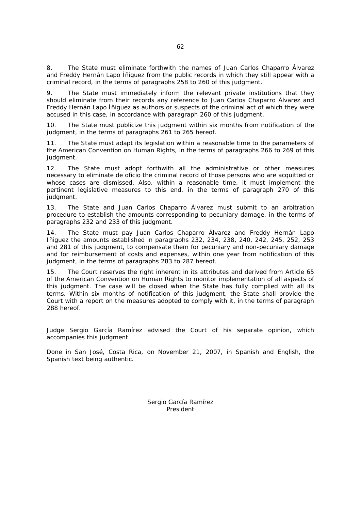8. The State must eliminate forthwith the names of Juan Carlos Chaparro Álvarez and Freddy Hernán Lapo Íñiguez from the public records in which they still appear with a criminal record, in the terms of paragraphs 258 to 260 of this judgment.

9. The State must immediately inform the relevant private institutions that they should eliminate from their records any reference to Juan Carlos Chaparro Álvarez and Freddy Hernán Lapo Íñiguez as authors or suspects of the criminal act of which they were accused in this case, in accordance with paragraph 260 of this judgment.

10. The State must publicize this judgment within six months from notification of the judgment, in the terms of paragraphs 261 to 265 hereof.

The State must adapt its legislation within a reasonable time to the parameters of the American Convention on Human Rights, in the terms of paragraphs 266 to 269 of this judgment.

12. The State must adopt forthwith all the administrative or other measures necessary to eliminate *de oficio* the criminal record of those persons who are acquitted or whose cases are dismissed. Also, within a reasonable time, it must implement the pertinent legislative measures to this end, in the terms of paragraph 270 of this judgment.

13. The State and Juan Carlos Chaparro Álvarez must submit to an arbitration procedure to establish the amounts corresponding to pecuniary damage, in the terms of paragraphs 232 and 233 of this judgment.

14. The State must pay Juan Carlos Chaparro Álvarez and Freddy Hernán Lapo Iñiguez the amounts established in paragraphs 232, 234, 238, 240, 242, 245, 252, 253 and 281 of this judgment, to compensate them for pecuniary and non-pecuniary damage and for reimbursement of costs and expenses, within one year from notification of this judgment, in the terms of paragraphs 283 to 287 hereof.

The Court reserves the right inherent in its attributes and derived from Article 65 of the American Convention on Human Rights to monitor implementation of all aspects of this judgment. The case will be closed when the State has fully complied with all its terms. Within six months of notification of this judgment, the State shall provide the Court with a report on the measures adopted to comply with it, in the terms of paragraph 288 hereof.

Judge Sergio García Ramírez advised the Court of his separate opinion, which accompanies this judgment.

Done in San José, Costa Rica, on November 21, 2007, in Spanish and English, the Spanish text being authentic.

> Sergio García Ramírez President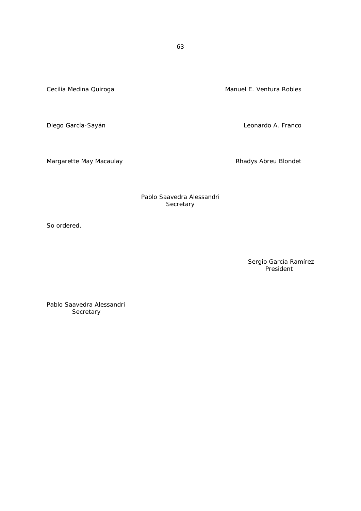Cecilia Medina Quiroga **Manuel E. Ventura Robles** Manuel E. Ventura Robles

Diego García-Sayán Leonardo A. Franco

Margarette May Macaulay **Rhadys Abreu Blondet** 

Pablo Saavedra Alessandri **Secretary** 

So ordered,

Sergio García Ramírez President

Pablo Saavedra Alessandri **Secretary**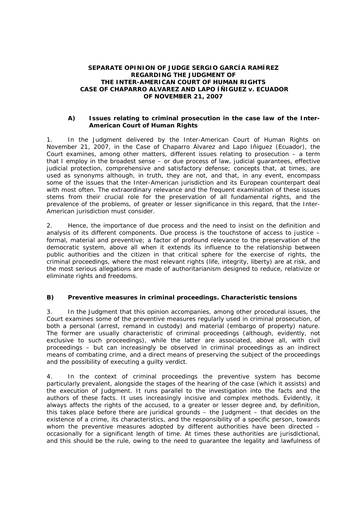# **SEPARATE OPINION OF JUDGE SERGIO GARCÍA RAMÍREZ REGARDING THE JUDGMENT OF THE INTER-AMERICAN COURT OF HUMAN RIGHTS**   *CASE OF CHAPARRO ALVAREZ AND LAPO ÍÑIGUEZ v.* **ECUADOR OF NOVEMBER 21, 2007**

# **A) Issues relating to criminal prosecution in the case law of the Inter-American Court of Human Rights**

1. In the Judgment delivered by the Inter-American Court of Human Rights on November 21, 2007, in the *Case of Chaparro Álvarez and Lapo Iñiguez* (Ecuador), the Court examines, among other matters, different issues relating to prosecution – a term that I employ in the broadest sense – or due process of law, judicial guarantees, effective judicial protection, comprehensive and satisfactory defense; concepts that, at times, are used as synonyms although, in truth, they are not, and that, in any event, encompass some of the issues that the Inter-American jurisdiction and its European counterpart deal with most often. The extraordinary relevance and the frequent examination of these issues stems from their crucial role for the preservation of all fundamental rights, and the prevalence of the problems, of greater or lesser significance in this regard, that the Inter-American jurisdiction must consider.

2. Hence, the importance of due process and the need to insist on the definition and analysis of its different components. Due process is the touchstone of access to justice – formal, material and preventive; a factor of profound relevance to the preservation of the democratic system, above all when it extends its influence to the relationship between public authorities and the citizen in that critical sphere for the exercise of rights, the criminal proceedings, where the most relevant rights (life, integrity, liberty) are at risk, and the most serious allegations are made of authoritarianism designed to reduce, relativize or eliminate rights and freedoms.

# **B) Preventive measures in criminal proceedings. Characteristic tensions**

3. In the Judgment that this opinion accompanies, among other procedural issues, the Court examines some of the preventive measures regularly used in criminal prosecution, of both a personal (arrest, remand in custody) and material (embargo of property) nature. The former are usually characteristic of criminal proceedings (although, evidently, not exclusive to such proceedings), while the latter are associated, above all, with civil proceedings – but can increasingly be observed in criminal proceedings as an indirect means of combating crime, and a direct means of preserving the subject of the proceedings and the possibility of executing a guilty verdict.

4. In the context of criminal proceedings the preventive system has become particularly prevalent, alongside the stages of the hearing of the case (which it assists) and the execution of Judgment. It runs parallel to the investigation into the facts and the authors of these facts. It uses increasingly incisive and complex methods. Evidently, it always affects the rights of the accused, to a greater or lesser degree and, by definition, this takes place before there are juridical grounds – the Judgment – that decides on the existence of a crime, its characteristics, and the responsibility of a specific person, towards whom the preventive measures adopted by different authorities have been directed occasionally for a significant length of time. At times these authorities are jurisdictional, and this should be the rule, owing to the need to guarantee the legality and lawfulness of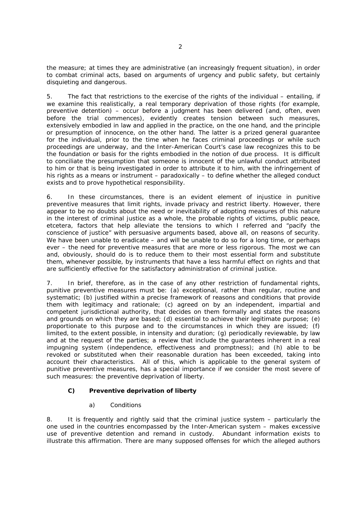the measure; at times they are administrative (an increasingly frequent situation), in order to combat criminal acts, based on arguments of urgency and public safety, but certainly disquieting and dangerous.

5. The fact that restrictions to the exercise of the rights of the individual – entailing, if we examine this realistically, a real temporary deprivation of those rights (for example, preventive detention) – occur before a judgment has been delivered (and, often, even before the trial commences), evidently creates tension between such measures, extensively embodied in law and applied in the practice, on the one hand, and the principle or presumption of innocence, on the other hand. The latter is a prized general guarantee for the individual, prior to the time when he faces criminal proceedings or while such proceedings are underway, and the Inter-American Court's case law recognizes this to be the foundation or basis for the rights embodied in the notion of due process. It is difficult to conciliate the presumption that someone is innocent of the unlawful conduct attributed to him or that is being investigated in order to attribute it to him, with the infringement of his rights as a means or instrument – paradoxically – to define whether the alleged conduct exists and to prove hypothetical responsibility.

6. In these circumstances, there is an evident element of injustice in punitive preventive measures that limit rights, invade privacy and restrict liberty. However, there appear to be no doubts about the need or inevitability of adopting measures of this nature in the interest of criminal justice as a whole, the probable rights of victims, public peace, etcetera, factors that help alleviate the tensions to which I referred and "pacify the conscience of justice" with persuasive arguments based, above all, on reasons of security. We have been unable to eradicate – and will be unable to do so for a long time, or perhaps ever – the need for preventive measures that are more or less rigorous. The most we can and, obviously, should do is to reduce them to their most essential form and substitute them, whenever possible, by instruments that have a less harmful effect on rights and that are sufficiently effective for the satisfactory administration of criminal justice.

7. In brief, therefore, as in the case of any other restriction of fundamental rights, punitive preventive measures must be: (a) exceptional, rather than regular, routine and systematic; (b) justified within a precise framework of reasons and conditions that provide them with legitimacy and rationale; (c) agreed on by an independent, impartial and competent jurisdictional authority, that decides on them formally and states the reasons and grounds on which they are based; (d) essential to achieve their legitimate purpose; (e) proportionate to this purpose and to the circumstances in which they are issued; (f) limited, to the extent possible, in intensity and duration; (g) periodically reviewable, by law and at the request of the parties; a review that include the guarantees inherent in a real impugning system (independence, effectiveness and promptness); and (h) able to be revoked or substituted when their reasonable duration has been exceeded, taking into account their characteristics. All of this, which is applicable to the general system of punitive preventive measures, has a special importance if we consider the most severe of such measures: the preventive deprivation of liberty.

# **C) Preventive deprivation of liberty**

# *a) Conditions*

8. It is frequently and rightly said that the criminal justice system – particularly the one used in the countries encompassed by the Inter-American system – makes excessive use of preventive detention and remand in custody. Abundant information exists to illustrate this affirmation. There are many supposed offenses for which the alleged authors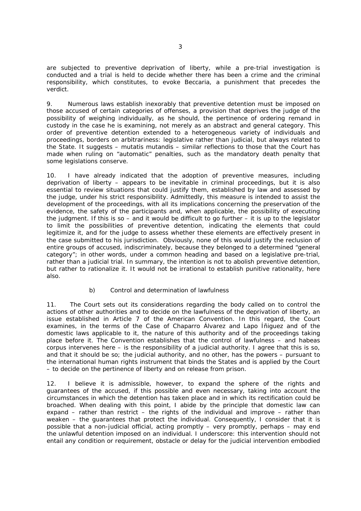are subjected to preventive deprivation of liberty, while a pre-trial investigation is conducted and a trial is held to decide whether there has been a crime and the criminal responsibility, which constitutes, to evoke Beccaria, a punishment that precedes the verdict.

9. Numerous laws establish inexorably that preventive detention must be imposed on those accused of certain categories of offenses, a provision that deprives the judge of the possibility of weighing individually, as he should, the pertinence of ordering remand in custody in the case he is examining, not merely as an abstract and general category. This order of preventive detention extended to a heterogeneous variety of individuals and proceedings, borders on arbitrariness: legislative rather than judicial, but always related to the State. It suggests – *mutatis mutandis* – similar reflections to those that the Court has made when ruling on "automatic" penalties, such as the mandatory death penalty that some legislations conserve.

10. I have already indicated that the adoption of preventive measures, including deprivation of liberty – appears to be inevitable in criminal proceedings, but it is also essential to review situations that could justify them, established by law and assessed by the judge, under his strict responsibility. Admittedly, this measure is intended to assist the development of the proceedings, with all its implications concerning the preservation of the evidence, the safety of the participants and, when applicable, the possibility of executing the judgment. If this is so – and it would be difficult to go further – it is up to the legislator to limit the possibilities of preventive detention, indicating the elements that could legitimize it, and for the judge to assess whether these elements are effectively present in the case submitted to his jurisdiction. Obviously, none of this would justify the reclusion of entire groups of accused, indiscriminately, because they belonged to a determined "general category"; in other words, under a common heading and based on a *legislative pre-trial*, rather than a *judicial trial*. In summary, the intention is not to abolish preventive detention, but rather to rationalize it. It would not be irrational to establish punitive rationality, here also.

## *b) Control and determination of lawfulness*

11. The Court sets out its considerations regarding the body called on to control the actions of other authorities and to decide on the lawfulness of the deprivation of liberty, an issue established in Article 7 of the American Convention. In this regard, the Court examines, in the terms of *the Case of Chaparro Álvarez and Lapo Íñiguez* and of the domestic laws applicable to it, the nature of this authority and of the proceedings taking place before it. The Convention establishes that the control of lawfulness – and habeas corpus intervenes here – is the responsibility of a judicial authority. I agree that this is so, and that it should be so; the judicial authority, and no other, has the powers – pursuant to the international human rights instrument that binds the States and is applied by the Court – to decide on the pertinence of liberty and on release from prison.

12. I believe it is admissible, however, to expand the sphere of the rights and guarantees of the accused, if this possible and even necessary, taking into account the circumstances in which the detention has taken place and in which its rectification could be broached. When dealing with this point, I abide by the principle that domestic law can expand – rather than restrict – the rights of the individual and improve – rather than weaken – the guarantees that protect the individual. Consequently, I consider that it is possible that a non-judicial official, acting promptly – *very promptly*, perhaps – may end the unlawful detention imposed on an individual. I underscore: this intervention should not entail any condition or requirement, obstacle or delay for the judicial intervention embodied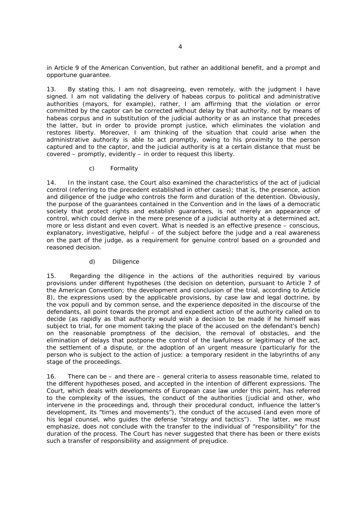in Article 9 of the American Convention, but rather an additional benefit, and a prompt and opportune guarantee.

13. By stating this, I am not disagreeing, even remotely, with the judgment I have signed. I am not validating the delivery of habeas corpus to political and administrative authorities (mayors, for example), rather, I am affirming that the violation or error committed by the captor can be corrected without delay by that authority, not by means of habeas corpus and in substitution of the judicial authority or as an instance that precedes the latter, but in order to provide prompt justice, which eliminates the violation and restores liberty. Moreover, I am thinking of the situation that could arise when the administrative authority is able to act promptly, owing to his proximity to the person captured and to the captor, and the judicial authority is at a certain distance that must be covered – promptly, evidently – in order to request this liberty.

 *c) Formality* 

14. In the instant case, the Court also examined the characteristics of the act of judicial control (referring to the precedent established in other cases); that is, the presence, action and diligence of the judge who controls the form and duration of the detention. Obviously, the purpose of the guarantees contained in the Convention and in the laws of a democratic society that protect rights and establish guarantees, is not merely an appearance of control, which could derive in the mere presence of a judicial authority at a determined act, more or less distant and even covert. What is needed is an effective presence – conscious, explanatory, investigative, helpful – of the subject before the judge and a real awareness on the part of the judge, as a requirement for genuine control based on a grounded and reasoned decision.

# *d) Diligence*

15. Regarding the diligence in the actions of the authorities required by various provisions under different hypotheses (the decision on detention, pursuant to Article 7 of the American Convention; the development and conclusion of the trial, according to Article 8), the expressions used by the applicable provisions, by case law and legal doctrine, by the *vox populi* and by common sense, and the experience deposited in the discourse of the defendants, all point towards the prompt and expedient action of the authority called on to decide (as rapidly as that authority would wish a decision to be made if he himself was subject to trial, for one moment taking the place of the accused on the defendant's bench) on the reasonable promptness of the decision, the removal of obstacles, and the elimination of delays that postpone the control of the lawfulness or legitimacy of the act, the settlement of a dispute, or the adoption of an urgent measure (particularly for the person who is subject to the action of justice: a temporary resident in the labyrinths of any stage of the proceedings.

16. There can be – and there are – general criteria to assess reasonable time, related to the different hypotheses posed, and accepted in the intention of different expressions. The Court, which deals with developments of European case law under this point, has referred to the complexity of the issues, the conduct of the authorities (judicial and other, who intervene in the proceedings and, through their procedural conduct, influence the latter's development, its "times and movements"), the conduct of the accused (and even more of his legal counsel, who guides the defense "strategy and tactics"). The latter, we must emphasize, does not conclude with the transfer to the individual of "responsibility" for the duration of the process. The Court has never suggested that there has been or there exists such a transfer of responsibility and assignment of prejudice.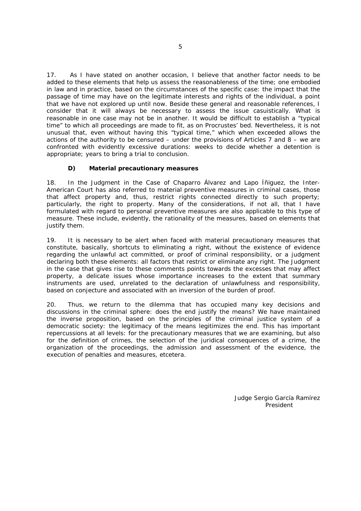17. As I have stated on another occasion, I believe that another factor needs to be added to these elements that help us assess the reasonableness of the time; one embodied in law and in practice, based on the circumstances of the specific case: the impact that the passage of time may have on the legitimate interests and rights of the individual, a point that we have not explored up until now. Beside these general and reasonable references, I consider that it will always be necessary to assess the issue casuistically. What is reasonable in one case may not be in another. It would be difficult to establish a "typical time" to which all proceedings are made to fit, as on Procrustes' bed. Nevertheless, it is not unusual that, even without having this "typical time," which when exceeded allows the actions of the authority to be censured – under the provisions of Articles 7 and 8 – we are confronted with evidently excessive durations: weeks to decide whether a detention is appropriate; years to bring a trial to conclusion.

# **D) Material precautionary measures**

18. In the Judgment in the *Case of Chaparro Álvarez and Lapo Íñiguez*, the Inter-American Court has also referred to material preventive measures in criminal cases, those that affect property and, thus, restrict rights connected directly to such property; particularly, the right to property. Many of the considerations, if not all, that I have formulated with regard to personal preventive measures are also applicable to this type of measure. These include, evidently, the rationality of the measures, based on elements that justify them.

19. It is necessary to be alert when faced with material precautionary measures that constitute, basically, shortcuts to eliminating a right, without the existence of evidence regarding the unlawful act committed, or proof of criminal responsibility, or a judgment declaring both these elements: all factors that restrict or eliminate any right. The Judgment in the case that gives rise to these comments points towards the excesses that may affect property, a delicate issues whose importance increases to the extent that summary instruments are used, unrelated to the declaration of unlawfulness and responsibility, based on conjecture and associated with an inversion of the burden of proof.

20. Thus, we return to the dilemma that has occupied many key decisions and discussions in the criminal sphere: does the end justify the means? We have maintained the inverse proposition, based on the principles of the criminal justice system of a democratic society: the legitimacy of the means legitimizes the end. This has important repercussions at all levels: for the precautionary measures that we are examining, but also for the definition of crimes, the selection of the juridical consequences of a crime, the organization of the proceedings, the admission and assessment of the evidence, the execution of penalties and measures, etcetera.

> Judge Sergio García Ramírez President